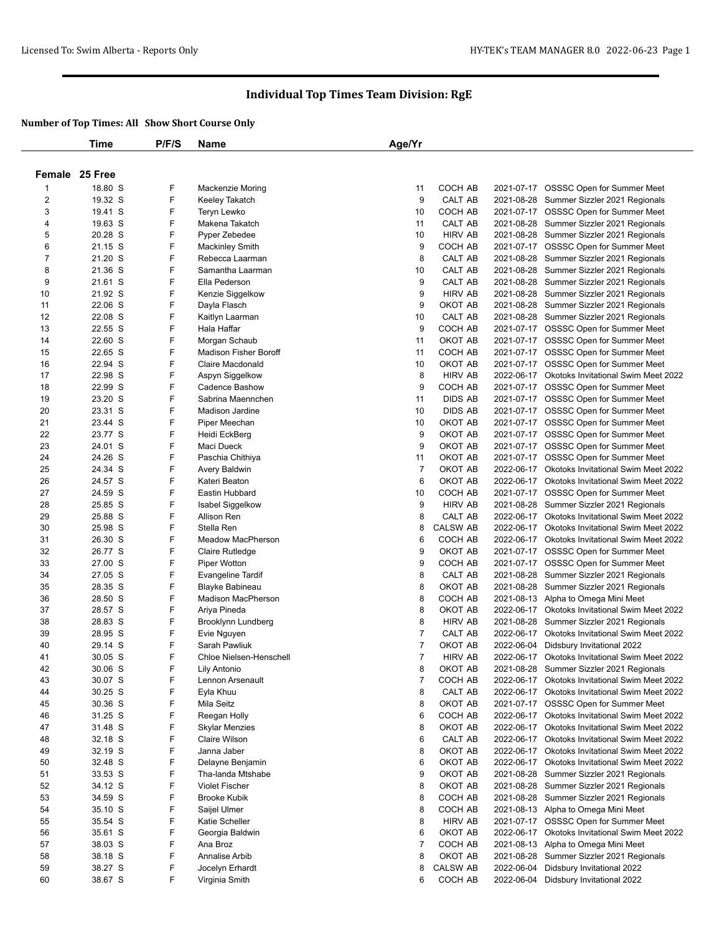|          | <b>Time</b>        | P/F/S  | <b>Name</b>                              | Age/Yr         |                           |            |                                                |
|----------|--------------------|--------|------------------------------------------|----------------|---------------------------|------------|------------------------------------------------|
|          |                    |        |                                          |                |                           |            |                                                |
|          | Female 25 Free     |        |                                          |                |                           |            |                                                |
| 1        | 18.80 S            | F      |                                          | 11             | COCH AB                   |            | 2021-07-17 OSSSC Open for Summer Meet          |
| 2        | 19.32 S            | F      | Mackenzie Moring<br>Keeley Takatch       | 9              | CALT AB                   |            | 2021-08-28 Summer Sizzler 2021 Regionals       |
| 3        | 19.41 S            | F      | Teryn Lewko                              | 10             | COCH AB                   |            | 2021-07-17 OSSSC Open for Summer Meet          |
| 4        | 19.63 S            | F      | Makena Takatch                           | 11             | CALT AB                   |            | 2021-08-28 Summer Sizzler 2021 Regionals       |
| 5        | 20.28 S            | F      | Pyper Zebedee                            | 10             | <b>HIRV AB</b>            |            | 2021-08-28 Summer Sizzler 2021 Regionals       |
| 6        | 21.15 S            | F      | <b>Mackinley Smith</b>                   | 9              | COCH AB                   |            | 2021-07-17 OSSSC Open for Summer Meet          |
| 7        | 21.20 S            | F      | Rebecca Laarman                          | 8              | CALT AB                   |            | 2021-08-28 Summer Sizzler 2021 Regionals       |
| 8        | 21.36 S            | F      | Samantha Laarman                         | 10             | CALT AB                   |            | 2021-08-28 Summer Sizzler 2021 Regionals       |
| 9        | 21.61 S            | F      | Ella Pederson                            | 9              | <b>CALT AB</b>            |            | 2021-08-28 Summer Sizzler 2021 Regionals       |
| 10       | 21.92 S            | F      |                                          | 9              | <b>HIRV AB</b>            |            | 2021-08-28 Summer Sizzler 2021 Regionals       |
| 11       | 22.06 S            | F      | Kenzie Siggelkow<br>Dayla Flasch         | 9              | OKOT AB                   |            | 2021-08-28 Summer Sizzler 2021 Regionals       |
| 12       | 22.08 S            | F      | Kaitlyn Laarman                          | 10             | CALT AB                   |            | 2021-08-28 Summer Sizzler 2021 Regionals       |
| 13       | 22.55 S            | F      | Hala Haffar                              | 9              | COCH AB                   |            | 2021-07-17 OSSSC Open for Summer Meet          |
| 14       | 22.60 S            | F      | Morgan Schaub                            | 11             | OKOT AB                   |            | 2021-07-17 OSSSC Open for Summer Meet          |
| 15       | 22.65 S            | F      | <b>Madison Fisher Boroff</b>             | 11             | COCH AB                   |            | 2021-07-17 OSSSC Open for Summer Meet          |
| 16       | 22.94 S            | F      | Claire Macdonald                         | 10             | OKOT AB                   |            | 2021-07-17 OSSSC Open for Summer Meet          |
| 17       | 22.98 S            | F      |                                          | 8              | <b>HIRV AB</b>            |            | 2022-06-17 Okotoks Invitational Swim Meet 2022 |
| 18       | 22.99 S            | F      | Aspyn Siggelkow                          | 9              | COCH AB                   |            |                                                |
|          |                    | F      | Cadence Bashow                           |                |                           |            | 2021-07-17 OSSSC Open for Summer Meet          |
| 19       | 23.20 S            |        | Sabrina Maennchen                        | 11             | <b>DIDS AB</b>            |            | 2021-07-17 OSSSC Open for Summer Meet          |
| 20       | 23.31 S            | F      | <b>Madison Jardine</b>                   | 10             | <b>DIDS AB</b>            |            | 2021-07-17 OSSSC Open for Summer Meet          |
| 21       | 23.44 S            | F      | Piper Meechan                            | 10             | OKOT AB                   |            | 2021-07-17 OSSSC Open for Summer Meet          |
| 22       | 23.77 S            | F      | Heidi EckBerg                            | 9              | OKOT AB                   |            | 2021-07-17 OSSSC Open for Summer Meet          |
| 23       | 24.01 S            | F<br>F | Maci Dueck                               | 9              | OKOT AB                   |            | 2021-07-17 OSSSC Open for Summer Meet          |
| 24       | 24.26 S            | F      | Paschia Chithiya                         | 11             | OKOT AB<br>OKOT AB        |            | 2021-07-17 OSSSC Open for Summer Meet          |
| 25       | 24.34 S            | F      | Avery Baldwin                            | $\overline{7}$ | OKOT AB                   |            | 2022-06-17 Okotoks Invitational Swim Meet 2022 |
| 26       | 24.57 S            | F      | Kateri Beaton                            | 6              |                           |            | 2022-06-17 Okotoks Invitational Swim Meet 2022 |
| 27       | 24.59 S            | F      | Eastin Hubbard                           | 10             | COCH AB                   |            | 2021-07-17 OSSSC Open for Summer Meet          |
| 28       | 25.85 S            | F      | Isabel Siggelkow                         | 9              | <b>HIRV AB</b>            |            | 2021-08-28 Summer Sizzler 2021 Regionals       |
| 29<br>30 | 25.88 S            | F      | Allison Ren<br>Stella Ren                | 8<br>8         | CALT AB                   |            | 2022-06-17 Okotoks Invitational Swim Meet 2022 |
|          | 25.98 S            | F      |                                          |                | <b>CALSW AB</b>           |            | 2022-06-17 Okotoks Invitational Swim Meet 2022 |
| 31<br>32 | 26.30 S<br>26.77 S | F      | Meadow MacPherson                        | 6<br>9         | COCH AB<br>OKOT AB        |            | 2022-06-17 Okotoks Invitational Swim Meet 2022 |
|          |                    | F      | Claire Rutledge                          |                |                           |            | 2021-07-17 OSSSC Open for Summer Meet          |
| 33       | 27.00 S            | F      | Piper Wotton                             | 9              | COCH AB                   |            | 2021-07-17 OSSSC Open for Summer Meet          |
| 34       | 27.05 S            | F      | <b>Evangeline Tardif</b>                 | 8              | CALT AB                   | 2021-08-28 | Summer Sizzler 2021 Regionals                  |
| 35       | 28.35 S            |        | Blayke Babineau                          | 8              | OKOT AB                   |            | 2021-08-28 Summer Sizzler 2021 Regionals       |
| 36       | 28.50 S            | F<br>F | Madison MacPherson<br>Ariya Pineda       | 8<br>8         | COCH AB                   |            | 2021-08-13 Alpha to Omega Mini Meet            |
| 37       | 28.57 S            | F      |                                          |                | OKOT AB<br><b>HIRV AB</b> |            | 2022-06-17 Okotoks Invitational Swim Meet 2022 |
| 38       | 28.83 S            | F      | Brooklynn Lundberg                       | 8              |                           |            | 2021-08-28 Summer Sizzler 2021 Regionals       |
| 39       | 28.95 S            | F      | Evie Nguyen                              | 7              | CALT AB                   |            | 2022-06-17 Okotoks Invitational Swim Meet 2022 |
| 40       | 29.14 S            | F      | Sarah Pawliuk<br>Chloe Nielsen-Henschell | 7<br>7         | OKOT AB                   |            | 2022-06-04 Didsbury Invitational 2022          |
| 41       | $30.05$ S          |        |                                          |                | <b>HIRV AB</b>            |            | 2022-06-17 Okotoks Invitational Swim Meet 2022 |
| 42       | 30.06 S            | F      | Lily Antonio                             | 8              | ОКОТ АВ                   |            | 2021-08-28 Summer Sizzler 2021 Regionals       |
| 43       | 30.07 S            | F      | Lennon Arsenault                         | $\overline{7}$ | COCH AB                   |            | 2022-06-17 Okotoks Invitational Swim Meet 2022 |
| 44       | 30.25 S            | F      | Eyla Khuu                                | 8              | CALT AB                   |            | 2022-06-17 Okotoks Invitational Swim Meet 2022 |
| 45       | 30.36 S            | F      | Mila Seitz                               | 8              | OKOT AB                   |            | 2021-07-17 OSSSC Open for Summer Meet          |
| 46       | 31.25 S            | F      | Reegan Holly                             | 6              | COCH AB                   |            | 2022-06-17 Okotoks Invitational Swim Meet 2022 |
| 47       | 31.48 S            | F      | <b>Skylar Menzies</b>                    | 8              | OKOT AB                   |            | 2022-06-17 Okotoks Invitational Swim Meet 2022 |
| 48       | 32.18 S            | F      | Claire Wilson                            | 6              | CALT AB                   |            | 2022-06-17 Okotoks Invitational Swim Meet 2022 |
| 49       | 32.19 S            | F      | Janna Jaber                              | 8              | OKOT AB                   |            | 2022-06-17 Okotoks Invitational Swim Meet 2022 |
| 50       | 32.48 S            | F      | Delayne Benjamin                         | 6              | OKOT AB                   |            | 2022-06-17 Okotoks Invitational Swim Meet 2022 |
| 51       | 33.53 S            | F      | Tha-landa Mtshabe                        | 9              | OKOT AB                   |            | 2021-08-28 Summer Sizzler 2021 Regionals       |
| 52       | 34.12 S            | F      | <b>Violet Fischer</b>                    | 8              | OKOT AB                   |            | 2021-08-28 Summer Sizzler 2021 Regionals       |
| 53       | 34.59 S            | F      | <b>Brooke Kubik</b>                      | 8              | COCH AB                   |            | 2021-08-28 Summer Sizzler 2021 Regionals       |
| 54       | 35.10 S            | F      | Saijel Ulmer                             | 8              | COCH AB                   |            | 2021-08-13 Alpha to Omega Mini Meet            |
| 55       | 35.54 S            | F      | <b>Katie Scheller</b>                    | 8              | <b>HIRV AB</b>            |            | 2021-07-17 OSSSC Open for Summer Meet          |
| 56       | 35.61 S            | F      | Georgia Baldwin                          | 6              | OKOT AB                   |            | 2022-06-17 Okotoks Invitational Swim Meet 2022 |
| 57       | 38.03 S            | F      | Ana Broz                                 | 7              | COCH AB                   |            | 2021-08-13 Alpha to Omega Mini Meet            |
| 58       | 38.18 S            | F      | Annalise Arbib                           | 8              | OKOT AB                   | 2021-08-28 | Summer Sizzler 2021 Regionals                  |
| 59       | 38.27 S            | F      | Jocelyn Erhardt                          | 8              | <b>CALSW AB</b>           |            | 2022-06-04 Didsbury Invitational 2022          |
| 60       | 38.67 S            | F      | Virginia Smith                           | 6              | COCH AB                   |            | 2022-06-04 Didsbury Invitational 2022          |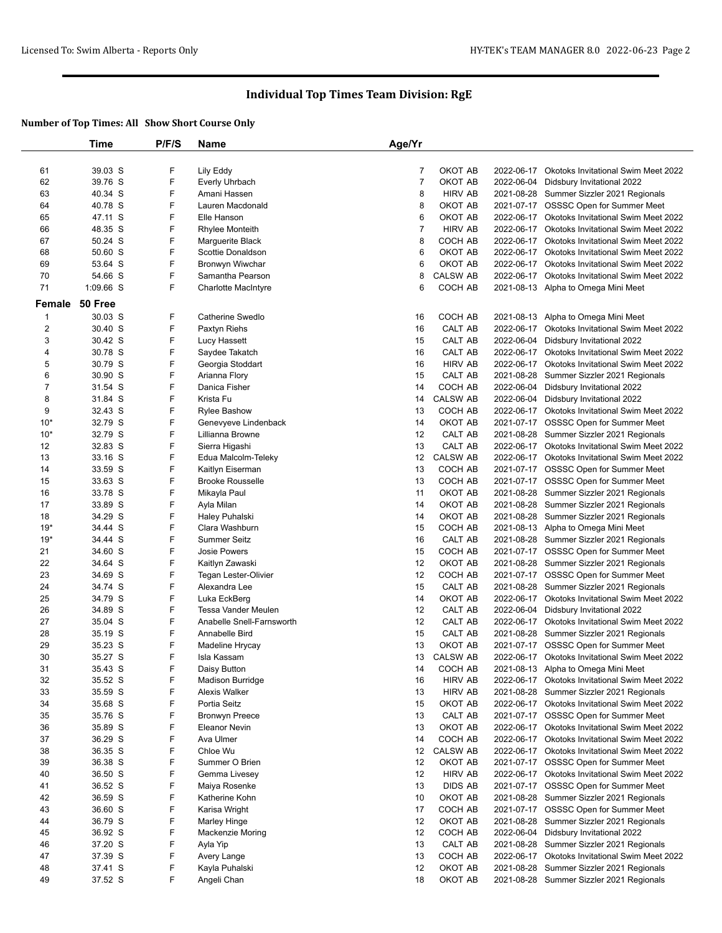|                         | Time      | P/F/S | <b>Name</b>                | Age/Yr         |                 |            |                                                |
|-------------------------|-----------|-------|----------------------------|----------------|-----------------|------------|------------------------------------------------|
|                         |           |       |                            |                |                 |            |                                                |
| 61                      | 39.03 S   | F     | Lily Eddy                  | 7              | OKOT AB         |            | 2022-06-17 Okotoks Invitational Swim Meet 2022 |
| 62                      | 39.76 S   | F     | Everly Uhrbach             | $\overline{7}$ | OKOT AB         | 2022-06-04 | Didsbury Invitational 2022                     |
| 63                      | 40.34 S   | F     | Amani Hassen               | 8              | <b>HIRV AB</b>  |            | 2021-08-28 Summer Sizzler 2021 Regionals       |
| 64                      | 40.78 S   | F     | Lauren Macdonald           | 8              | OKOT AB         |            | 2021-07-17 OSSSC Open for Summer Meet          |
| 65                      | 47.11 S   | F     | Elle Hanson                | 6              | OKOT AB         | 2022-06-17 | Okotoks Invitational Swim Meet 2022            |
| 66                      | 48.35 S   | F     |                            | 7              | <b>HIRV AB</b>  |            |                                                |
|                         |           |       | Rhylee Monteith            |                |                 |            | 2022-06-17 Okotoks Invitational Swim Meet 2022 |
| 67                      | 50.24 S   | F     | Marguerite Black           | 8              | COCH AB         |            | 2022-06-17 Okotoks Invitational Swim Meet 2022 |
| 68                      | 50.60 S   | F     | Scottie Donaldson          | 6              | OKOT AB         | 2022-06-17 | Okotoks Invitational Swim Meet 2022            |
| 69                      | 53.64 S   | F     | Bronwyn Wiwchar            | 6              | OKOT AB         |            | 2022-06-17 Okotoks Invitational Swim Meet 2022 |
| 70                      | 54.66 S   | F     | Samantha Pearson           | 8              | <b>CALSW AB</b> |            | 2022-06-17 Okotoks Invitational Swim Meet 2022 |
| 71                      | 1:09.66 S | F     | <b>Charlotte MacIntyre</b> | 6              | COCH AB         |            | 2021-08-13 Alpha to Omega Mini Meet            |
| Female                  | 50 Free   |       |                            |                |                 |            |                                                |
| $\mathbf 1$             | 30.03 S   | F     | Catherine Swedlo           | 16             | COCH AB         |            | 2021-08-13 Alpha to Omega Mini Meet            |
| $\overline{\mathbf{c}}$ | 30.40 S   | F     | Paxtyn Riehs               | 16             | CALT AB         |            | 2022-06-17 Okotoks Invitational Swim Meet 2022 |
| 3                       | 30.42 S   | F     | Lucy Hassett               | 15             | CALT AB         | 2022-06-04 | Didsbury Invitational 2022                     |
| 4                       | 30.78 S   | F     | Saydee Takatch             | 16             | CALT AB         |            | 2022-06-17 Okotoks Invitational Swim Meet 2022 |
| 5                       | 30.79 S   | F     |                            | 16             | <b>HIRV AB</b>  |            | 2022-06-17 Okotoks Invitational Swim Meet 2022 |
|                         |           |       | Georgia Stoddart           |                |                 |            |                                                |
| 6                       | 30.90 S   | F     | Arianna Flory              | 15             | CALT AB         | 2021-08-28 | Summer Sizzler 2021 Regionals                  |
| $\boldsymbol{7}$        | 31.54 S   | F     | Danica Fisher              | 14             | COCH AB         | 2022-06-04 | Didsbury Invitational 2022                     |
| 8                       | 31.84 S   | F     | Krista Fu                  | 14             | <b>CALSW AB</b> | 2022-06-04 | Didsbury Invitational 2022                     |
| 9                       | 32.43 S   | F     | <b>Rylee Bashow</b>        | 13             | COCH AB         |            | 2022-06-17 Okotoks Invitational Swim Meet 2022 |
| $10*$                   | 32.79 S   | F     | Genevyeve Lindenback       | 14             | OKOT AB         |            | 2021-07-17 OSSSC Open for Summer Meet          |
| $10*$                   | 32.79 S   | F     | Lillianna Browne           | 12             | CALT AB         |            | 2021-08-28 Summer Sizzler 2021 Regionals       |
| 12                      | 32.83 S   | F     | Sierra Higashi             | 13             | CALT AB         |            | 2022-06-17 Okotoks Invitational Swim Meet 2022 |
| 13                      | 33.16 S   | F     | Edua Malcolm-Teleky        | 12             | <b>CALSW AB</b> |            | 2022-06-17 Okotoks Invitational Swim Meet 2022 |
| 14                      | 33.59 S   | F     | Kaitlyn Eiserman           | 13             | <b>COCH AB</b>  |            | 2021-07-17 OSSSC Open for Summer Meet          |
| 15                      | 33.63 S   | F     | <b>Brooke Rousselle</b>    | 13             | COCH AB         |            | 2021-07-17 OSSSC Open for Summer Meet          |
| 16                      | 33.78 S   | F     | Mikayla Paul               | 11             | OKOT AB         |            | 2021-08-28 Summer Sizzler 2021 Regionals       |
| 17                      | 33.89 S   | F     | Ayla Milan                 | 14             | OKOT AB         |            | 2021-08-28 Summer Sizzler 2021 Regionals       |
| 18                      | 34.29 S   | F     | Haley Puhalski             | 14             | OKOT AB         |            | 2021-08-28 Summer Sizzler 2021 Regionals       |
| $19*$                   | 34.44 S   | F     | Clara Washburn             | 15             | COCH AB         |            | 2021-08-13 Alpha to Omega Mini Meet            |
| $19*$                   | 34.44 S   | F     | <b>Summer Seitz</b>        | 16             | CALT AB         |            | 2021-08-28 Summer Sizzler 2021 Regionals       |
| 21                      | 34.60 S   | F     | <b>Josie Powers</b>        | 15             | COCH AB         |            | 2021-07-17 OSSSC Open for Summer Meet          |
| 22                      | 34.64 S   | F     | Kaitlyn Zawaski            | 12             | OKOT AB         |            | 2021-08-28 Summer Sizzler 2021 Regionals       |
| 23                      | 34.69 S   | F     | Tegan Lester-Olivier       | 12             | COCH AB         |            | 2021-07-17 OSSSC Open for Summer Meet          |
| 24                      | 34.74 S   | F     | Alexandra Lee              | 15             | CALT AB         |            | 2021-08-28 Summer Sizzler 2021 Regionals       |
| 25                      | 34.79 S   | F     | Luka EckBerg               | 14             | OKOT AB         |            | 2022-06-17 Okotoks Invitational Swim Meet 2022 |
| 26                      | 34.89 S   | F     | Tessa Vander Meulen        | 12             | CALT AB         | 2022-06-04 | Didsbury Invitational 2022                     |
|                         |           | F     |                            |                |                 |            |                                                |
| 27                      | 35.04 S   |       | Anabelle Snell-Farnsworth  | 12             | CALT AB         |            | 2022-06-17 Okotoks Invitational Swim Meet 2022 |
| 28                      | 35.19 S   | F     | Annabelle Bird             | 15             | CALT AB         |            | 2021-08-28 Summer Sizzler 2021 Regionals       |
| 29                      | 35.23 S   | F     | Madeline Hrycay            | 13             | OKOT AB         |            | 2021-07-17 OSSSC Open for Summer Meet          |
| 30                      | 35.27 S   | F     | Isla Kassam                | 13             | <b>CALSW AB</b> |            | 2022-06-17 Okotoks Invitational Swim Meet 2022 |
| 31                      | 35.43 S   | F     | Daisy Button               | 14             | COCH AB         |            | 2021-08-13 Alpha to Omega Mini Meet            |
| 32                      | 35.52 S   | F     | Madison Burridge           | 16             | <b>HIRV AB</b>  |            | 2022-06-17 Okotoks Invitational Swim Meet 2022 |
| 33                      | 35.59 S   | F     | Alexis Walker              | 13             | <b>HIRV AB</b>  |            | 2021-08-28 Summer Sizzler 2021 Regionals       |
| 34                      | 35.68 S   | F     | Portia Seitz               | 15             | OKOT AB         |            | 2022-06-17 Okotoks Invitational Swim Meet 2022 |
| 35                      | 35.76 S   | F     | <b>Bronwyn Preece</b>      | 13             | CALT AB         |            | 2021-07-17 OSSSC Open for Summer Meet          |
| 36                      | 35.89 S   | F     | Eleanor Nevin              | 13             | OKOT AB         |            | 2022-06-17 Okotoks Invitational Swim Meet 2022 |
| 37                      | 36.29 S   | F     | Ava Ulmer                  | 14             | COCH AB         |            | 2022-06-17 Okotoks Invitational Swim Meet 2022 |
| 38                      | 36.35 S   | F     | Chloe Wu                   | 12             | <b>CALSW AB</b> |            | 2022-06-17 Okotoks Invitational Swim Meet 2022 |
| 39                      | 36.38 S   | F     | Summer O Brien             | 12             | OKOT AB         |            | 2021-07-17 OSSSC Open for Summer Meet          |
| 40                      | 36.50 S   | F     | Gemma Livesey              | 12             | <b>HIRV AB</b>  |            | 2022-06-17 Okotoks Invitational Swim Meet 2022 |
| 41                      | 36.52 S   | F     | Maiya Rosenke              | 13             | <b>DIDS AB</b>  |            | 2021-07-17 OSSSC Open for Summer Meet          |
| 42                      | 36.59 S   | F     | Katherine Kohn             | 10             | OKOT AB         |            | 2021-08-28 Summer Sizzler 2021 Regionals       |
| 43                      | 36.60 S   | F     | Karisa Wright              | 17             | COCH AB         |            | 2021-07-17 OSSSC Open for Summer Meet          |
| 44                      | 36.79 S   | F     | <b>Marley Hinge</b>        | 12             | OKOT AB         |            | 2021-08-28 Summer Sizzler 2021 Regionals       |
| 45                      | 36.92 S   | F     | <b>Mackenzie Moring</b>    | 12             | COCH AB         | 2022-06-04 | Didsbury Invitational 2022                     |
| 46                      | 37.20 S   | F     | Ayla Yip                   | 13             | CALT AB         |            | 2021-08-28 Summer Sizzler 2021 Regionals       |
| 47                      | 37.39 S   | F     | Avery Lange                | 13             | COCH AB         |            | 2022-06-17 Okotoks Invitational Swim Meet 2022 |
| 48                      | 37.41 S   | F     | Kayla Puhalski             | 12             | OKOT AB         |            | 2021-08-28 Summer Sizzler 2021 Regionals       |
| 49                      | 37.52 S   | F     | Angeli Chan                | 18             | OKOT AB         |            | 2021-08-28 Summer Sizzler 2021 Regionals       |
|                         |           |       |                            |                |                 |            |                                                |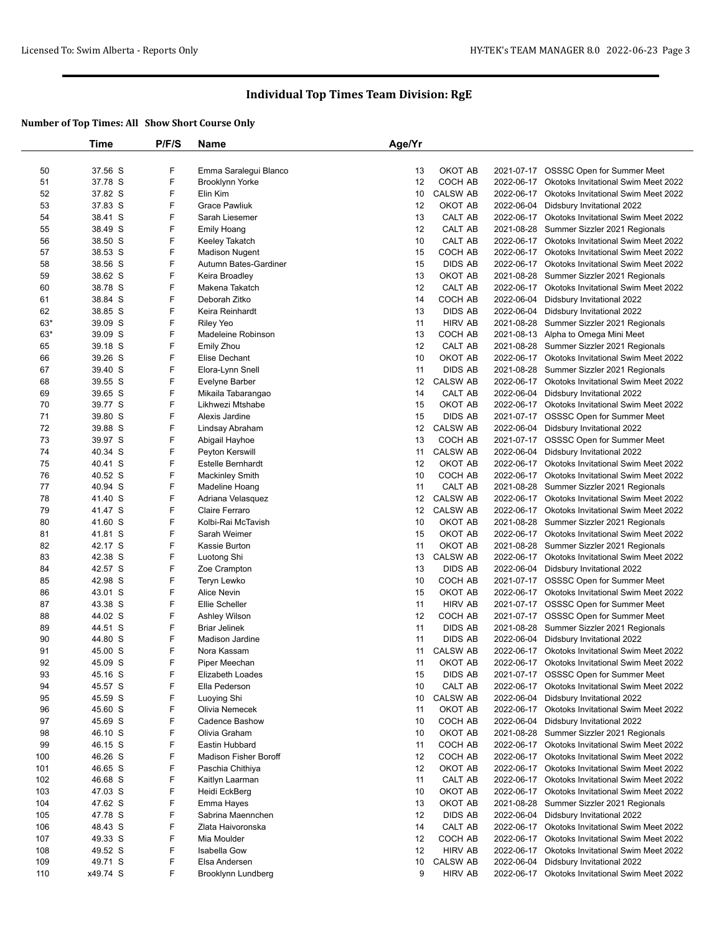|       | Time     | P/F/S | <b>Name</b>                  | Age/Yr |                 |            |                                                |
|-------|----------|-------|------------------------------|--------|-----------------|------------|------------------------------------------------|
|       |          |       |                              |        |                 |            |                                                |
| 50    | 37.56 S  | F     | Emma Saralegui Blanco        | 13     | OKOT AB         |            | 2021-07-17 OSSSC Open for Summer Meet          |
| 51    | 37.78 S  | F     | <b>Brooklynn Yorke</b>       | 12     | COCH AB         | 2022-06-17 | <b>Okotoks Invitational Swim Meet 2022</b>     |
| 52    | 37.82 S  | F     | Elin Kim                     | 10     | <b>CALSW AB</b> | 2022-06-17 | <b>Okotoks Invitational Swim Meet 2022</b>     |
| 53    | 37.83 S  | F     | <b>Grace Pawliuk</b>         | 12     | OKOT AB         | 2022-06-04 | Didsbury Invitational 2022                     |
|       | 38.41 S  | F     |                              |        |                 |            |                                                |
| 54    |          |       | Sarah Liesemer               | 13     | CALT AB         | 2022-06-17 | Okotoks Invitational Swim Meet 2022            |
| 55    | 38.49 S  | F     | <b>Emily Hoang</b>           | 12     | CALT AB         | 2021-08-28 | Summer Sizzler 2021 Regionals                  |
| 56    | 38.50 S  | F     | Keeley Takatch               | 10     | CALT AB         |            | 2022-06-17 Okotoks Invitational Swim Meet 2022 |
| 57    | 38.53 S  | F     | <b>Madison Nugent</b>        | 15     | COCH AB         | 2022-06-17 | <b>Okotoks Invitational Swim Meet 2022</b>     |
| 58    | 38.56 S  | F     | Autumn Bates-Gardiner        | 15     | <b>DIDS AB</b>  | 2022-06-17 | Okotoks Invitational Swim Meet 2022            |
| 59    | 38.62 S  | F     | Keira Broadley               | 13     | OKOT AB         | 2021-08-28 | Summer Sizzler 2021 Regionals                  |
| 60    | 38.78 S  | F     | Makena Takatch               | 12     | CALT AB         | 2022-06-17 | Okotoks Invitational Swim Meet 2022            |
| 61    | 38.84 S  | F     | Deborah Zitko                | 14     | COCH AB         | 2022-06-04 | Didsbury Invitational 2022                     |
| 62    | 38.85 S  | F     | Keira Reinhardt              | 13     | DIDS AB         | 2022-06-04 | Didsbury Invitational 2022                     |
| $63*$ | 39.09 S  | F     | <b>Riley Yeo</b>             | 11     | <b>HIRV AB</b>  | 2021-08-28 | Summer Sizzler 2021 Regionals                  |
| 63*   | 39.09 S  | F     | Madeleine Robinson           | 13     | COCH AB         | 2021-08-13 | Alpha to Omega Mini Meet                       |
| 65    | 39.18 S  | F     | <b>Emily Zhou</b>            | 12     | CALT AB         | 2021-08-28 | Summer Sizzler 2021 Regionals                  |
| 66    | 39.26 S  | F     | Elise Dechant                | 10     | OKOT AB         | 2022-06-17 | Okotoks Invitational Swim Meet 2022            |
| 67    | 39.40 S  | F     | Elora-Lynn Snell             | 11     | <b>DIDS AB</b>  |            | 2021-08-28 Summer Sizzler 2021 Regionals       |
| 68    | 39.55 S  | F     | <b>Evelyne Barber</b>        | 12     | <b>CALSW AB</b> | 2022-06-17 | Okotoks Invitational Swim Meet 2022            |
| 69    | 39.65 S  | F     | Mikaila Tabarangao           | 14     | CALT AB         | 2022-06-04 | Didsbury Invitational 2022                     |
|       | 39.77 S  | F     |                              | 15     | OKOT AB         |            |                                                |
| 70    |          |       | Likhwezi Mtshabe             |        |                 |            | 2022-06-17 Okotoks Invitational Swim Meet 2022 |
| 71    | 39.80 S  | F     | Alexis Jardine               | 15     | <b>DIDS AB</b>  |            | 2021-07-17 OSSSC Open for Summer Meet          |
| 72    | 39.88 S  | F     | Lindsay Abraham              | 12     | <b>CALSW AB</b> | 2022-06-04 | Didsbury Invitational 2022                     |
| 73    | 39.97 S  | F     | Abigail Hayhoe               | 13     | COCH AB         |            | 2021-07-17 OSSSC Open for Summer Meet          |
| 74    | 40.34 S  | F     | Peyton Kerswill              | 11     | <b>CALSW AB</b> | 2022-06-04 | Didsbury Invitational 2022                     |
| 75    | 40.41 S  | F     | <b>Estelle Bernhardt</b>     | 12     | OKOT AB         | 2022-06-17 | Okotoks Invitational Swim Meet 2022            |
| 76    | 40.52 S  | F     | <b>Mackinley Smith</b>       | 10     | COCH AB         | 2022-06-17 | Okotoks Invitational Swim Meet 2022            |
| 77    | 40.94 S  | F     | Madeline Hoang               | 11     | CALT AB         | 2021-08-28 | Summer Sizzler 2021 Regionals                  |
| 78    | 41.40 S  | F     | Adriana Velasquez            | 12     | <b>CALSW AB</b> | 2022-06-17 | Okotoks Invitational Swim Meet 2022            |
| 79    | 41.47 S  | F     | Claire Ferraro               | 12     | <b>CALSW AB</b> |            | 2022-06-17 Okotoks Invitational Swim Meet 2022 |
| 80    | 41.60 S  | F     | Kolbi-Rai McTavish           | 10     | OKOT AB         | 2021-08-28 | Summer Sizzler 2021 Regionals                  |
| 81    | 41.81 S  | F     | Sarah Weimer                 | 15     | OKOT AB         | 2022-06-17 | <b>Okotoks Invitational Swim Meet 2022</b>     |
| 82    | 42.17 S  | F     | Kassie Burton                | 11     | OKOT AB         | 2021-08-28 | Summer Sizzler 2021 Regionals                  |
| 83    | 42.38 S  | F     | Luotong Shi                  | 13     | <b>CALSW AB</b> | 2022-06-17 | Okotoks Invitational Swim Meet 2022            |
| 84    | 42.57 S  | F     | Zoe Crampton                 | 13     | <b>DIDS AB</b>  | 2022-06-04 | Didsbury Invitational 2022                     |
| 85    | 42.98 S  | F     | Teryn Lewko                  | 10     | COCH AB         | 2021-07-17 | <b>OSSSC Open for Summer Meet</b>              |
| 86    | 43.01 S  | F     | <b>Alice Nevin</b>           | 15     | OKOT AB         | 2022-06-17 | Okotoks Invitational Swim Meet 2022            |
|       |          | F     | <b>Ellie Scheller</b>        |        |                 |            |                                                |
| 87    | 43.38 S  |       |                              | 11     | <b>HIRV AB</b>  | 2021-07-17 | OSSSC Open for Summer Meet                     |
| 88    | 44.02 S  | F     | Ashley Wilson                | 12     | COCH AB         |            | 2021-07-17 OSSSC Open for Summer Meet          |
| 89    | 44.51 S  | F     | <b>Briar Jelinek</b>         | 11     | <b>DIDS AB</b>  | 2021-08-28 | Summer Sizzler 2021 Regionals                  |
| 90    | 44.80 S  | F     | Madison Jardine              | 11     | <b>DIDS AB</b>  | 2022-06-04 | Didsbury Invitational 2022                     |
| 91    | 45.00 S  | F     | Nora Kassam                  | 11     | <b>CALSW AB</b> | 2022-06-17 | Okotoks Invitational Swim Meet 2022            |
| 92    | 45.09 S  | F     | Piper Meechan                | 11     | OKOT AB         |            | 2022-06-17 Okotoks Invitational Swim Meet 2022 |
| 93    | 45.16 S  | F     | Elizabeth Loades             | 15     | <b>DIDS AB</b>  |            | 2021-07-17 OSSSC Open for Summer Meet          |
| 94    | 45.57 S  | F     | Ella Pederson                | 10     | CALT AB         |            | 2022-06-17 Okotoks Invitational Swim Meet 2022 |
| 95    | 45.59 S  | F     | Luoying Shi                  | 10     | <b>CALSW AB</b> |            | 2022-06-04 Didsbury Invitational 2022          |
| 96    | 45.60 S  | F     | Olivia Nemecek               | 11     | OKOT AB         | 2022-06-17 | Okotoks Invitational Swim Meet 2022            |
| 97    | 45.69 S  | F     | Cadence Bashow               | 10     | COCH AB         | 2022-06-04 | Didsbury Invitational 2022                     |
| 98    | 46.10 S  | F     | Olivia Graham                | 10     | OKOT AB         | 2021-08-28 | Summer Sizzler 2021 Regionals                  |
| 99    | 46.15 S  | F     | Eastin Hubbard               | 11     | COCH AB         |            | 2022-06-17 Okotoks Invitational Swim Meet 2022 |
| 100   | 46.26 S  | F     | <b>Madison Fisher Boroff</b> | 12     | COCH AB         | 2022-06-17 | Okotoks Invitational Swim Meet 2022            |
| 101   | 46.65 S  | F     | Paschia Chithiya             | 12     | OKOT AB         | 2022-06-17 | Okotoks Invitational Swim Meet 2022            |
| 102   | 46.68 S  | F     | Kaitlyn Laarman              | 11     | CALT AB         | 2022-06-17 | Okotoks Invitational Swim Meet 2022            |
| 103   | 47.03 S  | F     | Heidi EckBerg                | 10     | OKOT AB         | 2022-06-17 | Okotoks Invitational Swim Meet 2022            |
| 104   |          | F     |                              |        | OKOT AB         |            |                                                |
|       | 47.62 S  |       | Emma Hayes                   | 13     |                 | 2021-08-28 | Summer Sizzler 2021 Regionals                  |
| 105   | 47.78 S  | F     | Sabrina Maennchen            | 12     | <b>DIDS AB</b>  |            | 2022-06-04 Didsbury Invitational 2022          |
| 106   | 48.43 S  | F     | Zlata Haivoronska            | 14     | CALT AB         | 2022-06-17 | Okotoks Invitational Swim Meet 2022            |
| 107   | 49.33 S  | F     | Mia Moulder                  | 12     | COCH AB         | 2022-06-17 | <b>Okotoks Invitational Swim Meet 2022</b>     |
| 108   | 49.52 S  | F     | <b>Isabella Gow</b>          | 12     | <b>HIRV AB</b>  |            | 2022-06-17 Okotoks Invitational Swim Meet 2022 |
| 109   | 49.71 S  | F     | Elsa Andersen                | 10     | <b>CALSW AB</b> | 2022-06-04 | Didsbury Invitational 2022                     |
| 110   | x49.74 S | F     | Brooklynn Lundberg           | 9      | <b>HIRV AB</b>  |            | 2022-06-17 Okotoks Invitational Swim Meet 2022 |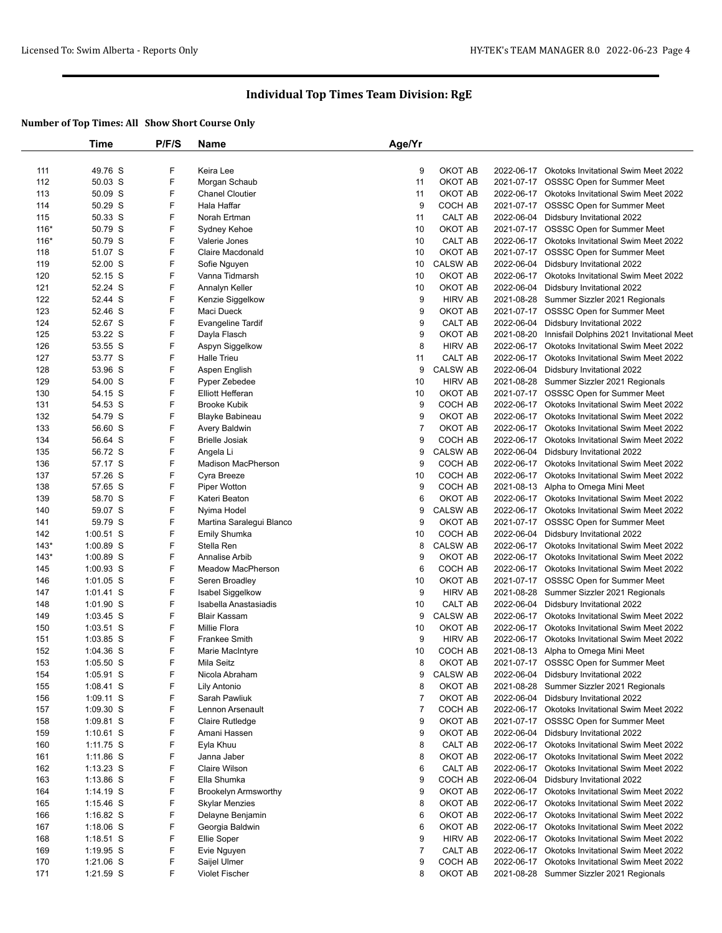|        | Time        | P/F/S | Name                                | Age/Yr         |                    |            |                                                      |
|--------|-------------|-------|-------------------------------------|----------------|--------------------|------------|------------------------------------------------------|
|        |             |       |                                     |                |                    |            |                                                      |
| 111    | 49.76 S     | F     | Keira Lee                           | 9              | OKOT AB            |            | 2022-06-17 Okotoks Invitational Swim Meet 2022       |
| 112    | 50.03 S     | F     | Morgan Schaub                       | 11             | OKOT AB            |            | 2021-07-17 OSSSC Open for Summer Meet                |
| 113    | 50.09 S     | F     | <b>Chanel Cloutier</b>              | 11             | OKOT AB            |            | 2022-06-17 Okotoks Invitational Swim Meet 2022       |
| 114    | 50.29 S     | F     | Hala Haffar                         | 9              | COCH AB            |            | 2021-07-17 OSSSC Open for Summer Meet                |
| 115    | 50.33 S     | F     | Norah Ertman                        | 11             | CALT AB            |            | 2022-06-04 Didsbury Invitational 2022                |
| $116*$ | 50.79 S     | F     | Sydney Kehoe                        | 10             | OKOT AB            |            | 2021-07-17 OSSSC Open for Summer Meet                |
| $116*$ | 50.79 S     | F     | Valerie Jones                       | 10             | CALT AB            |            | 2022-06-17 Okotoks Invitational Swim Meet 2022       |
| 118    | 51.07 S     | F     | <b>Claire Macdonald</b>             | 10             | OKOT AB            | 2021-07-17 | <b>OSSSC Open for Summer Meet</b>                    |
| 119    | 52.00 S     | F     | Sofie Nguyen                        | 10             | <b>CALSW AB</b>    |            | 2022-06-04 Didsbury Invitational 2022                |
| 120    | 52.15 S     | F     | Vanna Tidmarsh                      | 10             | OKOT AB            |            | 2022-06-17 Okotoks Invitational Swim Meet 2022       |
| 121    | 52.24 S     | F     | Annalyn Keller                      | 10             | OKOT AB            | 2022-06-04 | Didsbury Invitational 2022                           |
| 122    | 52.44 S     | F     | Kenzie Siggelkow                    | 9              | <b>HIRV AB</b>     |            | 2021-08-28 Summer Sizzler 2021 Regionals             |
| 123    | 52.46 S     | F     | Maci Dueck                          | 9              | OKOT AB            |            | 2021-07-17 OSSSC Open for Summer Meet                |
| 124    | 52.67 S     | F     | <b>Evangeline Tardif</b>            | 9              | CALT AB            | 2022-06-04 | Didsbury Invitational 2022                           |
| 125    | 53.22 S     | F     | Dayla Flasch                        | 9              | OKOT AB            |            | 2021-08-20 Innisfail Dolphins 2021 Invitational Meet |
| 126    | 53.55 S     | F     | Aspyn Siggelkow                     | 8              | <b>HIRV AB</b>     | 2022-06-17 | Okotoks Invitational Swim Meet 2022                  |
| 127    | 53.77 S     | F     | <b>Halle Trieu</b>                  | 11             | CALT AB            |            | 2022-06-17 Okotoks Invitational Swim Meet 2022       |
| 128    | 53.96 S     | F     | Aspen English                       | 9              | <b>CALSW AB</b>    |            | 2022-06-04 Didsbury Invitational 2022                |
| 129    | 54.00 S     | F     | Pyper Zebedee                       | 10             | <b>HIRV AB</b>     |            | 2021-08-28 Summer Sizzler 2021 Regionals             |
| 130    | 54.15 S     | F     | <b>Elliott Hefferan</b>             | 10             | OKOT AB            |            | 2021-07-17 OSSSC Open for Summer Meet                |
| 131    | 54.53 S     | F     | <b>Brooke Kubik</b>                 | 9              | COCH AB            |            | 2022-06-17 Okotoks Invitational Swim Meet 2022       |
| 132    | 54.79 S     | F     | Blayke Babineau                     | 9              | OKOT AB            | 2022-06-17 | <b>Okotoks Invitational Swim Meet 2022</b>           |
| 133    | 56.60 S     | F     | Avery Baldwin                       | $\overline{7}$ | OKOT AB            |            | 2022-06-17 Okotoks Invitational Swim Meet 2022       |
| 134    | 56.64 S     | F     | <b>Brielle Josiak</b>               | 9              | COCH AB            |            | 2022-06-17 Okotoks Invitational Swim Meet 2022       |
| 135    | 56.72 S     | F     | Angela Li                           | 9              | <b>CALSW AB</b>    |            | 2022-06-04 Didsbury Invitational 2022                |
| 136    | 57.17 S     | F     | Madison MacPherson                  | 9              | COCH AB            |            | 2022-06-17 Okotoks Invitational Swim Meet 2022       |
| 137    | 57.26 S     | F     | Cyra Breeze                         | 10             | COCH AB            |            | 2022-06-17 Okotoks Invitational Swim Meet 2022       |
| 138    | 57.65 S     | F     | <b>Piper Wotton</b>                 | 9              | COCH AB            |            | 2021-08-13 Alpha to Omega Mini Meet                  |
| 139    | 58.70 S     | F     | Kateri Beaton                       | 6              | OKOT AB            |            | 2022-06-17 Okotoks Invitational Swim Meet 2022       |
| 140    | 59.07 S     | F     | Nyima Hodel                         | 9              | <b>CALSW AB</b>    |            | 2022-06-17 Okotoks Invitational Swim Meet 2022       |
| 141    | 59.79 S     | F     | Martina Saralegui Blanco            | 9              | OKOT AB            |            | 2021-07-17 OSSSC Open for Summer Meet                |
| 142    | $1:00.51$ S | F     | Emily Shumka                        | 10             | COCH AB            |            | 2022-06-04 Didsbury Invitational 2022                |
| $143*$ | $1:00.89$ S | F     | Stella Ren                          | 8              | <b>CALSW AB</b>    |            | 2022-06-17 Okotoks Invitational Swim Meet 2022       |
| $143*$ | $1:00.89$ S | F     | Annalise Arbib                      | 9              | OKOT AB            | 2022-06-17 | <b>Okotoks Invitational Swim Meet 2022</b>           |
| 145    | $1:00.93$ S | F     | Meadow MacPherson                   | 6              | COCH AB            |            | 2022-06-17 Okotoks Invitational Swim Meet 2022       |
| 146    | $1:01.05$ S | F     | Seren Broadley                      | 10             | OKOT AB            |            | 2021-07-17 OSSSC Open for Summer Meet                |
| 147    | $1:01.41$ S | F     | Isabel Siggelkow                    | 9              | <b>HIRV AB</b>     |            | 2021-08-28 Summer Sizzler 2021 Regionals             |
| 148    | $1:01.90$ S | F     | Isabella Anastasiadis               | 10             | CALT AB            |            | 2022-06-04 Didsbury Invitational 2022                |
| 149    | $1:03.45$ S | F     | <b>Blair Kassam</b>                 | 9              | <b>CALSW AB</b>    |            | 2022-06-17 Okotoks Invitational Swim Meet 2022       |
| 150    | $1:03.51$ S | F     | Millie Flora                        | 10             | OKOT AB            | 2022-06-17 | <b>Okotoks Invitational Swim Meet 2022</b>           |
| 151    | $1:03.85$ S | F     | Frankee Smith                       | 9              | <b>HIRV AB</b>     |            | 2022-06-17 Okotoks Invitational Swim Meet 2022       |
| 152    | $1:04.36$ S | F     | Marie MacIntyre                     | 10             | COCH AB            |            | 2021-08-13 Alpha to Omega Mini Meet                  |
| 153    | $1:05.50$ S | F     | Mila Seitz                          | 8              | OKOT AB            |            | 2021-07-17 OSSSC Open for Summer Meet                |
| 154    | 1:05.91 S   | F     | Nicola Abraham                      | 9              | <b>CALSW AB</b>    |            | 2022-06-04 Didsbury Invitational 2022                |
| 155    | $1:08.41$ S | F     | Lily Antonio                        | 8              | OKOT AB            |            | 2021-08-28 Summer Sizzler 2021 Regionals             |
| 156    | $1:09.11$ S | F     | Sarah Pawliuk                       | $\overline{7}$ | OKOT AB            |            | 2022-06-04 Didsbury Invitational 2022                |
| 157    | $1:09.30$ S | F     | Lennon Arsenault                    | $\overline{7}$ | COCH AB            |            | 2022-06-17 Okotoks Invitational Swim Meet 2022       |
|        |             | F     |                                     | 9              | OKOT AB            |            | 2021-07-17 OSSSC Open for Summer Meet                |
| 158    | $1:09.81$ S | F     | Claire Rutledge                     | 9              | OKOT AB            | 2022-06-04 |                                                      |
| 159    | $1:10.61$ S | F     | Amani Hassen                        |                |                    |            | Didsbury Invitational 2022                           |
| 160    | $1:11.75$ S |       | Eyla Khuu                           | 8              | CALT AB<br>OKOT AB |            | 2022-06-17 Okotoks Invitational Swim Meet 2022       |
| 161    | $1:11.86$ S | F     | Janna Jaber                         | 8              |                    |            | 2022-06-17 Okotoks Invitational Swim Meet 2022       |
| 162    | $1:13.23$ S | F     | <b>Claire Wilson</b><br>Ella Shumka | 6              | CALT AB            | 2022-06-17 | Okotoks Invitational Swim Meet 2022                  |
| 163    | $1:13.86$ S | F     |                                     | 9              | COCH AB            |            | 2022-06-04 Didsbury Invitational 2022                |
| 164    | $1:14.19$ S | F     | <b>Brookelyn Armsworthy</b>         | 9              | OKOT AB            |            | 2022-06-17 Okotoks Invitational Swim Meet 2022       |
| 165    | $1:15.46$ S | F     | <b>Skylar Menzies</b>               | 8              | OKOT AB            | 2022-06-17 | Okotoks Invitational Swim Meet 2022                  |
| 166    | $1:16.82$ S | F     | Delayne Benjamin                    | 6              | OKOT AB            |            | 2022-06-17 Okotoks Invitational Swim Meet 2022       |
| 167    | $1:18.06$ S | F     | Georgia Baldwin                     | 6              | OKOT AB            | 2022-06-17 | Okotoks Invitational Swim Meet 2022                  |
| 168    | $1:18.51$ S | F     | Ellie Soper                         | 9              | <b>HIRV AB</b>     |            | 2022-06-17 Okotoks Invitational Swim Meet 2022       |
| 169    | $1:19.95$ S | F     | Evie Nguyen                         | $\overline{7}$ | CALT AB            |            | 2022-06-17 Okotoks Invitational Swim Meet 2022       |
| 170    | $1:21.06$ S | F     | Saijel Ulmer                        | 9              | COCH AB            | 2022-06-17 | Okotoks Invitational Swim Meet 2022                  |
| 171    | 1:21.59 S   | F     | Violet Fischer                      | 8              | OKOT AB            |            | 2021-08-28 Summer Sizzler 2021 Regionals             |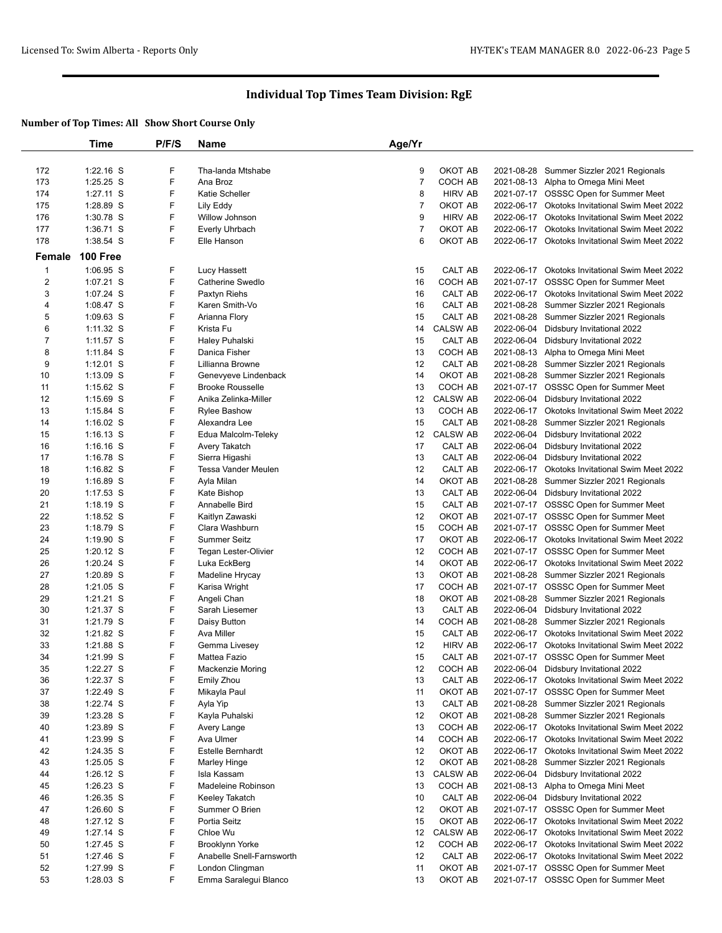|                | Time        | P/F/S | Name                      | Age/Yr         |                 |            |                                                |
|----------------|-------------|-------|---------------------------|----------------|-----------------|------------|------------------------------------------------|
|                |             |       |                           |                |                 |            |                                                |
| 172            | $1:22.16$ S | F     | Tha-landa Mtshabe         | 9              | OKOT AB         |            | 2021-08-28 Summer Sizzler 2021 Regionals       |
| 173            | $1:25.25$ S | F     | Ana Broz                  | $\overline{7}$ | COCH AB         |            | 2021-08-13 Alpha to Omega Mini Meet            |
| 174            | $1:27.11$ S | F     | <b>Katie Scheller</b>     | 8              | <b>HIRV AB</b>  |            | 2021-07-17 OSSSC Open for Summer Meet          |
| 175            | 1:28.89 S   | F     | Lily Eddy                 | 7              | OKOT AB         |            | 2022-06-17 Okotoks Invitational Swim Meet 2022 |
| 176            | 1:30.78 S   | F     | Willow Johnson            | 9              | <b>HIRV AB</b>  | 2022-06-17 | <b>Okotoks Invitational Swim Meet 2022</b>     |
| 177            | $1:36.71$ S | F     | Everly Uhrbach            | $\overline{7}$ | OKOT AB         | 2022-06-17 | Okotoks Invitational Swim Meet 2022            |
| 178            | 1:38.54 S   | F     | Elle Hanson               | 6              | OKOT AB         |            | 2022-06-17 Okotoks Invitational Swim Meet 2022 |
|                | 100 Free    |       |                           |                |                 |            |                                                |
| Female         |             |       |                           |                |                 |            |                                                |
| $\mathbf{1}$   | $1:06.95$ S | F     | Lucy Hassett              | 15             | CALT AB         | 2022-06-17 | <b>Okotoks Invitational Swim Meet 2022</b>     |
| $\overline{2}$ | $1:07.21$ S | F     | Catherine Swedlo          | 16             | COCH AB         |            | 2021-07-17 OSSSC Open for Summer Meet          |
| 3              | 1:07.24 S   | F     | Paxtyn Riehs              | 16             | CALT AB         | 2022-06-17 | Okotoks Invitational Swim Meet 2022            |
| 4              | $1:08.47$ S | F     | Karen Smith-Vo            | 16             | CALT AB         |            | 2021-08-28 Summer Sizzler 2021 Regionals       |
| 5              | $1:09.63$ S | F     | Arianna Flory             | 15             | CALT AB         | 2021-08-28 | Summer Sizzler 2021 Regionals                  |
| 6              | $1:11.32$ S | F     | Krista Fu                 | 14             | <b>CALSW AB</b> | 2022-06-04 | Didsbury Invitational 2022                     |
| 7              | $1:11.57$ S | F     | Haley Puhalski            | 15             | CALT AB         | 2022-06-04 | Didsbury Invitational 2022                     |
| 8              | $1:11.84$ S | F     | Danica Fisher             | 13             | COCH AB         | 2021-08-13 | Alpha to Omega Mini Meet                       |
| 9              | $1:12.01$ S | F     | Lillianna Browne          | 12             | CALT AB         | 2021-08-28 | Summer Sizzler 2021 Regionals                  |
| 10             | $1:13.09$ S | F     | Genevyeve Lindenback      | 14             | OKOT AB         |            | 2021-08-28 Summer Sizzler 2021 Regionals       |
| 11             | $1:15.62$ S | F     | <b>Brooke Rousselle</b>   | 13             | COCH AB         |            | 2021-07-17 OSSSC Open for Summer Meet          |
| 12             | $1:15.69$ S | F     | Anika Zelinka-Miller      | 12             | <b>CALSW AB</b> | 2022-06-04 | Didsbury Invitational 2022                     |
| 13             | $1:15.84$ S | F     | <b>Rylee Bashow</b>       | 13             | COCH AB         |            | 2022-06-17 Okotoks Invitational Swim Meet 2022 |
| 14             | $1:16.02$ S | F     | Alexandra Lee             | 15             | CALT AB         | 2021-08-28 | Summer Sizzler 2021 Regionals                  |
| 15             | $1:16.13$ S | F     | Edua Malcolm-Teleky       | 12             | CALSW AB        | 2022-06-04 | Didsbury Invitational 2022                     |
| 16             | $1:16.16$ S | F     | Avery Takatch             | 17             | CALT AB         | 2022-06-04 | Didsbury Invitational 2022                     |
| 17             | $1:16.78$ S | F     | Sierra Higashi            | 13             | CALT AB         | 2022-06-04 | Didsbury Invitational 2022                     |
| 18             | $1:16.82$ S | F     | Tessa Vander Meulen       | 12             | CALT AB         | 2022-06-17 | Okotoks Invitational Swim Meet 2022            |
| 19             | $1:16.89$ S | F     | Ayla Milan                | 14             | OKOT AB         | 2021-08-28 | Summer Sizzler 2021 Regionals                  |
| 20             | $1:17.53$ S | F     | Kate Bishop               | 13             | CALT AB         |            | 2022-06-04 Didsbury Invitational 2022          |
| 21             | $1:18.19$ S | F     | Annabelle Bird            | 15             | CALT AB         |            | 2021-07-17 OSSSC Open for Summer Meet          |
| 22             | 1:18.52 $S$ | F     | Kaitlyn Zawaski           | 12             | OKOT AB         |            | 2021-07-17 OSSSC Open for Summer Meet          |
| 23             | $1:18.79$ S | F     | Clara Washburn            | 15             | COCH AB         |            | 2021-07-17 OSSSC Open for Summer Meet          |
| 24             | $1:19.90$ S | F     | <b>Summer Seitz</b>       | 17             | OKOT AB         | 2022-06-17 | Okotoks Invitational Swim Meet 2022            |
| 25             | $1:20.12$ S | F     | Tegan Lester-Olivier      | 12             | COCH AB         |            | 2021-07-17 OSSSC Open for Summer Meet          |
| 26             | $1:20.24$ S | F     | Luka EckBerg              | 14             | OKOT AB         |            | 2022-06-17 Okotoks Invitational Swim Meet 2022 |
| 27             | 1:20.89 S   | F     | Madeline Hrycay           | 13             | OKOT AB         | 2021-08-28 | Summer Sizzler 2021 Regionals                  |
| 28             | $1:21.05$ S | F     | Karisa Wright             | 17             | COCH AB         |            | 2021-07-17 OSSSC Open for Summer Meet          |
| 29             | 1:21.21 S   | F     | Angeli Chan               | 18             | OKOT AB         |            | 2021-08-28 Summer Sizzler 2021 Regionals       |
| 30             | 1:21.37 S   | F     | Sarah Liesemer            | 13             | CALT AB         | 2022-06-04 | Didsbury Invitational 2022                     |
| 31             | 1:21.79 S   | F     | Daisy Button              | 14             | COCH AB         | 2021-08-28 | Summer Sizzler 2021 Regionals                  |
| 32             | 1:21.82 S   | F     | Ava Miller                | 15             | CALT AB         |            | 2022-06-17 Okotoks Invitational Swim Meet 2022 |
| 33             | 1:21.88 S   | F     | Gemma Livesey             | 12             | <b>HIRV AB</b>  |            | 2022-06-17 Okotoks Invitational Swim Meet 2022 |
| 34             | $1:21.99$ S | F     | Mattea Fazio              | 15             | CALT AB         |            | 2021-07-17 OSSSC Open for Summer Meet          |
| 35             | 1:22.27 S   | F     | Mackenzie Moring          | 12             | COCH AB         |            | 2022-06-04 Didsbury Invitational 2022          |
| 36             | $1:22.37$ S | F     | Emily Zhou                | 13             | CALT AB         |            | 2022-06-17 Okotoks Invitational Swim Meet 2022 |
| 37             | 1:22.49 S   | F     | Mikayla Paul              | 11             | OKOT AB         |            | 2021-07-17 OSSSC Open for Summer Meet          |
| 38             | 1:22.74 S   | F     | Ayla Yip                  | 13             | CALT AB         |            | 2021-08-28 Summer Sizzler 2021 Regionals       |
| 39             | $1:23.28$ S | F     | Kayla Puhalski            | 12             | OKOT AB         |            | 2021-08-28 Summer Sizzler 2021 Regionals       |
| 40             | 1:23.89 S   | F     | Avery Lange               | 13             | COCH AB         |            | 2022-06-17 Okotoks Invitational Swim Meet 2022 |
| 41             | 1:23.99 S   | F     | Ava Ulmer                 | 14             | COCH AB         |            | 2022-06-17 Okotoks Invitational Swim Meet 2022 |
| 42             | $1:24.35$ S | F     | Estelle Bernhardt         | 12             | OKOT AB         |            | 2022-06-17 Okotoks Invitational Swim Meet 2022 |
| 43             | $1:25.05$ S | F     | Marley Hinge              | 12             | OKOT AB         | 2021-08-28 | Summer Sizzler 2021 Regionals                  |
| 44             | $1:26.12$ S | F     | Isla Kassam               | 13             | <b>CALSW AB</b> | 2022-06-04 | Didsbury Invitational 2022                     |
| 45             | $1:26.23$ S | F     | Madeleine Robinson        | 13             | COCH AB         |            | 2021-08-13 Alpha to Omega Mini Meet            |
| 46             | $1:26.35$ S | F     | Keeley Takatch            | 10             | CALT AB         |            | 2022-06-04 Didsbury Invitational 2022          |
| 47             | 1:26.60 S   | F     | Summer O Brien            | 12             | OKOT AB         |            | 2021-07-17 OSSSC Open for Summer Meet          |
| 48             | $1:27.12$ S | F     | Portia Seitz              | 15             | OKOT AB         |            | 2022-06-17 Okotoks Invitational Swim Meet 2022 |
| 49             | $1:27.14$ S | F     | Chloe Wu                  | 12             | <b>CALSW AB</b> |            | 2022-06-17 Okotoks Invitational Swim Meet 2022 |
| 50             | 1:27.45 S   | F     | <b>Brooklynn Yorke</b>    | 12             | COCH AB         |            | 2022-06-17 Okotoks Invitational Swim Meet 2022 |
| 51             | $1:27.46$ S | F     | Anabelle Snell-Farnsworth | 12             | CALT AB         |            | 2022-06-17 Okotoks Invitational Swim Meet 2022 |
| 52             | 1:27.99 S   | F     | London Clingman           | 11             | OKOT AB         |            | 2021-07-17 OSSSC Open for Summer Meet          |
| 53             | $1:28.03$ S | F     | Emma Saralegui Blanco     | 13             | OKOT AB         |            | 2021-07-17 OSSSC Open for Summer Meet          |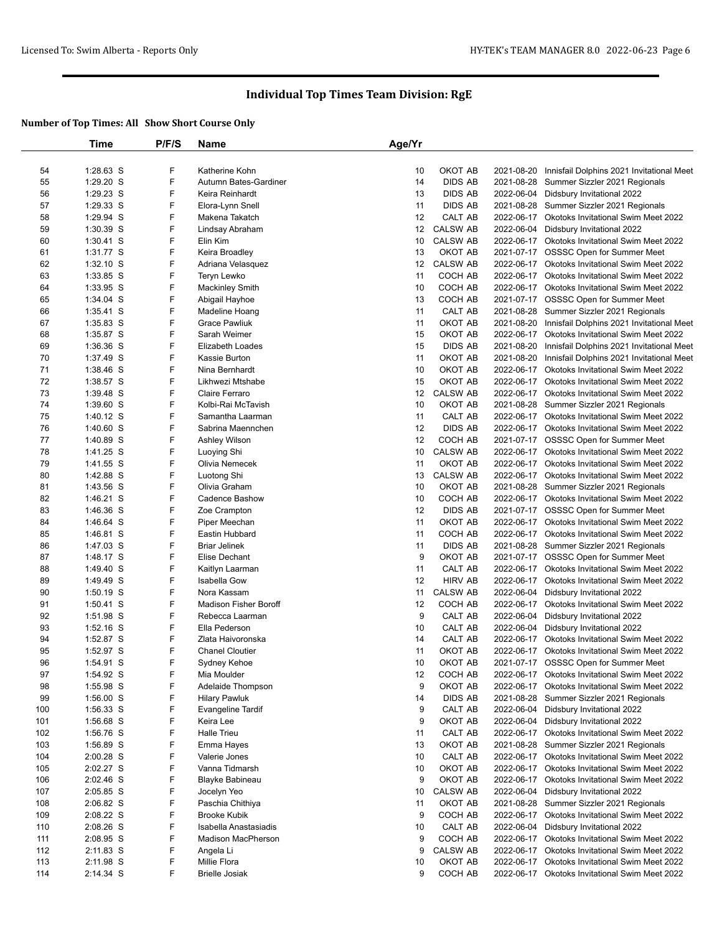|     | Time        | P/F/S | Name                         | Age/Yr |                 |            |                                                |
|-----|-------------|-------|------------------------------|--------|-----------------|------------|------------------------------------------------|
|     |             |       |                              |        |                 |            |                                                |
| 54  | $1:28.63$ S | F     | Katherine Kohn               | 10     | OKOT AB         | 2021-08-20 | Innisfail Dolphins 2021 Invitational Meet      |
| 55  | 1:29.20 S   | F     | Autumn Bates-Gardiner        | 14     | <b>DIDS AB</b>  | 2021-08-28 | Summer Sizzler 2021 Regionals                  |
| 56  | 1:29.23 S   | F     | Keira Reinhardt              | 13     | <b>DIDS AB</b>  |            | 2022-06-04 Didsbury Invitational 2022          |
| 57  | $1:29.33$ S | F     | Elora-Lynn Snell             | 11     | <b>DIDS AB</b>  | 2021-08-28 | Summer Sizzler 2021 Regionals                  |
| 58  | 1:29.94 S   | F     | Makena Takatch               | 12     | CALT AB         | 2022-06-17 | Okotoks Invitational Swim Meet 2022            |
| 59  | 1:30.39 S   | F     | Lindsay Abraham              | 12     | <b>CALSW AB</b> | 2022-06-04 | Didsbury Invitational 2022                     |
| 60  | $1:30.41$ S | F     | Elin Kim                     | 10     | <b>CALSW AB</b> |            | 2022-06-17 Okotoks Invitational Swim Meet 2022 |
| 61  | 1:31.77 S   | F     | Keira Broadley               | 13     | OKOT AB         |            | 2021-07-17 OSSSC Open for Summer Meet          |
| 62  | $1:32.10$ S | F     | Adriana Velasquez            | 12     | <b>CALSW AB</b> |            | 2022-06-17 Okotoks Invitational Swim Meet 2022 |
| 63  | 1:33.85 S   | F     | Teryn Lewko                  | 11     | COCH AB         |            | 2022-06-17 Okotoks Invitational Swim Meet 2022 |
| 64  | 1:33.95 S   | F     | <b>Mackinley Smith</b>       | 10     | COCH AB         |            | 2022-06-17 Okotoks Invitational Swim Meet 2022 |
| 65  | $1:34.04$ S | F     | Abigail Hayhoe               | 13     | COCH AB         |            | 2021-07-17 OSSSC Open for Summer Meet          |
| 66  | 1:35.41 S   | F     | Madeline Hoang               | 11     | CALT AB         | 2021-08-28 | Summer Sizzler 2021 Regionals                  |
| 67  | 1:35.83 S   | F     | <b>Grace Pawliuk</b>         | 11     | OKOT AB         | 2021-08-20 | Innisfail Dolphins 2021 Invitational Meet      |
| 68  | 1:35.87 S   | F     | Sarah Weimer                 | 15     | OKOT AB         |            | 2022-06-17 Okotoks Invitational Swim Meet 2022 |
| 69  | 1:36.36 S   | F     | Elizabeth Loades             | 15     | <b>DIDS AB</b>  | 2021-08-20 | Innisfail Dolphins 2021 Invitational Meet      |
| 70  | 1:37.49 S   | F     | Kassie Burton                | 11     | OKOT AB         | 2021-08-20 | Innisfail Dolphins 2021 Invitational Meet      |
| 71  | $1:38.46$ S | F     | Nina Bernhardt               | 10     | OKOT AB         |            | 2022-06-17 Okotoks Invitational Swim Meet 2022 |
| 72  | 1:38.57 S   | F     | Likhwezi Mtshabe             | 15     | OKOT AB         |            | 2022-06-17 Okotoks Invitational Swim Meet 2022 |
| 73  | 1:39.48 S   | F     | Claire Ferraro               | 12     | <b>CALSW AB</b> | 2022-06-17 | <b>Okotoks Invitational Swim Meet 2022</b>     |
| 74  | $1:39.60$ S | F     | Kolbi-Rai McTavish           | 10     | OKOT AB         |            | 2021-08-28 Summer Sizzler 2021 Regionals       |
| 75  | $1:40.12$ S | F     | Samantha Laarman             | 11     | CALT AB         |            | 2022-06-17 Okotoks Invitational Swim Meet 2022 |
| 76  | $1:40.60$ S | F     | Sabrina Maennchen            | 12     | <b>DIDS AB</b>  |            | 2022-06-17 Okotoks Invitational Swim Meet 2022 |
| 77  | 1:40.89 S   | F     | Ashley Wilson                | 12     | COCH AB         |            | 2021-07-17 OSSSC Open for Summer Meet          |
| 78  | 1:41.25 S   | F     | Luoying Shi                  | 10     | <b>CALSW AB</b> |            | 2022-06-17 Okotoks Invitational Swim Meet 2022 |
| 79  | 1:41.55 S   | F     | Olivia Nemecek               | 11     | OKOT AB         |            | 2022-06-17 Okotoks Invitational Swim Meet 2022 |
| 80  | 1:42.88 S   | F     | Luotong Shi                  | 13     | <b>CALSW AB</b> |            | 2022-06-17 Okotoks Invitational Swim Meet 2022 |
| 81  | 1:43.56 S   | F     | Olivia Graham                | 10     | OKOT AB         |            | 2021-08-28 Summer Sizzler 2021 Regionals       |
| 82  | 1:46.21 S   | F     | Cadence Bashow               | 10     | COCH AB         |            | 2022-06-17 Okotoks Invitational Swim Meet 2022 |
| 83  | 1:46.36 S   | F     | Zoe Crampton                 | 12     | <b>DIDS AB</b>  |            | 2021-07-17 OSSSC Open for Summer Meet          |
| 84  | 1:46.64 S   | F     | Piper Meechan                | 11     | OKOT AB         |            | 2022-06-17 Okotoks Invitational Swim Meet 2022 |
| 85  | 1:46.81 S   | F     | Eastin Hubbard               | 11     | COCH AB         |            | 2022-06-17 Okotoks Invitational Swim Meet 2022 |
| 86  | 1:47.03 S   | F     | <b>Briar Jelinek</b>         | 11     | <b>DIDS AB</b>  |            | 2021-08-28 Summer Sizzler 2021 Regionals       |
| 87  | 1:48.17 S   | F     | Elise Dechant                | 9      | OKOT AB         |            | 2021-07-17 OSSSC Open for Summer Meet          |
| 88  | 1:49.40 S   | F     | Kaitlyn Laarman              | 11     | CALT AB         |            | 2022-06-17 Okotoks Invitational Swim Meet 2022 |
| 89  | 1:49.49 S   | F     | Isabella Gow                 | 12     | <b>HIRV AB</b>  |            | 2022-06-17 Okotoks Invitational Swim Meet 2022 |
| 90  | $1:50.19$ S | F     | Nora Kassam                  | 11     | <b>CALSW AB</b> |            | 2022-06-04 Didsbury Invitational 2022          |
| 91  | $1:50.41$ S | F     | <b>Madison Fisher Boroff</b> | 12     | COCH AB         | 2022-06-17 | <b>Okotoks Invitational Swim Meet 2022</b>     |
| 92  | 1:51.98 S   | F     | Rebecca Laarman              | 9      | CALT AB         | 2022-06-04 | Didsbury Invitational 2022                     |
| 93  | $1:52.16$ S | F     | Ella Pederson                | 10     | CALT AB         |            | 2022-06-04 Didsbury Invitational 2022          |
| 94  | 1:52.87 S   | F     | Zlata Haivoronska            | 14     | CALT AB         |            | 2022-06-17 Okotoks Invitational Swim Meet 2022 |
| 95  | 1:52.97 S   | F     | <b>Chanel Cloutier</b>       | 11     | OKOT AB         |            | 2022-06-17 Okotoks Invitational Swim Meet 2022 |
| 96  | 1:54.91 S   | F     | Sydney Kehoe                 | 10     | OKOT AB         |            | 2021-07-17 OSSSC Open for Summer Meet          |
| 97  | 1:54.92 S   | F     | Mia Moulder                  | 12     | COCH AB         |            | 2022-06-17 Okotoks Invitational Swim Meet 2022 |
| 98  | 1:55.98 S   | F     | Adelaide Thompson            | 9      | OKOT AB         | 2022-06-17 | Okotoks Invitational Swim Meet 2022            |
| 99  | $1:56.00$ S | F     | <b>Hilary Pawluk</b>         | 14     | <b>DIDS AB</b>  | 2021-08-28 | Summer Sizzler 2021 Regionals                  |
| 100 | 1:56.33 S   | F     | <b>Evangeline Tardif</b>     | 9      | CALT AB         |            | 2022-06-04 Didsbury Invitational 2022          |
| 101 | 1:56.68 S   | F     | Keira Lee                    | 9      | OKOT AB         | 2022-06-04 | Didsbury Invitational 2022                     |
| 102 | 1:56.76 S   | F     | <b>Halle Trieu</b>           | 11     | CALT AB         | 2022-06-17 | Okotoks Invitational Swim Meet 2022            |
| 103 | 1:56.89 S   | F     | Emma Hayes                   | 13     | OKOT AB         |            | 2021-08-28 Summer Sizzler 2021 Regionals       |
| 104 | $2:00.28$ S | F     | Valerie Jones                | 10     | CALT AB         |            | 2022-06-17 Okotoks Invitational Swim Meet 2022 |
| 105 | 2:02.27 S   | F     | Vanna Tidmarsh               | 10     | OKOT AB         | 2022-06-17 | Okotoks Invitational Swim Meet 2022            |
| 106 | $2:02.46$ S | F     | Blayke Babineau              | 9      | OKOT AB         |            | 2022-06-17 Okotoks Invitational Swim Meet 2022 |
| 107 | 2:05.85 S   | F     | Jocelyn Yeo                  | 10     | CALSW AB        | 2022-06-04 | Didsbury Invitational 2022                     |
| 108 | 2:06.82 S   | F     | Paschia Chithiya             | 11     | OKOT AB         | 2021-08-28 | Summer Sizzler 2021 Regionals                  |
| 109 | 2:08.22 S   | F     | <b>Brooke Kubik</b>          | 9      | COCH AB         |            | 2022-06-17 Okotoks Invitational Swim Meet 2022 |
| 110 | 2:08.26 S   | F     | Isabella Anastasiadis        | 10     | CALT AB         | 2022-06-04 | Didsbury Invitational 2022                     |
| 111 | 2:08.95 S   | F     | <b>Madison MacPherson</b>    | 9      | COCH AB         | 2022-06-17 | Okotoks Invitational Swim Meet 2022            |
| 112 | $2:11.83$ S | F     | Angela Li                    | 9      | <b>CALSW AB</b> |            | 2022-06-17 Okotoks Invitational Swim Meet 2022 |
| 113 | 2:11.98 S   | F     | Millie Flora                 | 10     | OKOT AB         | 2022-06-17 | <b>Okotoks Invitational Swim Meet 2022</b>     |
| 114 | 2:14.34 S   | F     | <b>Brielle Josiak</b>        | 9      | COCH AB         |            | 2022-06-17 Okotoks Invitational Swim Meet 2022 |
|     |             |       |                              |        |                 |            |                                                |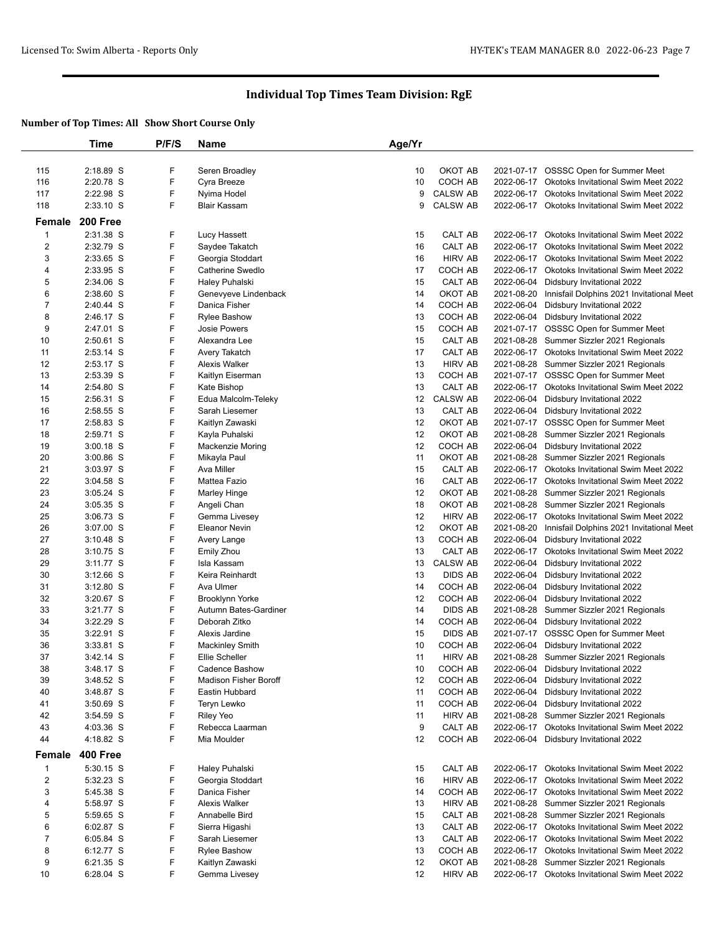|                | Time            | P/F/S | Name                         | Age/Yr |                 |            |                                                      |
|----------------|-----------------|-------|------------------------------|--------|-----------------|------------|------------------------------------------------------|
|                |                 |       |                              |        |                 |            |                                                      |
| 115            | 2:18.89 S       | F     | Seren Broadley               | 10     | OKOT AB         |            | 2021-07-17 OSSSC Open for Summer Meet                |
| 116            | 2:20.78 S       | F     | Cyra Breeze                  | 10     | COCH AB         | 2022-06-17 | <b>Okotoks Invitational Swim Meet 2022</b>           |
| 117            | 2:22.98 S       | F     | Nyima Hodel                  | 9      | <b>CALSW AB</b> |            | 2022-06-17 Okotoks Invitational Swim Meet 2022       |
| 118            | $2:33.10$ S     | F     | Blair Kassam                 | 9      | <b>CALSW AB</b> |            | 2022-06-17 Okotoks Invitational Swim Meet 2022       |
|                | <b>200 Free</b> |       |                              |        |                 |            |                                                      |
| Female         |                 |       |                              |        |                 |            |                                                      |
| $\mathbf 1$    | 2:31.38 S       | F     | Lucy Hassett                 | 15     | CALT AB         |            | 2022-06-17 Okotoks Invitational Swim Meet 2022       |
| 2              | 2:32.79 S       | F     | Saydee Takatch               | 16     | CALT AB         | 2022-06-17 | Okotoks Invitational Swim Meet 2022                  |
| 3              | 2:33.65 S       | F     | Georgia Stoddart             | 16     | <b>HIRV AB</b>  | 2022-06-17 | <b>Okotoks Invitational Swim Meet 2022</b>           |
| 4              | 2:33.95 S       | F     | Catherine Swedlo             | 17     | COCH AB         |            | 2022-06-17 Okotoks Invitational Swim Meet 2022       |
| 5              | 2:34.06 S       | F     | Haley Puhalski               | 15     | CALT AB         |            | 2022-06-04 Didsbury Invitational 2022                |
| 6              | 2:38.60 S       | F     | Genevyeve Lindenback         | 14     | OKOT AB         |            | 2021-08-20 Innisfail Dolphins 2021 Invitational Meet |
| $\overline{7}$ | 2:40.44 S       | F     | Danica Fisher                | 14     | COCH AB         |            | 2022-06-04 Didsbury Invitational 2022                |
| 8              | 2:46.17 S       | F     | <b>Rylee Bashow</b>          | 13     | COCH AB         |            | 2022-06-04 Didsbury Invitational 2022                |
| 9              | 2:47.01 S       | F     | Josie Powers                 | 15     | COCH AB         |            | 2021-07-17 OSSSC Open for Summer Meet                |
| 10             | $2:50.61$ S     | F     | Alexandra Lee                | 15     | CALT AB         |            | 2021-08-28 Summer Sizzler 2021 Regionals             |
| 11             | $2:53.14$ S     | F     | Avery Takatch                | 17     | CALT AB         |            | 2022-06-17 Okotoks Invitational Swim Meet 2022       |
| 12             | 2:53.17 S       | F     | <b>Alexis Walker</b>         | 13     | <b>HIRV AB</b>  |            | 2021-08-28 Summer Sizzler 2021 Regionals             |
| 13             | 2:53.39 S       | F     | Kaitlyn Eiserman             | 13     | COCH AB         |            | 2021-07-17 OSSSC Open for Summer Meet                |
| 14             | 2:54.80 S       | F     | Kate Bishop                  | 13     | CALT AB         |            | 2022-06-17 Okotoks Invitational Swim Meet 2022       |
| 15             | 2:56.31 S       | F     | Edua Malcolm-Teleky          | 12     | <b>CALSW AB</b> |            | 2022-06-04 Didsbury Invitational 2022                |
| 16             | $2:58.55$ S     | F     | Sarah Liesemer               | 13     | CALT AB         |            | 2022-06-04 Didsbury Invitational 2022                |
| 17             | 2:58.83 S       | F     | Kaitlyn Zawaski              | 12     | OKOT AB         |            | 2021-07-17 OSSSC Open for Summer Meet                |
| 18             | 2:59.71 S       | F     | Kayla Puhalski               | 12     | OKOT AB         |            | 2021-08-28 Summer Sizzler 2021 Regionals             |
| 19             | $3:00.18$ S     | F     | <b>Mackenzie Moring</b>      | 12     | COCH AB         |            | 2022-06-04 Didsbury Invitational 2022                |
| 20             | $3:00.86$ S     | F     | Mikayla Paul                 | 11     | OKOT AB         |            | 2021-08-28 Summer Sizzler 2021 Regionals             |
| 21             | 3:03.97 S       | F     | Ava Miller                   | 15     | CALT AB         |            | 2022-06-17 Okotoks Invitational Swim Meet 2022       |
| 22             | $3:04.58$ S     | F     | Mattea Fazio                 | 16     | CALT AB         |            | 2022-06-17 Okotoks Invitational Swim Meet 2022       |
| 23             | $3:05.24$ S     | F     | Marley Hinge                 | 12     | OKOT AB         |            | 2021-08-28 Summer Sizzler 2021 Regionals             |
| 24             | $3:05.35$ S     | F     | Angeli Chan                  | 18     | OKOT AB         |            | 2021-08-28 Summer Sizzler 2021 Regionals             |
| 25             | $3:06.73$ S     | F     | Gemma Livesey                | 12     | <b>HIRV AB</b>  |            | 2022-06-17 Okotoks Invitational Swim Meet 2022       |
| 26             | $3:07.00$ S     | F     | <b>Eleanor Nevin</b>         | 12     | OKOT AB         |            | 2021-08-20 Innisfail Dolphins 2021 Invitational Meet |
| 27             | $3:10.48$ S     | F     | Avery Lange                  | 13     | COCH AB         |            | 2022-06-04 Didsbury Invitational 2022                |
| 28             | $3:10.75$ S     | F     | <b>Emily Zhou</b>            | 13     | CALT AB         |            | 2022-06-17 Okotoks Invitational Swim Meet 2022       |
| 29             | $3:11.77$ S     | F     | Isla Kassam                  | 13     | <b>CALSW AB</b> |            | 2022-06-04 Didsbury Invitational 2022                |
| 30             | $3:12.66$ S     | F     | Keira Reinhardt              | 13     | DIDS AB         |            | 2022-06-04 Didsbury Invitational 2022                |
| 31             | $3:12.80$ S     | F     | Ava Ulmer                    | 14     | COCH AB         | 2022-06-04 | Didsbury Invitational 2022                           |
| 32             | $3:20.67$ S     | F     | Brooklynn Yorke              | 12     | COCH AB         |            | 2022-06-04 Didsbury Invitational 2022                |
| 33             | 3:21.77 S       | F     | Autumn Bates-Gardiner        | 14     | DIDS AB         |            | 2021-08-28 Summer Sizzler 2021 Regionals             |
| 34             | 3:22.29 S       | F     | Deborah Zitko                | 14     | COCH AB         |            | 2022-06-04 Didsbury Invitational 2022                |
| 35             | $3:22.91$ S     | F     | Alexis Jardine               | 15     | DIDS AB         |            | 2021-07-17 OSSSC Open for Summer Meet                |
| 36             | $3:33.81$ S     | F     | <b>Mackinley Smith</b>       | 10     | COCH AB         |            | 2022-06-04 Didsbury Invitational 2022                |
| 37             | $3:42.14$ S     | F     | Ellie Scheller               | 11     | <b>HIRV AB</b>  |            | 2021-08-28 Summer Sizzler 2021 Regionals             |
| 38             | 3:48.17 S       |       | Cadence Bashow               | 10     | COCH AB         |            | 2022-06-04 Didsbury Invitational 2022                |
| 39             | 3:48.52 S       | F     | <b>Madison Fisher Boroff</b> | 12     | COCH AB         |            | 2022-06-04 Didsbury Invitational 2022                |
| 40             | 3:48.87 S       | F     | Eastin Hubbard               | 11     | COCH AB         |            | 2022-06-04 Didsbury Invitational 2022                |
| 41             | $3:50.69$ S     | F     | Teryn Lewko                  | 11     | COCH AB         |            | 2022-06-04 Didsbury Invitational 2022                |
| 42             | $3:54.59$ S     | F     | <b>Riley Yeo</b>             | 11     | <b>HIRV AB</b>  |            | 2021-08-28 Summer Sizzler 2021 Regionals             |
| 43             | 4:03.36 S       | F     | Rebecca Laarman              | 9      | CALT AB         |            | 2022-06-17 Okotoks Invitational Swim Meet 2022       |
| 44             | 4:18.82 S       | F     | Mia Moulder                  | 12     | COCH AB         |            | 2022-06-04 Didsbury Invitational 2022                |
| Female         | 400 Free        |       |                              |        |                 |            |                                                      |
| $\mathbf{1}$   | 5:30.15 S       | F     | Haley Puhalski               | 15     | CALT AB         |            | 2022-06-17 Okotoks Invitational Swim Meet 2022       |
| 2              | 5:32.23 S       | F     | Georgia Stoddart             | 16     | HIRV AB         |            | 2022-06-17 Okotoks Invitational Swim Meet 2022       |
| 3              | 5:45.38 S       | F     | Danica Fisher                | 14     | COCH AB         |            | 2022-06-17 Okotoks Invitational Swim Meet 2022       |
| 4              | 5:58.97 S       | F     | Alexis Walker                | 13     | HIRV AB         |            | 2021-08-28 Summer Sizzler 2021 Regionals             |
| 5              | 5:59.65 S       | F     | Annabelle Bird               | 15     | CALT AB         |            | 2021-08-28 Summer Sizzler 2021 Regionals             |
| 6              | 6:02.87 S       | F     | Sierra Higashi               | 13     | CALT AB         |            | 2022-06-17 Okotoks Invitational Swim Meet 2022       |
| $\overline{7}$ | $6:05.84$ S     | F     | Sarah Liesemer               | 13     | CALT AB         |            | 2022-06-17 Okotoks Invitational Swim Meet 2022       |
| 8              | 6:12.77 S       | F     | <b>Rylee Bashow</b>          | 13     | COCH AB         |            | 2022-06-17 Okotoks Invitational Swim Meet 2022       |
| 9              | 6:21.35 S       | F     | Kaitlyn Zawaski              | 12     | OKOT AB         |            | 2021-08-28 Summer Sizzler 2021 Regionals             |
| 10             | 6:28.04 S       | F     | Gemma Livesey                | 12     | HIRV AB         |            | 2022-06-17 Okotoks Invitational Swim Meet 2022       |
|                |                 |       |                              |        |                 |            |                                                      |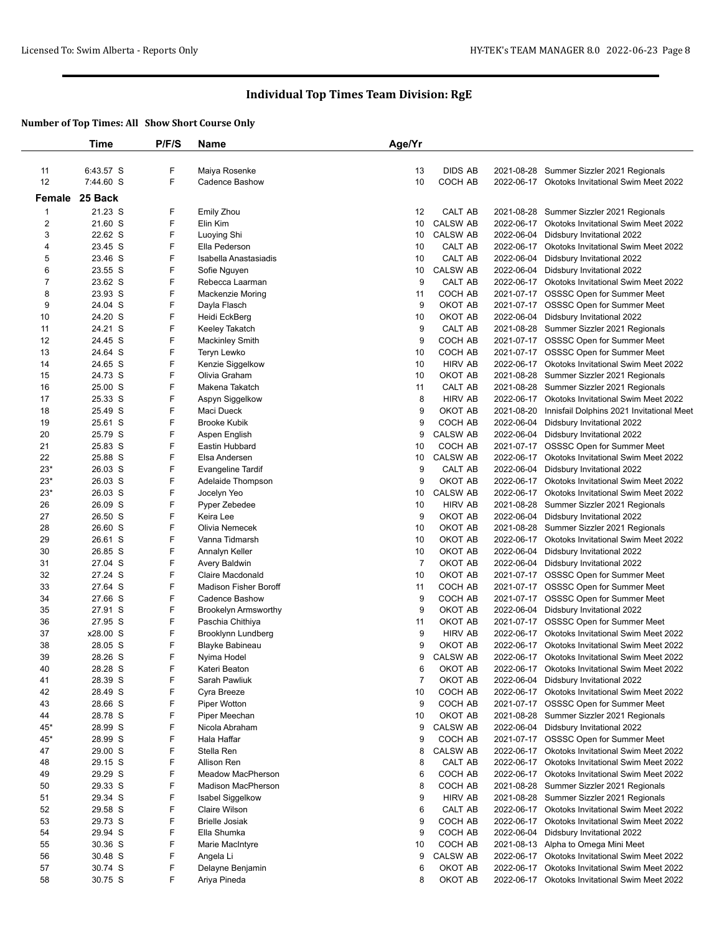|                         | Time               | P/F/S  | Name                             | Age/Yr         |                                   |                          |                                                                                                  |
|-------------------------|--------------------|--------|----------------------------------|----------------|-----------------------------------|--------------------------|--------------------------------------------------------------------------------------------------|
|                         |                    |        |                                  |                |                                   |                          |                                                                                                  |
| 11                      | 6:43.57 S          | F      | Maiya Rosenke                    | 13             | <b>DIDS AB</b>                    |                          | 2021-08-28 Summer Sizzler 2021 Regionals                                                         |
| 12                      | 7:44.60 S          | F      | <b>Cadence Bashow</b>            | 10             | COCH AB                           |                          | 2022-06-17 Okotoks Invitational Swim Meet 2022                                                   |
|                         | Female 25 Back     |        |                                  |                |                                   |                          |                                                                                                  |
| 1                       | 21.23 S            | F      | <b>Emily Zhou</b>                | 12             | CALT AB                           |                          | 2021-08-28 Summer Sizzler 2021 Regionals                                                         |
| $\overline{\mathbf{c}}$ | 21.60 S            | F      | Elin Kim                         | 10             | <b>CALSW AB</b>                   | 2022-06-17               | <b>Okotoks Invitational Swim Meet 2022</b>                                                       |
| 3                       | 22.62 S            | F      | Luoying Shi                      | 10             | <b>CALSW AB</b>                   | 2022-06-04               | Didsbury Invitational 2022                                                                       |
| 4                       | 23.45 S            | F      | Ella Pederson                    | 10             | CALT AB                           |                          | 2022-06-17 Okotoks Invitational Swim Meet 2022                                                   |
| 5                       | 23.46 S            | F      | Isabella Anastasiadis            | 10             | CALT AB                           | 2022-06-04               | Didsbury Invitational 2022                                                                       |
| 6                       | 23.55 S            | F      | Sofie Nguyen                     | 10             | <b>CALSW AB</b>                   | 2022-06-04               | Didsbury Invitational 2022                                                                       |
| $\overline{7}$          | 23.62 S            | F      | Rebecca Laarman                  | 9              | <b>CALT AB</b>                    |                          | 2022-06-17 Okotoks Invitational Swim Meet 2022                                                   |
| 8                       | 23.93 S            | F      | <b>Mackenzie Moring</b>          | 11             | COCH AB                           |                          | 2021-07-17 OSSSC Open for Summer Meet                                                            |
| 9                       | 24.04 S            | F      | Dayla Flasch                     | 9              | OKOT AB                           |                          | 2021-07-17 OSSSC Open for Summer Meet                                                            |
| 10                      | 24.20 S            | F      | Heidi EckBerg                    | 10             | OKOT AB                           | 2022-06-04               | Didsbury Invitational 2022                                                                       |
| 11                      | 24.21 S            | F      | Keeley Takatch                   | 9              | CALT AB                           |                          | 2021-08-28 Summer Sizzler 2021 Regionals                                                         |
| 12                      | 24.45 S            | F      | <b>Mackinley Smith</b>           | 9              | COCH AB                           |                          | 2021-07-17 OSSSC Open for Summer Meet                                                            |
| 13                      | 24.64 S            | F      | Teryn Lewko                      | 10             | COCH AB                           |                          | 2021-07-17 OSSSC Open for Summer Meet                                                            |
| 14                      | 24.65 S            | F      | Kenzie Siggelkow                 | 10             | <b>HIRV AB</b>                    |                          | 2022-06-17 Okotoks Invitational Swim Meet 2022                                                   |
| 15                      | 24.73 S            | F      | Olivia Graham                    | 10             | OKOT AB                           |                          | 2021-08-28 Summer Sizzler 2021 Regionals                                                         |
| 16                      | 25.00 S            | F      | Makena Takatch                   | 11             | CALT AB                           |                          | 2021-08-28 Summer Sizzler 2021 Regionals                                                         |
| 17                      | 25.33 S            | F      | Aspyn Siggelkow                  | 8              | <b>HIRV AB</b>                    |                          | 2022-06-17 Okotoks Invitational Swim Meet 2022                                                   |
| 18                      | 25.49 S            | F      | Maci Dueck                       | 9              | OKOT AB                           | 2021-08-20               | Innisfail Dolphins 2021 Invitational Meet                                                        |
| 19                      | 25.61 S            | F      | <b>Brooke Kubik</b>              | 9              | COCH AB                           | 2022-06-04               | Didsbury Invitational 2022                                                                       |
| 20                      | 25.79 S            | F      | Aspen English                    | 9              | <b>CALSW AB</b>                   | 2022-06-04               | Didsbury Invitational 2022                                                                       |
| 21                      | 25.83 S            | F      | Eastin Hubbard                   | 10             | COCH AB                           |                          | 2021-07-17 OSSSC Open for Summer Meet                                                            |
| 22                      | 25.88 S            | F      | Elsa Andersen                    | 10             | <b>CALSW AB</b>                   | 2022-06-17               | Okotoks Invitational Swim Meet 2022                                                              |
| $23*$                   | 26.03 S            | F<br>F | <b>Evangeline Tardif</b>         | 9              | CALT AB<br>OKOT AB                | 2022-06-04               | Didsbury Invitational 2022                                                                       |
| $23*$                   | 26.03 S            | F      | Adelaide Thompson                | 9              |                                   |                          | 2022-06-17 Okotoks Invitational Swim Meet 2022                                                   |
| $23*$<br>26             | 26.03 S<br>26.09 S | F      | Jocelyn Yeo                      | 10<br>10       | <b>CALSW AB</b><br><b>HIRV AB</b> | 2022-06-17<br>2021-08-28 | Okotoks Invitational Swim Meet 2022                                                              |
| 27                      | 26.50 S            | F      | Pyper Zebedee<br>Keira Lee       | 9              | OKOT AB                           | 2022-06-04               | Summer Sizzler 2021 Regionals<br>Didsbury Invitational 2022                                      |
| 28                      | 26.60 S            | F      | Olivia Nemecek                   | 10             | OKOT AB                           |                          | 2021-08-28 Summer Sizzler 2021 Regionals                                                         |
| 29                      | 26.61 S            | F      | Vanna Tidmarsh                   | 10             | OKOT AB                           | 2022-06-17               | <b>Okotoks Invitational Swim Meet 2022</b>                                                       |
| 30                      | 26.85 S            | F      | Annalyn Keller                   | 10             | OKOT AB                           | 2022-06-04               | Didsbury Invitational 2022                                                                       |
| 31                      | 27.04 S            | F      | Avery Baldwin                    | $\overline{7}$ | OKOT AB                           |                          | 2022-06-04 Didsbury Invitational 2022                                                            |
| 32                      | 27.24 S            | F      | Claire Macdonald                 | 10             | OKOT AB                           |                          | 2021-07-17 OSSSC Open for Summer Meet                                                            |
| 33                      | 27.64 S            | F      | Madison Fisher Boroff            | 11             | COCH AB                           |                          | 2021-07-17 OSSSC Open for Summer Meet                                                            |
| 34                      | 27.66 S            | F      | <b>Cadence Bashow</b>            | 9              | COCH AB                           |                          | 2021-07-17 OSSSC Open for Summer Meet                                                            |
| 35                      | 27.91 S            | F      | <b>Brookelyn Armsworthy</b>      | 9              | OKOT AB                           |                          | 2022-06-04 Didsbury Invitational 2022                                                            |
| 36                      | 27.95 S            | F      | Paschia Chithiya                 | 11             | OKOT AB                           |                          | 2021-07-17 OSSSC Open for Summer Meet                                                            |
| 37                      | x28.00 S           | F      | Brooklynn Lundberg               | 9              | <b>HIRV AB</b>                    |                          | 2022-06-17 Okotoks Invitational Swim Meet 2022                                                   |
| 38                      | 28.05 S            | F      | Blayke Babineau                  | 9              | OKOT AB                           |                          | 2022-06-17 Okotoks Invitational Swim Meet 2022                                                   |
| 39                      | 28.26 S            | F      | Nyima Hodel                      | 9              | <b>CALSW AB</b>                   |                          | 2022-06-17 Okotoks Invitational Swim Meet 2022                                                   |
| 40                      | 28.28 S            | F      | Kateri Beaton                    |                | OKOT AB                           |                          | 2022-06-17 Okotoks Invitational Swim Meet 2022                                                   |
| 41                      | 28.39 S            | F      | Sarah Pawliuk                    | 7              | OKOT AB                           |                          | 2022-06-04 Didsbury Invitational 2022                                                            |
| 42                      | 28.49 S            | F      | Cyra Breeze                      | 10             | COCH AB                           |                          | 2022-06-17 Okotoks Invitational Swim Meet 2022                                                   |
| 43                      | 28.66 S            | F      | Piper Wotton                     | 9              | COCH AB                           |                          | 2021-07-17 OSSSC Open for Summer Meet                                                            |
| 44                      | 28.78 S            | F      | Piper Meechan                    | 10             | OKOT AB                           |                          | 2021-08-28 Summer Sizzler 2021 Regionals                                                         |
| $45*$                   | 28.99 S            | F      | Nicola Abraham                   | 9              | <b>CALSW AB</b>                   |                          | 2022-06-04 Didsbury Invitational 2022                                                            |
| $45*$                   | 28.99 S            | F      | Hala Haffar                      | 9              | COCH AB                           |                          | 2021-07-17 OSSSC Open for Summer Meet                                                            |
| 47                      | 29.00 S            | F      | Stella Ren                       | 8              | <b>CALSW AB</b>                   |                          | 2022-06-17 Okotoks Invitational Swim Meet 2022                                                   |
| 48                      | 29.15 S            | F      | Allison Ren                      | 8              | CALT AB                           | 2022-06-17               | Okotoks Invitational Swim Meet 2022                                                              |
| 49                      | 29.29 S            | F      | Meadow MacPherson                | 6              | <b>COCH AB</b>                    |                          | 2022-06-17 Okotoks Invitational Swim Meet 2022                                                   |
| 50                      | 29.33 S            | F      | <b>Madison MacPherson</b>        | 8              | COCH AB                           |                          | 2021-08-28 Summer Sizzler 2021 Regionals                                                         |
| 51                      | 29.34 S            | F      | Isabel Siggelkow                 | 9              | <b>HIRV AB</b>                    |                          | 2021-08-28 Summer Sizzler 2021 Regionals                                                         |
| 52                      | 29.58 S            | F      | Claire Wilson                    | 6              | CALT AB                           |                          | 2022-06-17 Okotoks Invitational Swim Meet 2022                                                   |
| 53                      | 29.73 S            | F      | <b>Brielle Josiak</b>            | 9              | COCH AB                           |                          | 2022-06-17 Okotoks Invitational Swim Meet 2022                                                   |
| 54                      | 29.94 S            | F      | Ella Shumka                      | 9              | COCH AB                           |                          | 2022-06-04 Didsbury Invitational 2022                                                            |
| 55                      | 30.36 S            | F<br>F | Marie MacIntyre                  | 10             | COCH AB                           |                          | 2021-08-13 Alpha to Omega Mini Meet                                                              |
| 56                      | 30.48 S            | F      | Angela Li                        | 9              | <b>CALSW AB</b><br>OKOT AB        |                          | 2022-06-17 Okotoks Invitational Swim Meet 2022                                                   |
| 57<br>58                | 30.74 S<br>30.75 S | F      | Delayne Benjamin<br>Ariya Pineda | 6<br>8         | OKOT AB                           |                          | 2022-06-17 Okotoks Invitational Swim Meet 2022<br>2022-06-17 Okotoks Invitational Swim Meet 2022 |
|                         |                    |        |                                  |                |                                   |                          |                                                                                                  |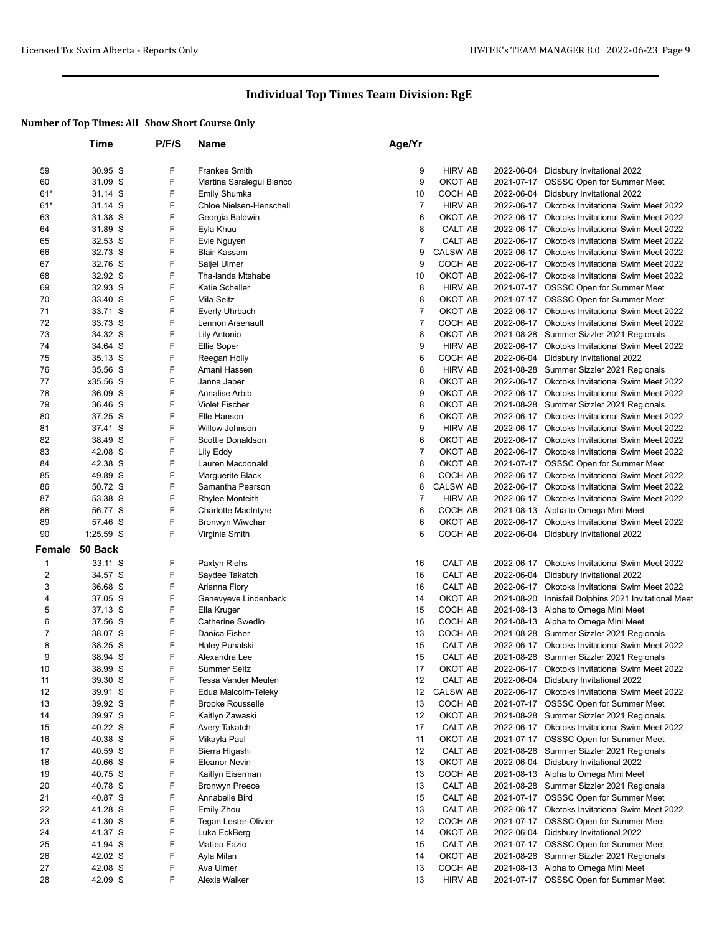|                | Time               | P/F/S  | <b>Name</b>                          | Age/Yr              |                           |            |                                                                                         |
|----------------|--------------------|--------|--------------------------------------|---------------------|---------------------------|------------|-----------------------------------------------------------------------------------------|
|                |                    |        |                                      |                     |                           |            |                                                                                         |
| 59             | 30.95 S            | F      | Frankee Smith                        | 9                   | <b>HIRV AB</b>            |            | 2022-06-04 Didsbury Invitational 2022                                                   |
| 60             | 31.09 S            | F      | Martina Saralegui Blanco             | 9                   | OKOT AB                   |            | 2021-07-17 OSSSC Open for Summer Meet                                                   |
| $61*$          | 31.14 S            | F      | Emily Shumka                         | 10                  | COCH AB                   |            | 2022-06-04 Didsbury Invitational 2022                                                   |
| $61*$          | 31.14 S            | F      | Chloe Nielsen-Henschell              | $\overline{7}$      | <b>HIRV AB</b>            |            | 2022-06-17 Okotoks Invitational Swim Meet 2022                                          |
| 63             | 31.38 S            | F      | Georgia Baldwin                      | 6                   | OKOT AB                   | 2022-06-17 | <b>Okotoks Invitational Swim Meet 2022</b>                                              |
| 64             | 31.89 S            | F      | Eyla Khuu                            | 8                   | CALT AB                   |            | 2022-06-17 Okotoks Invitational Swim Meet 2022                                          |
| 65             | 32.53 S            | F      | Evie Nguyen                          | $\overline{7}$      | CALT AB                   |            | 2022-06-17 Okotoks Invitational Swim Meet 2022                                          |
| 66             | 32.73 S            | F      | <b>Blair Kassam</b>                  | 9                   | <b>CALSW AB</b>           | 2022-06-17 | Okotoks Invitational Swim Meet 2022                                                     |
| 67             | 32.76 S            | F      | Saijel Ulmer                         | 9                   | COCH AB                   |            | 2022-06-17 Okotoks Invitational Swim Meet 2022                                          |
| 68             | 32.92 S            | F      | Tha-landa Mtshabe                    | 10                  | OKOT AB                   |            | 2022-06-17 Okotoks Invitational Swim Meet 2022                                          |
| 69             | 32.93 S            | F      | Katie Scheller                       | 8                   | <b>HIRV AB</b><br>OKOT AB |            | 2021-07-17 OSSSC Open for Summer Meet                                                   |
| 70<br>71       | 33.40 S            | F<br>F | Mila Seitz                           | 8<br>$\overline{7}$ | OKOT AB                   |            | 2021-07-17 OSSSC Open for Summer Meet<br>2022-06-17 Okotoks Invitational Swim Meet 2022 |
| 72             | 33.71 S<br>33.73 S | F      | Everly Uhrbach<br>Lennon Arsenault   | $\overline{7}$      | COCH AB                   | 2022-06-17 |                                                                                         |
| 73             | 34.32 S            | F      | Lily Antonio                         | 8                   | OKOT AB                   |            | Okotoks Invitational Swim Meet 2022<br>2021-08-28 Summer Sizzler 2021 Regionals         |
| 74             | 34.64 S            | F      | Ellie Soper                          | 9                   | <b>HIRV AB</b>            |            | 2022-06-17 Okotoks Invitational Swim Meet 2022                                          |
| 75             | 35.13 S            | F      | Reegan Holly                         | 6                   | COCH AB                   |            | 2022-06-04 Didsbury Invitational 2022                                                   |
| 76             | 35.56 S            | F      | Amani Hassen                         | 8                   | <b>HIRV AB</b>            |            | 2021-08-28 Summer Sizzler 2021 Regionals                                                |
| 77             | x35.56 S           | F      | Janna Jaber                          | 8                   | OKOT AB                   |            | 2022-06-17 Okotoks Invitational Swim Meet 2022                                          |
| 78             | 36.09 S            | F      | Annalise Arbib                       | 9                   | OKOT AB                   |            | 2022-06-17 Okotoks Invitational Swim Meet 2022                                          |
| 79             | 36.46 S            | F      | <b>Violet Fischer</b>                | 8                   | OKOT AB                   |            | 2021-08-28 Summer Sizzler 2021 Regionals                                                |
| 80             | 37.25 S            | F      | Elle Hanson                          | 6                   | OKOT AB                   |            | 2022-06-17 Okotoks Invitational Swim Meet 2022                                          |
| 81             | 37.41 S            | F      | Willow Johnson                       | 9                   | <b>HIRV AB</b>            |            | 2022-06-17 Okotoks Invitational Swim Meet 2022                                          |
| 82             | 38.49 S            | F      | Scottie Donaldson                    | 6                   | OKOT AB                   |            | 2022-06-17 Okotoks Invitational Swim Meet 2022                                          |
| 83             | 42.08 S            | F      | Lily Eddy                            | $\overline{7}$      | OKOT AB                   |            | 2022-06-17 Okotoks Invitational Swim Meet 2022                                          |
| 84             | 42.38 S            | F      | Lauren Macdonald                     | 8                   | OKOT AB                   |            | 2021-07-17 OSSSC Open for Summer Meet                                                   |
| 85             | 49.89 S            | F      | Marguerite Black                     | 8                   | COCH AB                   |            | 2022-06-17 Okotoks Invitational Swim Meet 2022                                          |
| 86             | 50.72 S            | F      | Samantha Pearson                     | 8                   | <b>CALSW AB</b>           |            | 2022-06-17 Okotoks Invitational Swim Meet 2022                                          |
| 87             | 53.38 S            | F      | Rhylee Monteith                      | $\overline{7}$      | <b>HIRV AB</b>            |            | 2022-06-17 Okotoks Invitational Swim Meet 2022                                          |
| 88             | 56.77 S            | F      | <b>Charlotte MacIntyre</b>           | 6                   | COCH AB                   |            | 2021-08-13 Alpha to Omega Mini Meet                                                     |
| 89             | 57.46 S            | F      | Bronwyn Wiwchar                      | 6                   | OKOT AB                   |            | 2022-06-17 Okotoks Invitational Swim Meet 2022                                          |
| 90             | 1:25.59 S          | F      | Virginia Smith                       | 6                   | COCH AB                   |            | 2022-06-04 Didsbury Invitational 2022                                                   |
|                | Female 50 Back     |        |                                      |                     |                           |            |                                                                                         |
| $\mathbf{1}$   | 33.11 S            | F      | Paxtyn Riehs                         | 16                  | CALT AB                   | 2022-06-17 | <b>Okotoks Invitational Swim Meet 2022</b>                                              |
| $\overline{c}$ | 34.57 S            | F      | Saydee Takatch                       | 16                  | CALT AB                   |            | 2022-06-04 Didsbury Invitational 2022                                                   |
| 3              | 36.68 S            | F      | Arianna Flory                        | 16                  | CALT AB                   |            | 2022-06-17 Okotoks Invitational Swim Meet 2022                                          |
| 4              | 37.05 S            | F      | Genevyeve Lindenback                 | 14                  | OKOT AB                   |            | 2021-08-20 Innisfail Dolphins 2021 Invitational Meet                                    |
| 5              | 37.13 S            | F      | Ella Kruger                          | 15                  | COCH AB                   |            | 2021-08-13 Alpha to Omega Mini Meet                                                     |
| 6              | 37.56 S            | F      | Catherine Swedlo                     | 16                  | COCH AB                   |            | 2021-08-13 Alpha to Omega Mini Meet                                                     |
| $\overline{7}$ | 38.07 S            | F      | Danica Fisher                        | 13                  | COCH AB                   |            | 2021-08-28 Summer Sizzler 2021 Regionals                                                |
| 8              | 38.25 S            | F      | Haley Puhalski                       | 15                  | CALT AB                   |            | 2022-06-17 Okotoks Invitational Swim Meet 2022                                          |
| 9              | 38.94 S            | F      | Alexandra Lee                        | 15                  | CALT AB                   |            | 2021-08-28 Summer Sizzler 2021 Regionals                                                |
| 10             | 38.99 S            | F      | Summer Seitz                         | 17                  | OKOT AB                   |            | 2022-06-17 Okotoks Invitational Swim Meet 2022                                          |
| 11             | 39.30 S            | F      | Tessa Vander Meulen                  | 12                  | CALT AB                   |            | 2022-06-04 Didsbury Invitational 2022                                                   |
| 12             | 39.91 S            | F      | Edua Malcolm-Teleky                  | 12                  | <b>CALSW AB</b>           |            | 2022-06-17 Okotoks Invitational Swim Meet 2022                                          |
| 13             | 39.92 S            | F      | <b>Brooke Rousselle</b>              | 13                  | COCH AB                   |            | 2021-07-17 OSSSC Open for Summer Meet                                                   |
| 14             | 39.97 S            | F      | Kaitlyn Zawaski                      | 12                  | OKOT AB                   |            | 2021-08-28 Summer Sizzler 2021 Regionals                                                |
| 15             | 40.22 S            | F      | Avery Takatch                        | 17                  | CALT AB                   |            | 2022-06-17 Okotoks Invitational Swim Meet 2022                                          |
| 16             | 40.38 S            | F      | Mikayla Paul                         | 11                  | OKOT AB                   |            | 2021-07-17 OSSSC Open for Summer Meet                                                   |
| 17             | 40.59 S            | F      | Sierra Higashi                       | 12                  | CALT AB                   |            | 2021-08-28 Summer Sizzler 2021 Regionals                                                |
| 18             | 40.66 S            | F      | Eleanor Nevin                        | 13                  | OKOT AB                   |            | 2022-06-04 Didsbury Invitational 2022                                                   |
| 19             | 40.75 S            | F      | Kaitlyn Eiserman                     | 13                  | COCH AB                   |            | 2021-08-13 Alpha to Omega Mini Meet                                                     |
| 20             | 40.78 S            | F      | Bronwyn Preece                       | 13                  | CALT AB                   |            | 2021-08-28 Summer Sizzler 2021 Regionals                                                |
| 21             | 40.87 S            | F<br>F | Annabelle Bird                       | 15                  | CALT AB                   |            | 2021-07-17 OSSSC Open for Summer Meet                                                   |
| 22<br>23       | 41.28 S<br>41.30 S | F      | Emily Zhou                           | 13<br>12            | CALT AB<br>COCH AB        |            | 2022-06-17 Okotoks Invitational Swim Meet 2022                                          |
| 24             | 41.37 S            | F      | Tegan Lester-Olivier<br>Luka EckBerg | 14                  | OKOT AB                   |            | 2021-07-17 OSSSC Open for Summer Meet<br>2022-06-04 Didsbury Invitational 2022          |
| 25             | 41.94 S            | F      | Mattea Fazio                         | 15                  | CALT AB                   |            | 2021-07-17 OSSSC Open for Summer Meet                                                   |
| 26             | 42.02 S            | F      | Ayla Milan                           | 14                  | OKOT AB                   |            | 2021-08-28 Summer Sizzler 2021 Regionals                                                |
| 27             | 42.08 S            | F      | Ava Ulmer                            | 13                  | COCH AB                   |            | 2021-08-13 Alpha to Omega Mini Meet                                                     |
| 28             | 42.09 S            | F      | Alexis Walker                        | 13                  | HIRV AB                   |            | 2021-07-17 OSSSC Open for Summer Meet                                                   |
|                |                    |        |                                      |                     |                           |            |                                                                                         |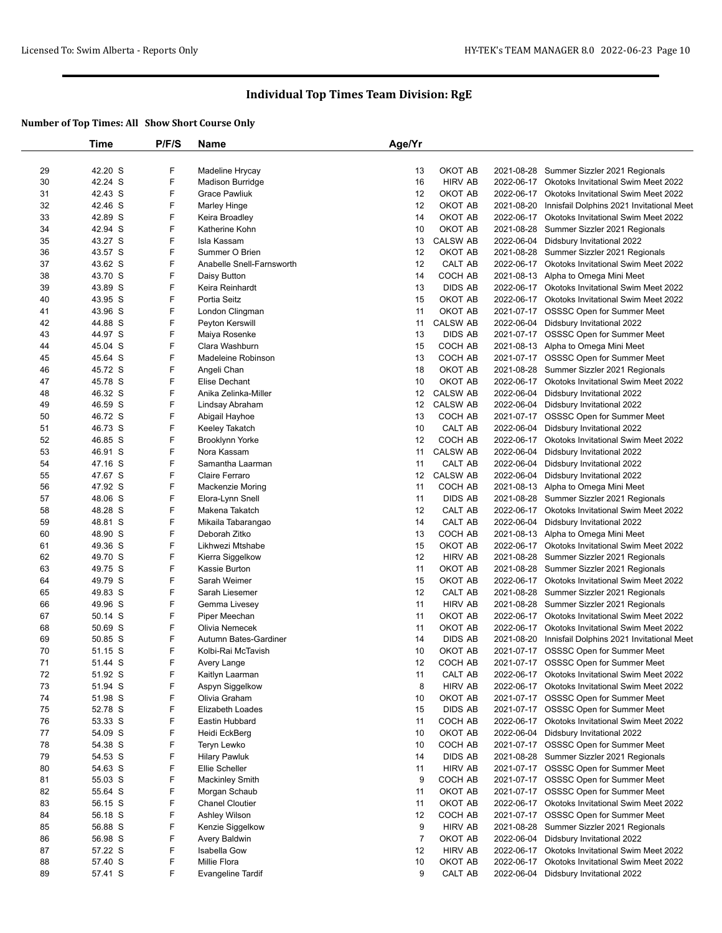|    | Time    | P/F/S | Name                      | Age/Yr          |                 |            |                                                |
|----|---------|-------|---------------------------|-----------------|-----------------|------------|------------------------------------------------|
|    |         |       |                           |                 |                 |            |                                                |
| 29 | 42.20 S | F     | Madeline Hrycay           | 13              | OKOT AB         | 2021-08-28 | Summer Sizzler 2021 Regionals                  |
| 30 | 42.24 S | F     | <b>Madison Burridge</b>   | 16              | <b>HIRV AB</b>  | 2022-06-17 | <b>Okotoks Invitational Swim Meet 2022</b>     |
| 31 | 42.43 S | F     | <b>Grace Pawliuk</b>      | 12              | OKOT AB         | 2022-06-17 | Okotoks Invitational Swim Meet 2022            |
| 32 | 42.46 S | F     | Marley Hinge              | 12              | OKOT AB         | 2021-08-20 | Innisfail Dolphins 2021 Invitational Meet      |
| 33 | 42.89 S | F     | Keira Broadley            | 14              | OKOT AB         | 2022-06-17 | <b>Okotoks Invitational Swim Meet 2022</b>     |
| 34 | 42.94 S | F     | Katherine Kohn            | 10              | OKOT AB         | 2021-08-28 | Summer Sizzler 2021 Regionals                  |
| 35 | 43.27 S | F     | Isla Kassam               | 13              | <b>CALSW AB</b> | 2022-06-04 | Didsbury Invitational 2022                     |
| 36 | 43.57 S | F     | Summer O Brien            | 12              | OKOT AB         |            | 2021-08-28 Summer Sizzler 2021 Regionals       |
| 37 | 43.62 S | F     | Anabelle Snell-Farnsworth | 12              | CALT AB         |            | 2022-06-17 Okotoks Invitational Swim Meet 2022 |
| 38 | 43.70 S | F     | Daisy Button              | 14              | COCH AB         |            | 2021-08-13 Alpha to Omega Mini Meet            |
| 39 | 43.89 S | F     | Keira Reinhardt           | 13              | <b>DIDS AB</b>  | 2022-06-17 | Okotoks Invitational Swim Meet 2022            |
| 40 | 43.95 S | F     | Portia Seitz              | 15              | OKOT AB         |            | 2022-06-17 Okotoks Invitational Swim Meet 2022 |
| 41 | 43.96 S | F     | London Clingman           | 11              | OKOT AB         |            | 2021-07-17 OSSSC Open for Summer Meet          |
| 42 | 44.88 S | F     | Peyton Kerswill           | 11              | <b>CALSW AB</b> |            | 2022-06-04 Didsbury Invitational 2022          |
| 43 | 44.97 S | F     | Maiya Rosenke             | 13              | <b>DIDS AB</b>  |            | 2021-07-17 OSSSC Open for Summer Meet          |
| 44 | 45.04 S | F     | Clara Washburn            | 15              | COCH AB         |            | 2021-08-13 Alpha to Omega Mini Meet            |
| 45 | 45.64 S | F     | Madeleine Robinson        | 13              | COCH AB         |            | 2021-07-17 OSSSC Open for Summer Meet          |
| 46 | 45.72 S | F     | Angeli Chan               | 18              | OKOT AB         |            | 2021-08-28 Summer Sizzler 2021 Regionals       |
| 47 | 45.78 S | F     | Elise Dechant             | 10              | OKOT AB         | 2022-06-17 | <b>Okotoks Invitational Swim Meet 2022</b>     |
| 48 | 46.32 S | F     | Anika Zelinka-Miller      | 12              | <b>CALSW AB</b> | 2022-06-04 | Didsbury Invitational 2022                     |
| 49 | 46.59 S | F     | Lindsay Abraham           | 12              | <b>CALSW AB</b> |            | 2022-06-04 Didsbury Invitational 2022          |
| 50 | 46.72 S | F     | Abigail Hayhoe            | 13              | COCH AB         | 2021-07-17 | <b>OSSSC Open for Summer Meet</b>              |
| 51 | 46.73 S | F     | Keeley Takatch            | 10              | CALT AB         | 2022-06-04 | Didsbury Invitational 2022                     |
| 52 | 46.85 S | F     | Brooklynn Yorke           | 12              | COCH AB         | 2022-06-17 | Okotoks Invitational Swim Meet 2022            |
| 53 | 46.91 S | F     | Nora Kassam               | 11              | <b>CALSW AB</b> | 2022-06-04 | Didsbury Invitational 2022                     |
| 54 | 47.16 S | F     | Samantha Laarman          | 11              | CALT AB         | 2022-06-04 | Didsbury Invitational 2022                     |
| 55 | 47.67 S | F     | Claire Ferraro            | 12 <sup>°</sup> | <b>CALSW AB</b> | 2022-06-04 | Didsbury Invitational 2022                     |
| 56 | 47.92 S | F     | <b>Mackenzie Moring</b>   | 11              | COCH AB         | 2021-08-13 | Alpha to Omega Mini Meet                       |
| 57 | 48.06 S | F     | Elora-Lynn Snell          | 11              | <b>DIDS AB</b>  | 2021-08-28 | Summer Sizzler 2021 Regionals                  |
| 58 | 48.28 S | F     | Makena Takatch            | 12              | CALT AB         |            | 2022-06-17 Okotoks Invitational Swim Meet 2022 |
| 59 | 48.81 S | F     | Mikaila Tabarangao        | 14              | CALT AB         | 2022-06-04 | Didsbury Invitational 2022                     |
| 60 | 48.90 S | F     | Deborah Zitko             | 13              | COCH AB         | 2021-08-13 | Alpha to Omega Mini Meet                       |
| 61 | 49.36 S | F     | Likhwezi Mtshabe          | 15              | OKOT AB         |            | 2022-06-17 Okotoks Invitational Swim Meet 2022 |
| 62 | 49.70 S | F     | Kierra Siggelkow          | 12              | <b>HIRV AB</b>  | 2021-08-28 | Summer Sizzler 2021 Regionals                  |
| 63 | 49.75 S | F     | Kassie Burton             | 11              | OKOT AB         | 2021-08-28 | Summer Sizzler 2021 Regionals                  |
| 64 | 49.79 S | F     | Sarah Weimer              | 15              | OKOT AB         |            | 2022-06-17 Okotoks Invitational Swim Meet 2022 |
| 65 | 49.83 S | F     | Sarah Liesemer            | 12              | CALT AB         |            | 2021-08-28 Summer Sizzler 2021 Regionals       |
| 66 | 49.96 S | F     | Gemma Livesey             | 11              | <b>HIRV AB</b>  | 2021-08-28 | Summer Sizzler 2021 Regionals                  |
| 67 | 50.14 S | F     | Piper Meechan             | 11              | OKOT AB         |            | 2022-06-17 Okotoks Invitational Swim Meet 2022 |
| 68 | 50.69 S | F     | Olivia Nemecek            | 11              | OKOT AB         | 2022-06-17 | Okotoks Invitational Swim Meet 2022            |
| 69 | 50.85 S | F     | Autumn Bates-Gardiner     | 14              | <b>DIDS AB</b>  | 2021-08-20 | Innisfail Dolphins 2021 Invitational Meet      |
| 70 | 51.15 S | F     | Kolbi-Rai McTavish        | 10              | OKOT AB         |            | 2021-07-17 OSSSC Open for Summer Meet          |
| 71 | 51.44 S | F     | Avery Lange               | 12              | COCH AB         |            | 2021-07-17 OSSSC Open for Summer Meet          |
| 72 | 51.92 S | F     | Kaitlyn Laarman           | 11              | CALT AB         |            | 2022-06-17 Okotoks Invitational Swim Meet 2022 |
| 73 | 51.94 S | F     | Aspyn Siggelkow           | 8               | <b>HIRV AB</b>  |            | 2022-06-17 Okotoks Invitational Swim Meet 2022 |
| 74 | 51.98 S | F     | Olivia Graham             | 10              | OKOT AB         |            | 2021-07-17 OSSSC Open for Summer Meet          |
| 75 | 52.78 S | F     | Elizabeth Loades          | 15              | <b>DIDS AB</b>  |            | 2021-07-17 OSSSC Open for Summer Meet          |
| 76 | 53.33 S | F     | Eastin Hubbard            | 11              | COCH AB         |            | 2022-06-17 Okotoks Invitational Swim Meet 2022 |
| 77 | 54.09 S | F     | Heidi EckBerg             | 10              | OKOT AB         |            | 2022-06-04 Didsbury Invitational 2022          |
| 78 | 54.38 S | F     | Teryn Lewko               | 10              | COCH AB         |            | 2021-07-17 OSSSC Open for Summer Meet          |
| 79 | 54.53 S | F     | <b>Hilary Pawluk</b>      | 14              | DIDS AB         |            | 2021-08-28 Summer Sizzler 2021 Regionals       |
| 80 | 54.63 S | F     | Ellie Scheller            | 11              | <b>HIRV AB</b>  |            | 2021-07-17 OSSSC Open for Summer Meet          |
| 81 | 55.03 S | F     | <b>Mackinley Smith</b>    | 9               | COCH AB         |            | 2021-07-17 OSSSC Open for Summer Meet          |
| 82 | 55.64 S | F     | Morgan Schaub             | 11              | OKOT AB         |            | 2021-07-17 OSSSC Open for Summer Meet          |
| 83 | 56.15 S | F     | <b>Chanel Cloutier</b>    | 11              | OKOT AB         |            | 2022-06-17 Okotoks Invitational Swim Meet 2022 |
| 84 | 56.18 S | F     | Ashley Wilson             | 12              | COCH AB         |            | 2021-07-17 OSSSC Open for Summer Meet          |
| 85 | 56.88 S | F     | Kenzie Siggelkow          | 9               | <b>HIRV AB</b>  | 2021-08-28 | Summer Sizzler 2021 Regionals                  |
| 86 | 56.98 S | F     | Avery Baldwin             | $\overline{7}$  | OKOT AB         | 2022-06-04 | Didsbury Invitational 2022                     |
| 87 |         | F     | Isabella Gow              |                 | <b>HIRV AB</b>  |            |                                                |
|    | 57.22 S | F     | Millie Flora              | 12              | OKOT AB         | 2022-06-17 | 2022-06-17 Okotoks Invitational Swim Meet 2022 |
| 88 | 57.40 S |       |                           | 10              |                 |            | Okotoks Invitational Swim Meet 2022            |
| 89 | 57.41 S | F     | <b>Evangeline Tardif</b>  | 9               | CALT AB         |            | 2022-06-04 Didsbury Invitational 2022          |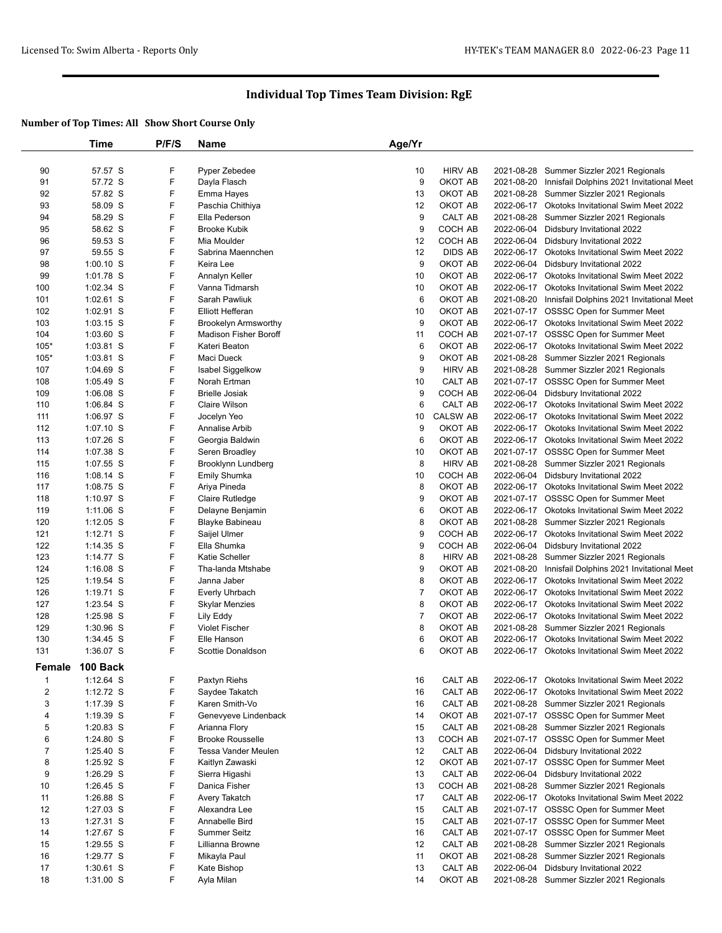|                  | Time                       | P/F/S  | <b>Name</b>                                          | Age/Yr  |                    |            |                                                                                                  |
|------------------|----------------------------|--------|------------------------------------------------------|---------|--------------------|------------|--------------------------------------------------------------------------------------------------|
|                  |                            |        |                                                      |         |                    |            |                                                                                                  |
| 90               | 57.57 S                    | F      | Pyper Zebedee                                        | 10      | <b>HIRV AB</b>     | 2021-08-28 | Summer Sizzler 2021 Regionals                                                                    |
| 91               | 57.72 S                    | F      | Dayla Flasch                                         | 9       | OKOT AB            | 2021-08-20 | Innisfail Dolphins 2021 Invitational Meet                                                        |
| 92               | 57.82 S                    | F      | Emma Hayes                                           | 13      | OKOT AB            |            | 2021-08-28 Summer Sizzler 2021 Regionals                                                         |
| 93               | 58.09 S                    | F      | Paschia Chithiya                                     | 12      | OKOT AB            |            | 2022-06-17 Okotoks Invitational Swim Meet 2022                                                   |
| 94               | 58.29 S                    | F      | Ella Pederson                                        | 9       | CALT AB            |            | 2021-08-28 Summer Sizzler 2021 Regionals                                                         |
| 95               | 58.62 S                    | F      | <b>Brooke Kubik</b>                                  | 9       | COCH AB            | 2022-06-04 | Didsbury Invitational 2022                                                                       |
| 96               | 59.53 S                    | F      | Mia Moulder                                          | 12      | COCH AB            | 2022-06-04 | Didsbury Invitational 2022                                                                       |
| 97               | 59.55 S                    | F      | Sabrina Maennchen                                    | 12      | <b>DIDS AB</b>     | 2022-06-17 | Okotoks Invitational Swim Meet 2022                                                              |
| 98               | $1:00.10$ S                | F      | Keira Lee                                            | 9       | OKOT AB            | 2022-06-04 | Didsbury Invitational 2022                                                                       |
| 99               | 1:01.78 S                  | F      | Annalyn Keller                                       | 10      | OKOT AB            |            | 2022-06-17 Okotoks Invitational Swim Meet 2022                                                   |
| 100              | 1:02.34 S                  | F      | Vanna Tidmarsh                                       | 10      | OKOT AB            | 2022-06-17 | <b>Okotoks Invitational Swim Meet 2022</b>                                                       |
| 101              | 1:02.61 S                  | F      | Sarah Pawliuk                                        | 6       | OKOT AB            | 2021-08-20 | Innisfail Dolphins 2021 Invitational Meet                                                        |
| 102              | $1:02.91$ S                | F<br>F | <b>Elliott Hefferan</b>                              | 10      | OKOT AB            |            | 2021-07-17 OSSSC Open for Summer Meet                                                            |
| 103              | $1:03.15$ S                | F      | <b>Brookelyn Armsworthy</b><br>Madison Fisher Boroff | 9       | OKOT AB<br>COCH AB |            | 2022-06-17 Okotoks Invitational Swim Meet 2022                                                   |
| 104              | $1:03.60$ S                | F      |                                                      | 11      |                    |            | 2021-07-17 OSSSC Open for Summer Meet                                                            |
| $105*$<br>$105*$ | $1:03.81$ S<br>$1:03.81$ S | F      | Kateri Beaton<br>Maci Dueck                          | 6<br>9  | OKOT AB<br>OKOT AB | 2021-08-28 | 2022-06-17 Okotoks Invitational Swim Meet 2022<br>Summer Sizzler 2021 Regionals                  |
| 107              | 1:04.69 S                  | F      | Isabel Siggelkow                                     | 9       | <b>HIRV AB</b>     |            |                                                                                                  |
| 108              | 1:05.49 S                  | F      |                                                      |         |                    |            | 2021-08-28 Summer Sizzler 2021 Regionals<br>2021-07-17 OSSSC Open for Summer Meet                |
| 109              | $1:06.08$ S                | F      | Norah Ertman<br><b>Brielle Josiak</b>                | 10<br>9 | CALT AB<br>COCH AB | 2022-06-04 |                                                                                                  |
|                  | 1:06.84 S                  | F      | <b>Claire Wilson</b>                                 | 6       | CALT AB            |            | Didsbury Invitational 2022                                                                       |
| 110<br>111       | 1:06.97 S                  | F      |                                                      | 10      | <b>CALSW AB</b>    |            | 2022-06-17 Okotoks Invitational Swim Meet 2022<br>2022-06-17 Okotoks Invitational Swim Meet 2022 |
| 112              | $1:07.10$ S                | F      | Jocelyn Yeo<br>Annalise Arbib                        | 9       | OKOT AB            |            | 2022-06-17 Okotoks Invitational Swim Meet 2022                                                   |
| 113              | 1:07.26 S                  | F      | Georgia Baldwin                                      | 6       | OKOT AB            |            | 2022-06-17 Okotoks Invitational Swim Meet 2022                                                   |
| 114              | 1:07.38 S                  | F      | Seren Broadley                                       | 10      | OKOT AB            |            | 2021-07-17 OSSSC Open for Summer Meet                                                            |
| 115              | 1:07.55 S                  | F      | Brooklynn Lundberg                                   | 8       | <b>HIRV AB</b>     | 2021-08-28 | Summer Sizzler 2021 Regionals                                                                    |
| 116              | $1:08.14$ S                | F      | Emily Shumka                                         | 10      | COCH AB            | 2022-06-04 | Didsbury Invitational 2022                                                                       |
| 117              | 1:08.75 S                  | F      | Ariya Pineda                                         | 8       | OKOT AB            |            | 2022-06-17 Okotoks Invitational Swim Meet 2022                                                   |
| 118              | 1:10.97 $S$                | F      | Claire Rutledge                                      | 9       | OKOT AB            |            | 2021-07-17 OSSSC Open for Summer Meet                                                            |
| 119              | $1:11.06$ S                | F      | Delayne Benjamin                                     | 6       | OKOT AB            |            | 2022-06-17 Okotoks Invitational Swim Meet 2022                                                   |
| 120              | $1:12.05$ S                | F      | Blayke Babineau                                      | 8       | OKOT AB            |            | 2021-08-28 Summer Sizzler 2021 Regionals                                                         |
| 121              | $1:12.71$ S                | F      | Saijel Ulmer                                         | 9       | COCH AB            |            | 2022-06-17 Okotoks Invitational Swim Meet 2022                                                   |
| 122              | $1:14.35$ S                | F      | Ella Shumka                                          | 9       | COCH AB            | 2022-06-04 | Didsbury Invitational 2022                                                                       |
| 123              | 1:14.77 S                  | F      | Katie Scheller                                       | 8       | <b>HIRV AB</b>     | 2021-08-28 | Summer Sizzler 2021 Regionals                                                                    |
| 124              | $1:16.08$ S                | F      | Tha-landa Mtshabe                                    | 9       | OKOT AB            | 2021-08-20 | Innisfail Dolphins 2021 Invitational Meet                                                        |
| 125              | $1:19.54$ S                | F      | Janna Jaber                                          | 8       | OKOT AB            |            | 2022-06-17 Okotoks Invitational Swim Meet 2022                                                   |
| 126              | 1:19.71 $S$                | F      | <b>Everly Uhrbach</b>                                | 7       | OKOT AB            |            | 2022-06-17 Okotoks Invitational Swim Meet 2022                                                   |
| 127              | 1:23.54 S                  | F      | <b>Skylar Menzies</b>                                | 8       | OKOT AB            |            | 2022-06-17 Okotoks Invitational Swim Meet 2022                                                   |
| 128              | 1:25.98 S                  | F      | Lily Eddy                                            | 7       | OKOT AB            |            | 2022-06-17 Okotoks Invitational Swim Meet 2022                                                   |
| 129              | $1:30.96$ S                | F      | <b>Violet Fischer</b>                                | 8       | OKOT AB            |            | 2021-08-28 Summer Sizzler 2021 Regionals                                                         |
| 130              | 1:34.45 S                  | F      | Elle Hanson                                          | 6       | OKOT AB            |            | 2022-06-17 Okotoks Invitational Swim Meet 2022                                                   |
| 131              | 1:36.07 S                  | F      | <b>Scottie Donaldson</b>                             | 6       | OKOT AB            |            | 2022-06-17 Okotoks Invitational Swim Meet 2022                                                   |
| Female           | 100 Back                   |        |                                                      |         |                    |            |                                                                                                  |
| $\mathbf 1$      | $1:12.64$ S                | F      | Paxtyn Riehs                                         | 16      | CALT AB            |            | 2022-06-17 Okotoks Invitational Swim Meet 2022                                                   |
| $\overline{c}$   | 1:12.72 S                  | F      | Saydee Takatch                                       | 16      | CALT AB            | 2022-06-17 | Okotoks Invitational Swim Meet 2022                                                              |
| 3                | $1:17.39$ S                | F      | Karen Smith-Vo                                       | 16      | CALT AB            |            | 2021-08-28 Summer Sizzler 2021 Regionals                                                         |
| 4                | $1:19.39$ S                | F      | Genevyeve Lindenback                                 | 14      | OKOT AB            |            | 2021-07-17 OSSSC Open for Summer Meet                                                            |
| 5                | $1:20.83$ S                | F      | Arianna Flory                                        | 15      | CALT AB            |            | 2021-08-28 Summer Sizzler 2021 Regionals                                                         |
| 6                | 1:24.80 S                  | F      | <b>Brooke Rousselle</b>                              | 13      | COCH AB            |            | 2021-07-17 OSSSC Open for Summer Meet                                                            |
| $\overline{7}$   | 1:25.40 S                  | F      | Tessa Vander Meulen                                  | 12      | CALT AB            | 2022-06-04 | Didsbury Invitational 2022                                                                       |
| 8                | $1:25.92$ S                | F      | Kaitlyn Zawaski                                      | 12      | OKOT AB            |            | 2021-07-17 OSSSC Open for Summer Meet                                                            |
| 9                | $1:26.29$ S                | F      | Sierra Higashi                                       | 13      | CALT AB            | 2022-06-04 | Didsbury Invitational 2022                                                                       |
| 10               | 1:26.45 S                  | F      | Danica Fisher                                        | 13      | COCH AB            |            | 2021-08-28 Summer Sizzler 2021 Regionals                                                         |
| 11               | 1:26.88 S                  | F      | Avery Takatch                                        | 17      | CALT AB            |            | 2022-06-17 Okotoks Invitational Swim Meet 2022                                                   |
| 12               | $1:27.03$ S                | F      | Alexandra Lee                                        | 15      | CALT AB            |            | 2021-07-17 OSSSC Open for Summer Meet                                                            |
| 13               | 1:27.31 S                  | F      | Annabelle Bird                                       | 15      | CALT AB            |            | 2021-07-17 OSSSC Open for Summer Meet                                                            |
| 14               | 1:27.67 S                  | F      | Summer Seitz                                         | 16      | CALT AB            |            | 2021-07-17 OSSSC Open for Summer Meet                                                            |
| 15               | $1:29.55$ S                | F      | Lillianna Browne                                     | 12      | CALT AB            | 2021-08-28 | Summer Sizzler 2021 Regionals                                                                    |
| 16               | 1:29.77 S                  | F      | Mikayla Paul                                         | 11      | OKOT AB            | 2021-08-28 | Summer Sizzler 2021 Regionals                                                                    |
| 17               | $1:30.61$ S                | F      | Kate Bishop                                          | 13      | CALT AB            | 2022-06-04 | Didsbury Invitational 2022                                                                       |
| 18               | 1:31.00 S                  | F      | Ayla Milan                                           | 14      | OKOT AB            |            | 2021-08-28 Summer Sizzler 2021 Regionals                                                         |
|                  |                            |        |                                                      |         |                    |            |                                                                                                  |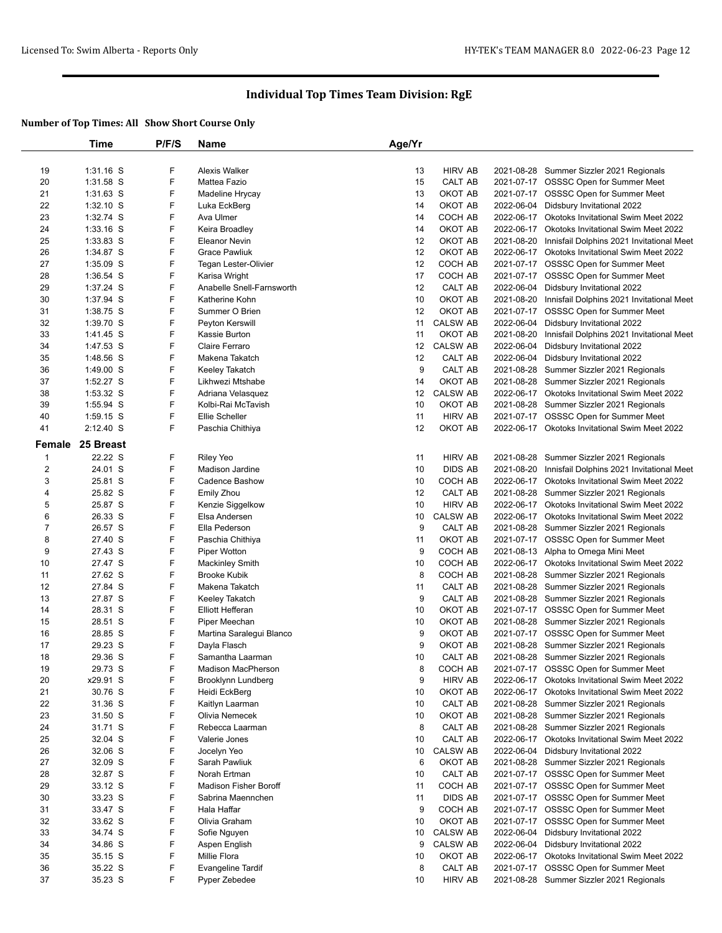|                | Time             | P/F/S | <b>Name</b>               | Age/Yr |                 |            |                                                      |
|----------------|------------------|-------|---------------------------|--------|-----------------|------------|------------------------------------------------------|
|                |                  |       |                           |        |                 |            |                                                      |
| 19             | $1:31.16$ S      | F     | Alexis Walker             | 13     | <b>HIRV AB</b>  |            | 2021-08-28 Summer Sizzler 2021 Regionals             |
| 20             | 1:31.58 S        | F     | Mattea Fazio              | 15     | CALT AB         |            | 2021-07-17 OSSSC Open for Summer Meet                |
| 21             | $1:31.63$ S      | F     | Madeline Hrycay           | 13     | OKOT AB         |            | 2021-07-17 OSSSC Open for Summer Meet                |
| 22             | $1:32.10$ S      | F     | Luka EckBerg              | 14     | OKOT AB         |            | 2022-06-04 Didsbury Invitational 2022                |
| 23             | 1:32.74 S        | F     | Ava Ulmer                 | 14     | COCH AB         |            | 2022-06-17 Okotoks Invitational Swim Meet 2022       |
| 24             | $1:33.16$ S      | F     | Keira Broadley            | 14     | OKOT AB         |            | 2022-06-17 Okotoks Invitational Swim Meet 2022       |
| 25             | $1:33.83$ S      | F     | <b>Eleanor Nevin</b>      | 12     | OKOT AB         |            | 2021-08-20 Innisfail Dolphins 2021 Invitational Meet |
| 26             | 1:34.87 S        | F     | <b>Grace Pawliuk</b>      | 12     | OKOT AB         |            | 2022-06-17 Okotoks Invitational Swim Meet 2022       |
| 27             | 1:35.09 S        | F     | Tegan Lester-Olivier      | 12     | COCH AB         |            | 2021-07-17 OSSSC Open for Summer Meet                |
| 28             | 1:36.54 S        | F     | Karisa Wright             | 17     | COCH AB         |            | 2021-07-17 OSSSC Open for Summer Meet                |
| 29             | 1:37.24 S        | F     | Anabelle Snell-Farnsworth | 12     | CALT AB         |            | 2022-06-04 Didsbury Invitational 2022                |
| 30             | 1:37.94 S        | F     | Katherine Kohn            | 10     | OKOT AB         |            | 2021-08-20 Innisfail Dolphins 2021 Invitational Meet |
| 31             | 1:38.75 S        | F     | Summer O Brien            | 12     | OKOT AB         |            | 2021-07-17 OSSSC Open for Summer Meet                |
| 32             | 1:39.70 S        | F     | Peyton Kerswill           | 11     | <b>CALSW AB</b> | 2022-06-04 | Didsbury Invitational 2022                           |
| 33             | 1:41.45 S        | F     | Kassie Burton             | 11     | OKOT AB         | 2021-08-20 | Innisfail Dolphins 2021 Invitational Meet            |
| 34             | 1:47.53 S        | F     | Claire Ferraro            | 12     | <b>CALSW AB</b> | 2022-06-04 | Didsbury Invitational 2022                           |
| 35             | 1:48.56 S        | F     | Makena Takatch            | 12     | CALT AB         |            | 2022-06-04 Didsbury Invitational 2022                |
| 36             | $1:49.00$ S      | F     | Keeley Takatch            | 9      | CALT AB         |            | 2021-08-28 Summer Sizzler 2021 Regionals             |
| 37             | 1:52.27 S        | F     | Likhwezi Mtshabe          | 14     | OKOT AB         |            | 2021-08-28 Summer Sizzler 2021 Regionals             |
| 38             | 1:53.32 S        | F     | Adriana Velasquez         | 12     | <b>CALSW AB</b> |            | 2022-06-17 Okotoks Invitational Swim Meet 2022       |
| 39             | 1:55.94 S        | F     | Kolbi-Rai McTavish        | 10     | OKOT AB         |            | 2021-08-28 Summer Sizzler 2021 Regionals             |
| 40             | $1:59.15$ S      | F     | Ellie Scheller            | 11     | <b>HIRV AB</b>  |            | 2021-07-17 OSSSC Open for Summer Meet                |
| 41             | $2:12.40$ S      | F     | Paschia Chithiya          | 12     | OKOT AB         |            | 2022-06-17 Okotoks Invitational Swim Meet 2022       |
|                | Female 25 Breast |       |                           |        |                 |            |                                                      |
| $\mathbf{1}$   | 22.22 S          | F     | <b>Riley Yeo</b>          | 11     | <b>HIRV AB</b>  |            | 2021-08-28 Summer Sizzler 2021 Regionals             |
| $\overline{2}$ | 24.01 S          | F     | Madison Jardine           | 10     | <b>DIDS AB</b>  |            | 2021-08-20 Innisfail Dolphins 2021 Invitational Meet |
| 3              | 25.81 S          | F     | <b>Cadence Bashow</b>     | 10     | COCH AB         |            | 2022-06-17 Okotoks Invitational Swim Meet 2022       |
| 4              | 25.82 S          | F     | Emily Zhou                | 12     | CALT AB         |            | 2021-08-28 Summer Sizzler 2021 Regionals             |
| 5              | 25.87 S          | F     | Kenzie Siggelkow          | 10     | <b>HIRV AB</b>  |            | 2022-06-17 Okotoks Invitational Swim Meet 2022       |
| 6              | 26.33 S          | F     | Elsa Andersen             | 10     | <b>CALSW AB</b> |            | 2022-06-17 Okotoks Invitational Swim Meet 2022       |
| $\overline{7}$ | 26.57 S          | F     | Ella Pederson             | 9      | CALT AB         |            | 2021-08-28 Summer Sizzler 2021 Regionals             |
| 8              | 27.40 S          | F     | Paschia Chithiya          | 11     | OKOT AB         |            | 2021-07-17 OSSSC Open for Summer Meet                |
| 9              | 27.43 S          | F     | Piper Wotton              | 9      | COCH AB         |            | 2021-08-13 Alpha to Omega Mini Meet                  |
| 10             | 27.47 S          | F     | <b>Mackinley Smith</b>    | 10     | COCH AB         |            | 2022-06-17 Okotoks Invitational Swim Meet 2022       |
| 11             | 27.62 S          | F     | <b>Brooke Kubik</b>       | 8      | COCH AB         |            | 2021-08-28 Summer Sizzler 2021 Regionals             |
| 12             | 27.84 S          | F     | Makena Takatch            | 11     | CALT AB         |            | 2021-08-28 Summer Sizzler 2021 Regionals             |
| 13             | 27.87 S          | F     | Keeley Takatch            | 9      | CALT AB         |            | 2021-08-28 Summer Sizzler 2021 Regionals             |
| 14             | 28.31 S          | F     | Elliott Hefferan          | 10     | OKOT AB         |            | 2021-07-17 OSSSC Open for Summer Meet                |
| 15             | 28.51 S          | F     | Piper Meechan             | 10     | OKOT AB         |            | 2021-08-28 Summer Sizzler 2021 Regionals             |
| 16             | 28.85 S          | F     | Martina Saralegui Blanco  | 9      | OKOT AB         |            | 2021-07-17 OSSSC Open for Summer Meet                |
| 17             | 29.23 S          | F     | Dayla Flasch              | 9      | OKOT AB         |            | 2021-08-28 Summer Sizzler 2021 Regionals             |
| 18             | 29.36 S          | F     | Samantha Laarman          | 10     | CALT AB         |            | 2021-08-28 Summer Sizzler 2021 Regionals             |
| 19             | 29.73 S          | F     | Madison MacPherson        | 8      | COCH AB         |            | 2021-07-17 OSSSC Open for Summer Meet                |
| 20             | x29.91 S         | F     | Brooklynn Lundberg        | 9      | <b>HIRV AB</b>  |            | 2022-06-17 Okotoks Invitational Swim Meet 2022       |
| 21             | 30.76 S          | F     | Heidi EckBerg             | 10     | OKOT AB         |            | 2022-06-17 Okotoks Invitational Swim Meet 2022       |
| 22             | 31.36 S          | F     | Kaitlyn Laarman           | 10     | CALT AB         |            | 2021-08-28 Summer Sizzler 2021 Regionals             |
| 23             | 31.50 S          | F     | Olivia Nemecek            | 10     | OKOT AB         |            | 2021-08-28 Summer Sizzler 2021 Regionals             |
| 24             | 31.71 S          | F     | Rebecca Laarman           | 8      | CALT AB         |            | 2021-08-28 Summer Sizzler 2021 Regionals             |
| 25             | 32.04 S          | F     | Valerie Jones             | 10     | CALT AB         |            | 2022-06-17 Okotoks Invitational Swim Meet 2022       |
| 26             | 32.06 S          | F     | Jocelyn Yeo               | 10     | <b>CALSW AB</b> |            | 2022-06-04 Didsbury Invitational 2022                |
| 27             | 32.09 S          | F     | Sarah Pawliuk             | 6      | OKOT AB         |            | 2021-08-28 Summer Sizzler 2021 Regionals             |
| 28             | 32.87 S          | F     | Norah Ertman              | 10     | CALT AB         |            | 2021-07-17 OSSSC Open for Summer Meet                |
| 29             | 33.12 S          | F     | Madison Fisher Boroff     | 11     | COCH AB         |            | 2021-07-17 OSSSC Open for Summer Meet                |
| 30             | 33.23 S          | F     | Sabrina Maennchen         | 11     | <b>DIDS AB</b>  |            | 2021-07-17 OSSSC Open for Summer Meet                |
| 31             | 33.47 S          | F     | Hala Haffar               | 9      | COCH AB         |            | 2021-07-17 OSSSC Open for Summer Meet                |
| 32             | 33.62 S          | F     | Olivia Graham             | 10     | OKOT AB         |            | 2021-07-17 OSSSC Open for Summer Meet                |
| 33             | 34.74 S          | F     | Sofie Nguyen              | 10     | <b>CALSW AB</b> |            | 2022-06-04 Didsbury Invitational 2022                |
| 34             | 34.86 S          | F     | Aspen English             | 9      | <b>CALSW AB</b> |            | 2022-06-04 Didsbury Invitational 2022                |
| 35             | 35.15 S          | F     | Millie Flora              | 10     | OKOT AB         |            | 2022-06-17 Okotoks Invitational Swim Meet 2022       |
| 36             | 35.22 S          | F     | <b>Evangeline Tardif</b>  | 8      | CALT AB         |            | 2021-07-17 OSSSC Open for Summer Meet                |
| 37             | 35.23 S          | F     | Pyper Zebedee             | 10     | <b>HIRV AB</b>  |            | 2021-08-28 Summer Sizzler 2021 Regionals             |
|                |                  |       |                           |        |                 |            |                                                      |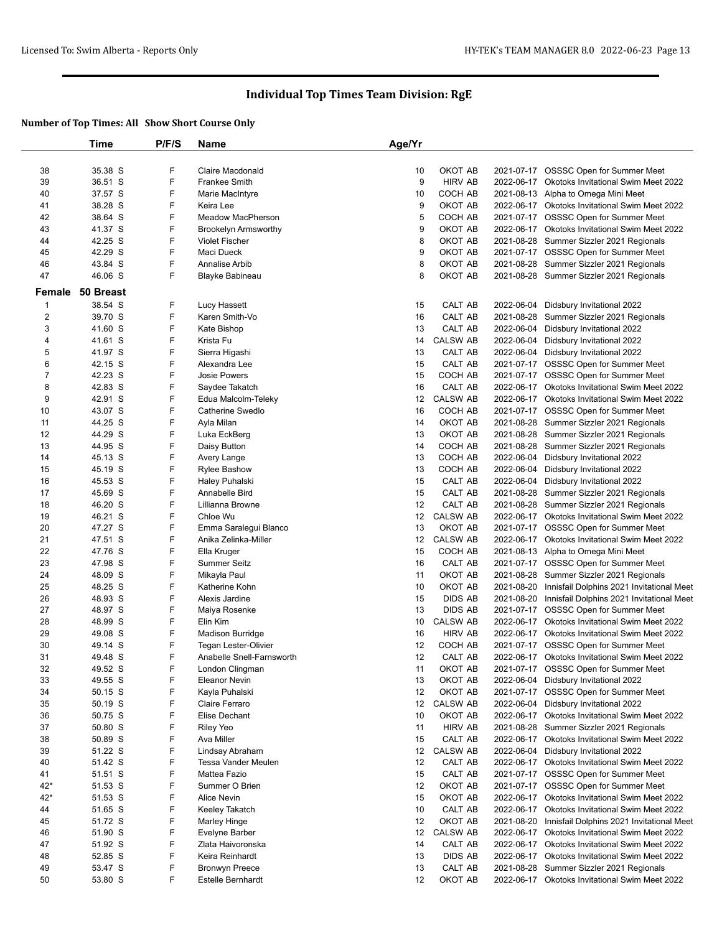|                | Time             | P/F/S | Name                        | Age/Yr |                 |            |                                                      |
|----------------|------------------|-------|-----------------------------|--------|-----------------|------------|------------------------------------------------------|
|                |                  |       |                             |        |                 |            |                                                      |
| 38             | 35.38 S          | F     | Claire Macdonald            | 10     | OKOT AB         |            | 2021-07-17 OSSSC Open for Summer Meet                |
| 39             | 36.51 S          | F     | Frankee Smith               | 9      | <b>HIRV AB</b>  | 2022-06-17 | Okotoks Invitational Swim Meet 2022                  |
| 40             | 37.57 S          | F     | Marie MacIntyre             | 10     | COCH AB         |            | 2021-08-13 Alpha to Omega Mini Meet                  |
| 41             | 38.28 S          | F     | Keira Lee                   | 9      | OKOT AB         |            | 2022-06-17 Okotoks Invitational Swim Meet 2022       |
| 42             | 38.64 S          | F     | Meadow MacPherson           | 5      | COCH AB         |            | 2021-07-17 OSSSC Open for Summer Meet                |
| 43             | 41.37 S          | F     | <b>Brookelyn Armsworthy</b> | 9      | OKOT AB         |            | 2022-06-17 Okotoks Invitational Swim Meet 2022       |
| 44             | 42.25 S          | F     | <b>Violet Fischer</b>       | 8      | OKOT AB         |            | 2021-08-28 Summer Sizzler 2021 Regionals             |
| 45             | 42.29 S          | F     | Maci Dueck                  | 9      | OKOT AB         |            | 2021-07-17 OSSSC Open for Summer Meet                |
| 46             | 43.84 S          | F     | Annalise Arbib              | 8      | OKOT AB         |            | 2021-08-28 Summer Sizzler 2021 Regionals             |
| 47             | 46.06 S          | F     | Blayke Babineau             | 8      | OKOT AB         |            | 2021-08-28 Summer Sizzler 2021 Regionals             |
|                | Female 50 Breast |       |                             |        |                 |            |                                                      |
| $\mathbf 1$    | 38.54 S          | F     | Lucy Hassett                | 15     | CALT AB         |            | 2022-06-04 Didsbury Invitational 2022                |
| $\overline{c}$ | 39.70 S          | F     | Karen Smith-Vo              | 16     | CALT AB         |            | 2021-08-28 Summer Sizzler 2021 Regionals             |
| 3              | 41.60 S          | F     | Kate Bishop                 | 13     | CALT AB         |            | 2022-06-04 Didsbury Invitational 2022                |
| 4              | 41.61 S          | F     | Krista Fu                   | 14     | <b>CALSW AB</b> |            | 2022-06-04 Didsbury Invitational 2022                |
| 5              | 41.97 S          | F     | Sierra Higashi              | 13     | CALT AB         |            | 2022-06-04 Didsbury Invitational 2022                |
| 6              | 42.15 S          | F     | Alexandra Lee               | 15     | CALT AB         |            | 2021-07-17 OSSSC Open for Summer Meet                |
| $\overline{7}$ | 42.23 S          | F     | <b>Josie Powers</b>         | 15     | COCH AB         |            | 2021-07-17 OSSSC Open for Summer Meet                |
| 8              | 42.83 S          | F     | Saydee Takatch              | 16     | CALT AB         | 2022-06-17 | Okotoks Invitational Swim Meet 2022                  |
| 9              | 42.91 S          | F     | Edua Malcolm-Teleky         | 12     | <b>CALSW AB</b> |            | 2022-06-17 Okotoks Invitational Swim Meet 2022       |
| 10             | 43.07 S          | F     | Catherine Swedlo            | 16     | COCH AB         |            | 2021-07-17 OSSSC Open for Summer Meet                |
| 11             | 44.25 S          | F     | Ayla Milan                  | 14     | OKOT AB         |            | 2021-08-28 Summer Sizzler 2021 Regionals             |
| 12             | 44.29 S          | F     | Luka EckBerg                | 13     | OKOT AB         |            | 2021-08-28 Summer Sizzler 2021 Regionals             |
| 13             | 44.95 S          | F     | Daisy Button                | 14     | COCH AB         |            | 2021-08-28 Summer Sizzler 2021 Regionals             |
| 14             | 45.13 S          | F     | Avery Lange                 | 13     | COCH AB         |            | 2022-06-04 Didsbury Invitational 2022                |
| 15             | 45.19 S          | F     | <b>Rylee Bashow</b>         | 13     | COCH AB         |            | 2022-06-04 Didsbury Invitational 2022                |
| 16             | 45.53 S          | F     | Haley Puhalski              | 15     | CALT AB         |            | 2022-06-04 Didsbury Invitational 2022                |
| 17             | 45.69 S          | F     | Annabelle Bird              | 15     | CALT AB         |            | 2021-08-28 Summer Sizzler 2021 Regionals             |
| 18             | 46.20 S          | F     | Lillianna Browne            | 12     | CALT AB         |            | 2021-08-28 Summer Sizzler 2021 Regionals             |
| 19             | 46.21 S          | F     | Chloe Wu                    | 12     | <b>CALSW AB</b> |            | 2022-06-17 Okotoks Invitational Swim Meet 2022       |
| 20             | 47.27 S          | F     | Emma Saralegui Blanco       | 13     | OKOT AB         | 2021-07-17 | <b>OSSSC Open for Summer Meet</b>                    |
| 21             | 47.51 S          | F     | Anika Zelinka-Miller        | 12     | <b>CALSW AB</b> |            | 2022-06-17 Okotoks Invitational Swim Meet 2022       |
| 22             | 47.76 S          | F     | Ella Kruger                 | 15     | COCH AB         |            | 2021-08-13 Alpha to Omega Mini Meet                  |
| 23             | 47.98 S          | F     | Summer Seitz                | 16     | CALT AB         |            | 2021-07-17 OSSSC Open for Summer Meet                |
| 24             | 48.09 S          | F     | Mikayla Paul                | 11     | OKOT AB         |            | 2021-08-28 Summer Sizzler 2021 Regionals             |
| 25             | 48.25 S          | F     | Katherine Kohn              | 10     | OKOT AB         |            | 2021-08-20 Innisfail Dolphins 2021 Invitational Meet |
| 26             | 48.93 S          | F     | Alexis Jardine              | 15     | DIDS AB         |            | 2021-08-20 Innisfail Dolphins 2021 Invitational Meet |
| 27             | 48.97 S          | F     | Maiya Rosenke               | 13     | <b>DIDS AB</b>  |            | 2021-07-17 OSSSC Open for Summer Meet                |
| 28             | 48.99 S          | F     | Elin Kim                    | 10     | <b>CALSW AB</b> |            | 2022-06-17 Okotoks Invitational Swim Meet 2022       |
| 29             | 49.08 S          | F     | <b>Madison Burridge</b>     | 16     | <b>HIRV AB</b>  |            | 2022-06-17 Okotoks Invitational Swim Meet 2022       |
| 30             | 49.14 S          | F     | Tegan Lester-Olivier        | 12     | COCH AB         |            | 2021-07-17 OSSSC Open for Summer Meet                |
| 31             | 49.48 S          | F     | Anabelle Snell-Farnsworth   | 12     | CALT AB         |            | 2022-06-17 Okotoks Invitational Swim Meet 2022       |
| 32             | 49.52 S          | F     | London Clingman             | 11     | OKOT AB         |            | 2021-07-17 OSSSC Open for Summer Meet                |
| 33             | 49.55 S          | F     | Eleanor Nevin               | 13     | OKOT AB         |            | 2022-06-04 Didsbury Invitational 2022                |
| 34             | 50.15 S          | F     | Kayla Puhalski              | 12     | OKOT AB         |            | 2021-07-17 OSSSC Open for Summer Meet                |
| 35             | 50.19 S          | F     | Claire Ferraro              | 12     | <b>CALSW AB</b> |            | 2022-06-04 Didsbury Invitational 2022                |
| 36             | 50.75 S          | F     | Elise Dechant               | 10     | OKOT AB         |            | 2022-06-17 Okotoks Invitational Swim Meet 2022       |
| 37             | 50.80 S          | F     | Riley Yeo                   | 11     | HIRV AB         |            | 2021-08-28 Summer Sizzler 2021 Regionals             |
| 38             | 50.89 S          | F     | Ava Miller                  | 15     | CALT AB         |            | 2022-06-17 Okotoks Invitational Swim Meet 2022       |
| 39             | 51.22 S          | F     | Lindsay Abraham             | 12     | <b>CALSW AB</b> |            | 2022-06-04 Didsbury Invitational 2022                |
| 40             | 51.42 S          | F     | Tessa Vander Meulen         | 12     | CALT AB         |            | 2022-06-17 Okotoks Invitational Swim Meet 2022       |
| 41             | 51.51 S          | F     | Mattea Fazio                | 15     | CALT AB         |            | 2021-07-17 OSSSC Open for Summer Meet                |
| $42*$          | 51.53 S          | F     | Summer O Brien              | 12     | OKOT AB         |            | 2021-07-17 OSSSC Open for Summer Meet                |
| $42*$          | 51.53 S          | F     | Alice Nevin                 | 15     | OKOT AB         |            | 2022-06-17 Okotoks Invitational Swim Meet 2022       |
| 44             | 51.65 S          | F     | Keeley Takatch              | 10     | CALT AB         |            | 2022-06-17 Okotoks Invitational Swim Meet 2022       |
| 45             | 51.72 S          | F     | Marley Hinge                | 12     | OKOT AB         |            | 2021-08-20 Innisfail Dolphins 2021 Invitational Meet |
| 46             | 51.90 S          | F     | Evelyne Barber              | 12     | <b>CALSW AB</b> | 2022-06-17 | Okotoks Invitational Swim Meet 2022                  |
| 47             | 51.92 S          | F     | Zlata Haivoronska           | 14     | CALT AB         |            | 2022-06-17 Okotoks Invitational Swim Meet 2022       |
| 48             | 52.85 S          | F     | Keira Reinhardt             | 13     | DIDS AB         |            | 2022-06-17 Okotoks Invitational Swim Meet 2022       |
| 49             | 53.47 S          | F     | <b>Bronwyn Preece</b>       | 13     | CALT AB         |            | 2021-08-28 Summer Sizzler 2021 Regionals             |
| 50             | 53.80 S          | F     | Estelle Bernhardt           | 12     | OKOT AB         |            | 2022-06-17 Okotoks Invitational Swim Meet 2022       |
|                |                  |       |                             |        |                 |            |                                                      |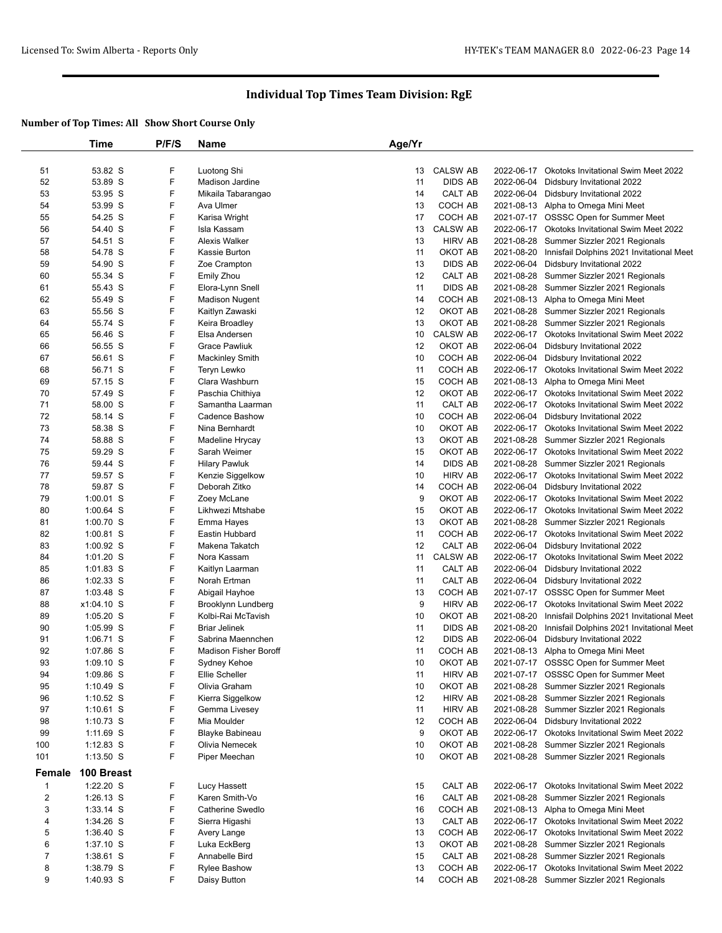|                | Time        | P/F/S | <b>Name</b>                  | Age/Yr |                 |            |                                                      |
|----------------|-------------|-------|------------------------------|--------|-----------------|------------|------------------------------------------------------|
| 51             | 53.82 S     | F     | Luotong Shi                  | 13     | <b>CALSW AB</b> |            | 2022-06-17 Okotoks Invitational Swim Meet 2022       |
| 52             | 53.89 S     | F     | <b>Madison Jardine</b>       | 11     | <b>DIDS AB</b>  | 2022-06-04 | Didsbury Invitational 2022                           |
| 53             | 53.95 S     | F     | Mikaila Tabarangao           | 14     | CALT AB         | 2022-06-04 | Didsbury Invitational 2022                           |
| 54             | 53.99 S     | F     | Ava Ulmer                    | 13     | COCH AB         |            | 2021-08-13 Alpha to Omega Mini Meet                  |
| 55             | 54.25 S     | F     | Karisa Wright                | 17     | COCH AB         | 2021-07-17 | <b>OSSSC Open for Summer Meet</b>                    |
| 56             | 54.40 S     | F     | Isla Kassam                  | 13     | <b>CALSW AB</b> |            | 2022-06-17 Okotoks Invitational Swim Meet 2022       |
| 57             | 54.51 S     | F     | Alexis Walker                | 13     | <b>HIRV AB</b>  |            | 2021-08-28 Summer Sizzler 2021 Regionals             |
| 58             | 54.78 S     | F     | Kassie Burton                | 11     | OKOT AB         |            | 2021-08-20 Innisfail Dolphins 2021 Invitational Meet |
| 59             | 54.90 S     | F     | Zoe Crampton                 | 13     | <b>DIDS AB</b>  | 2022-06-04 | Didsbury Invitational 2022                           |
| 60             | 55.34 S     | F     | Emily Zhou                   | 12     | CALT AB         |            | 2021-08-28 Summer Sizzler 2021 Regionals             |
| 61             | 55.43 S     | F     | Elora-Lynn Snell             | 11     | <b>DIDS AB</b>  |            | 2021-08-28 Summer Sizzler 2021 Regionals             |
| 62             | 55.49 S     | F     | <b>Madison Nugent</b>        | 14     | COCH AB         |            | 2021-08-13 Alpha to Omega Mini Meet                  |
| 63             | 55.56 S     | F     | Kaitlyn Zawaski              | 12     | OKOT AB         |            | 2021-08-28 Summer Sizzler 2021 Regionals             |
| 64             | 55.74 S     | F     | Keira Broadley               | 13     | OKOT AB         |            | 2021-08-28 Summer Sizzler 2021 Regionals             |
| 65             | 56.46 S     | F     | Elsa Andersen                | 10     | CALSW AB        |            | 2022-06-17 Okotoks Invitational Swim Meet 2022       |
| 66             | 56.55 S     | F     | <b>Grace Pawliuk</b>         | 12     | OKOT AB         | 2022-06-04 | Didsbury Invitational 2022                           |
| 67             | 56.61 S     | F     | <b>Mackinley Smith</b>       | 10     | COCH AB         | 2022-06-04 | Didsbury Invitational 2022                           |
| 68             | 56.71 S     | F     | Teryn Lewko                  | 11     | COCH AB         |            | 2022-06-17 Okotoks Invitational Swim Meet 2022       |
| 69             | 57.15 S     | F     | Clara Washburn               | 15     | COCH AB         |            | 2021-08-13 Alpha to Omega Mini Meet                  |
| 70             | 57.49 S     | F     | Paschia Chithiya             | 12     | OKOT AB         |            | 2022-06-17 Okotoks Invitational Swim Meet 2022       |
| 71             | 58.00 S     | F     | Samantha Laarman             | 11     | CALT AB         |            | 2022-06-17 Okotoks Invitational Swim Meet 2022       |
| 72             | 58.14 S     | F     | Cadence Bashow               | 10     | COCH AB         | 2022-06-04 | Didsbury Invitational 2022                           |
| 73             | 58.38 S     | F     | Nina Bernhardt               | 10     | OKOT AB         |            | 2022-06-17 Okotoks Invitational Swim Meet 2022       |
| 74             | 58.88 S     | F     | Madeline Hrycay              | 13     | OKOT AB         |            | 2021-08-28 Summer Sizzler 2021 Regionals             |
| 75             | 59.29 S     | F     | Sarah Weimer                 | 15     | OKOT AB         | 2022-06-17 | <b>Okotoks Invitational Swim Meet 2022</b>           |
| 76             | 59.44 S     | F     | <b>Hilary Pawluk</b>         | 14     | <b>DIDS AB</b>  |            | 2021-08-28 Summer Sizzler 2021 Regionals             |
| 77             | 59.57 S     | F     | Kenzie Siggelkow             | 10     | <b>HIRV AB</b>  |            | 2022-06-17 Okotoks Invitational Swim Meet 2022       |
| 78             | 59.87 S     | F     | Deborah Zitko                | 14     | COCH AB         | 2022-06-04 | Didsbury Invitational 2022                           |
| 79             | $1:00.01$ S | F     | Zoey McLane                  | 9      | OKOT AB         | 2022-06-17 | Okotoks Invitational Swim Meet 2022                  |
| 80             | $1:00.64$ S | F     | Likhwezi Mtshabe             | 15     | OKOT AB         |            | 2022-06-17 Okotoks Invitational Swim Meet 2022       |
| 81             | $1:00.70$ S | F     | Emma Hayes                   | 13     | OKOT AB         |            | 2021-08-28 Summer Sizzler 2021 Regionals             |
| 82             | $1:00.81$ S | F     | Eastin Hubbard               | 11     | COCH AB         | 2022-06-17 | Okotoks Invitational Swim Meet 2022                  |
| 83             | $1:00.92$ S | F     | Makena Takatch               | 12     | CALT AB         | 2022-06-04 | Didsbury Invitational 2022                           |
| 84             | 1:01.20 S   | F     | Nora Kassam                  | 11     | <b>CALSW AB</b> | 2022-06-17 | <b>Okotoks Invitational Swim Meet 2022</b>           |
| 85             | $1:01.83$ S | F     | Kaitlyn Laarman              | 11     | CALT AB         | 2022-06-04 | Didsbury Invitational 2022                           |
| 86             | 1:02.33 S   | F     | Norah Ertman                 | 11     | CALT AB         | 2022-06-04 | Didsbury Invitational 2022                           |
| 87             | $1:03.48$ S | F     | Abigail Hayhoe               | 13     | COCH AB         |            | 2021-07-17 OSSSC Open for Summer Meet                |
| 88             | x1:04.10 S  | F     | Brooklynn Lundberg           | 9      | <b>HIRV AB</b>  | 2022-06-17 | Okotoks Invitational Swim Meet 2022                  |
| 89             | $1:05.20$ S | F     | Kolbi-Rai McTavish           | 10     | OKOT AB         | 2021-08-20 | Innisfail Dolphins 2021 Invitational Meet            |
| 90             | $1:05.99$ S | F     | <b>Briar Jelinek</b>         | 11     | <b>DIDS AB</b>  | 2021-08-20 | Innisfail Dolphins 2021 Invitational Meet            |
| 91             | 1:06.71 S   | F     | Sabrina Maennchen            | 12     | <b>DIDS AB</b>  | 2022-06-04 | Didsbury Invitational 2022                           |
| 92             | 1:07.86 S   | F     | <b>Madison Fisher Boroff</b> | 11     | COCH AB         |            | 2021-08-13 Alpha to Omega Mini Meet                  |
| 93             | $1:09.10$ S | F     | Sydney Kehoe                 | 10     | OKOT AB         |            | 2021-07-17 OSSSC Open for Summer Meet                |
| 94             | 1:09.86 S   | F     | Ellie Scheller               | 11     | <b>HIRV AB</b>  |            | 2021-07-17 OSSSC Open for Summer Meet                |
| 95             | 1:10.49 S   | F     | Olivia Graham                | 10     | OKOT AB         |            | 2021-08-28 Summer Sizzler 2021 Regionals             |
| 96             | $1:10.52$ S | F     | Kierra Siggelkow             | 12     | <b>HIRV AB</b>  |            | 2021-08-28 Summer Sizzler 2021 Regionals             |
| 97             | $1:10.61$ S | F     | Gemma Livesey                | 11     | <b>HIRV AB</b>  |            | 2021-08-28 Summer Sizzler 2021 Regionals             |
| 98             | $1:10.73$ S | F     | Mia Moulder                  | 12     | COCH AB         |            | 2022-06-04 Didsbury Invitational 2022                |
| 99             | 1:11.69 S   | F     | Blayke Babineau              | 9      | OKOT AB         |            | 2022-06-17 Okotoks Invitational Swim Meet 2022       |
| 100            | $1:12.83$ S | F     | Olivia Nemecek               | 10     | OKOT AB         |            | 2021-08-28 Summer Sizzler 2021 Regionals             |
| 101            | $1:13.50$ S | F     | Piper Meechan                | 10     | OKOT AB         |            | 2021-08-28 Summer Sizzler 2021 Regionals             |
| Female         | 100 Breast  |       |                              |        |                 |            |                                                      |
| $\mathbf{1}$   | 1:22.20 S   | F     | Lucy Hassett                 | 15     | CALT AB         |            | 2022-06-17 Okotoks Invitational Swim Meet 2022       |
| $\overline{2}$ | $1:26.13$ S | F     | Karen Smith-Vo               | 16     | CALT AB         |            | 2021-08-28 Summer Sizzler 2021 Regionals             |
| 3              | $1:33.14$ S | F     | Catherine Swedlo             | 16     | COCH AB         |            | 2021-08-13 Alpha to Omega Mini Meet                  |
| 4              | 1:34.26 S   | F     | Sierra Higashi               | 13     | CALT AB         |            | 2022-06-17 Okotoks Invitational Swim Meet 2022       |
| 5              | 1:36.40 S   | F     | Avery Lange                  | 13     | COCH AB         |            | 2022-06-17 Okotoks Invitational Swim Meet 2022       |
| 6              | $1:37.10$ S | F     | Luka EckBerg                 | 13     | OKOT AB         |            | 2021-08-28 Summer Sizzler 2021 Regionals             |
| 7              | 1:38.61 S   | F     | Annabelle Bird               | 15     | CALT AB         |            | 2021-08-28 Summer Sizzler 2021 Regionals             |
| 8              | 1:38.79 S   | F     | <b>Rylee Bashow</b>          | 13     | COCH AB         |            | 2022-06-17 Okotoks Invitational Swim Meet 2022       |
| 9              | 1:40.93 S   | F     | Daisy Button                 | 14     | COCH AB         |            | 2021-08-28 Summer Sizzler 2021 Regionals             |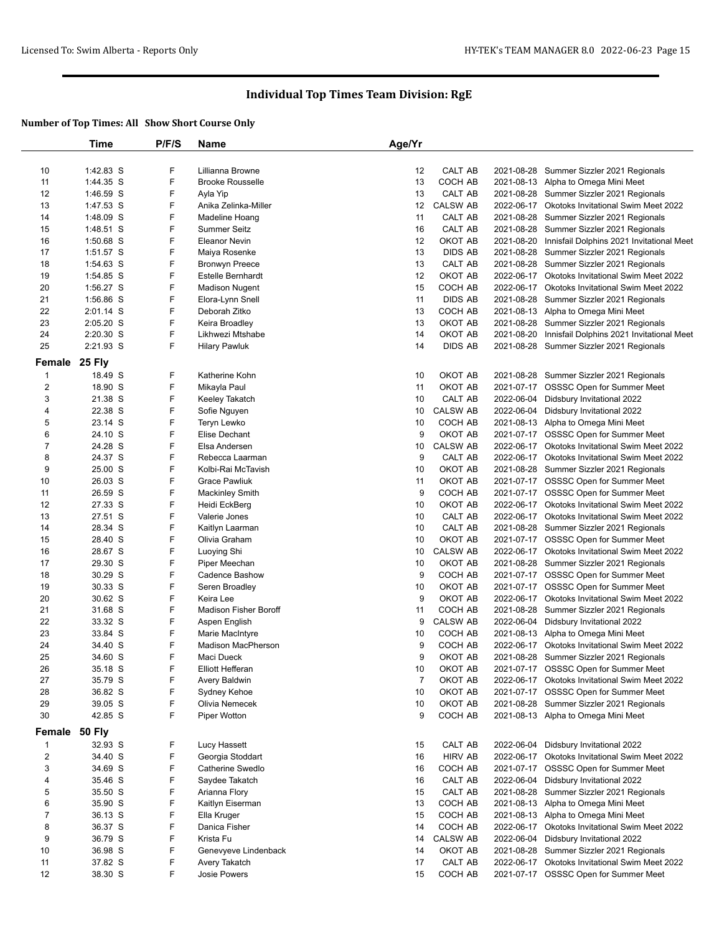|                | Time                   | P/F/S  | Name                                       | Age/Yr   |                    |            |                                                                                            |
|----------------|------------------------|--------|--------------------------------------------|----------|--------------------|------------|--------------------------------------------------------------------------------------------|
|                |                        |        |                                            |          |                    |            |                                                                                            |
| 10             | 1:42.83 S              | F      | Lillianna Browne                           | 12       | CALT AB            |            | 2021-08-28 Summer Sizzler 2021 Regionals                                                   |
| 11             | 1:44.35 S              | F      | <b>Brooke Rousselle</b>                    | 13       | COCH AB            |            | 2021-08-13 Alpha to Omega Mini Meet                                                        |
| 12             | 1:46.59 S              | F      | Ayla Yip                                   | 13       | CALT AB            |            | 2021-08-28 Summer Sizzler 2021 Regionals                                                   |
| 13             | 1:47.53 S              | F      | Anika Zelinka-Miller                       | 12       | <b>CALSW AB</b>    |            | 2022-06-17 Okotoks Invitational Swim Meet 2022                                             |
| 14             | 1:48.09 S              | F      | Madeline Hoang                             | 11       | CALT AB            |            | 2021-08-28 Summer Sizzler 2021 Regionals                                                   |
| 15             | 1:48.51 S              | F      | <b>Summer Seitz</b>                        | 16       | CALT AB            |            | 2021-08-28 Summer Sizzler 2021 Regionals                                                   |
| 16             | 1:50.68 S              | F      | <b>Eleanor Nevin</b>                       | 12       | OKOT AB            | 2021-08-20 | Innisfail Dolphins 2021 Invitational Meet                                                  |
| 17             | 1:51.57 S              | F<br>F | Maiya Rosenke                              | 13<br>13 | <b>DIDS AB</b>     |            | 2021-08-28 Summer Sizzler 2021 Regionals                                                   |
| 18<br>19       | 1:54.63 S<br>1:54.85 S | F      | <b>Bronwyn Preece</b><br>Estelle Bernhardt | 12       | CALT AB<br>OKOT AB |            | 2021-08-28 Summer Sizzler 2021 Regionals<br>2022-06-17 Okotoks Invitational Swim Meet 2022 |
| 20             | 1:56.27 S              | F      | <b>Madison Nugent</b>                      | 15       | COCH AB            |            | 2022-06-17 Okotoks Invitational Swim Meet 2022                                             |
| 21             | 1:56.86 S              | F      | Elora-Lynn Snell                           | 11       | <b>DIDS AB</b>     |            | 2021-08-28 Summer Sizzler 2021 Regionals                                                   |
| 22             | 2:01.14 S              | F      | Deborah Zitko                              | 13       | COCH AB            |            | 2021-08-13 Alpha to Omega Mini Meet                                                        |
| 23             | 2:05.20 S              | F      | Keira Broadley                             | 13       | OKOT AB            |            | 2021-08-28 Summer Sizzler 2021 Regionals                                                   |
| 24             | 2:20.30 S              | F      | Likhwezi Mtshabe                           | 14       | OKOT AB            |            | 2021-08-20 Innisfail Dolphins 2021 Invitational Meet                                       |
| 25             | 2:21.93 S              | F      | <b>Hilary Pawluk</b>                       | 14       | <b>DIDS AB</b>     |            | 2021-08-28 Summer Sizzler 2021 Regionals                                                   |
|                |                        |        |                                            |          |                    |            |                                                                                            |
|                | Female 25 Fly          |        |                                            |          |                    |            |                                                                                            |
| $\mathbf 1$    | 18.49 S                | F      | Katherine Kohn                             | 10       | OKOT AB            |            | 2021-08-28 Summer Sizzler 2021 Regionals                                                   |
| $\overline{2}$ | 18.90 S                | F      | Mikayla Paul                               | 11       | OKOT AB            |            | 2021-07-17 OSSSC Open for Summer Meet                                                      |
| 3              | 21.38 S                | F      | Keeley Takatch                             | 10       | <b>CALT AB</b>     |            | 2022-06-04 Didsbury Invitational 2022                                                      |
| 4              | 22.38 S                | F      | Sofie Nguyen                               | 10       | <b>CALSW AB</b>    |            | 2022-06-04 Didsbury Invitational 2022                                                      |
| 5              | 23.14 S                | F      | Teryn Lewko                                | 10       | COCH AB            |            | 2021-08-13 Alpha to Omega Mini Meet                                                        |
| 6              | 24.10 S                | F      | Elise Dechant                              | 9        | OKOT AB            |            | 2021-07-17 OSSSC Open for Summer Meet                                                      |
| $\overline{7}$ | 24.28 S                | F      | Elsa Andersen                              | 10       | <b>CALSW AB</b>    |            | 2022-06-17 Okotoks Invitational Swim Meet 2022                                             |
| 8              | 24.37 S                | F      | Rebecca Laarman                            | 9        | CALT AB            |            | 2022-06-17 Okotoks Invitational Swim Meet 2022                                             |
| 9              | 25.00 S                | F      | Kolbi-Rai McTavish                         | 10       | OKOT AB            |            | 2021-08-28 Summer Sizzler 2021 Regionals                                                   |
| 10             | 26.03 S                | F<br>F | <b>Grace Pawliuk</b>                       | 11       | OKOT AB            |            | 2021-07-17 OSSSC Open for Summer Meet                                                      |
| 11<br>12       | 26.59 S<br>27.33 S     | F      | <b>Mackinley Smith</b>                     | 9<br>10  | COCH AB<br>OKOT AB |            | 2021-07-17 OSSSC Open for Summer Meet                                                      |
|                |                        | F      | Heidi EckBerg                              | 10       |                    |            | 2022-06-17 Okotoks Invitational Swim Meet 2022                                             |
| 13<br>14       | 27.51 S<br>28.34 S     | F      | Valerie Jones<br>Kaitlyn Laarman           | 10       | CALT AB<br>CALT AB |            | 2022-06-17 Okotoks Invitational Swim Meet 2022<br>2021-08-28 Summer Sizzler 2021 Regionals |
| 15             | 28.40 S                | F      | Olivia Graham                              | 10       | OKOT AB            |            | 2021-07-17 OSSSC Open for Summer Meet                                                      |
| 16             | 28.67 S                | F      | Luoying Shi                                | 10       | <b>CALSW AB</b>    |            | 2022-06-17 Okotoks Invitational Swim Meet 2022                                             |
| 17             | 29.30 S                | F      | Piper Meechan                              | 10       | OKOT AB            |            | 2021-08-28 Summer Sizzler 2021 Regionals                                                   |
| 18             | 30.29 S                | F      | Cadence Bashow                             | 9        | COCH AB            |            | 2021-07-17 OSSSC Open for Summer Meet                                                      |
| 19             | 30.33 S                | F      | Seren Broadley                             | 10       | OKOT AB            |            | 2021-07-17 OSSSC Open for Summer Meet                                                      |
| 20             | 30.62 S                | F      | Keira Lee                                  | 9        | OKOT AB            |            | 2022-06-17 Okotoks Invitational Swim Meet 2022                                             |
| 21             | 31.68 S                | F      | <b>Madison Fisher Boroff</b>               | 11       | COCH AB            |            | 2021-08-28 Summer Sizzler 2021 Regionals                                                   |
| 22             | 33.32 S                | F      | Aspen English                              | 9        | <b>CALSW AB</b>    |            | 2022-06-04 Didsbury Invitational 2022                                                      |
| 23             | 33.84 S                | F      | Marie MacIntyre                            | 10       | COCH AB            |            | 2021-08-13 Alpha to Omega Mini Meet                                                        |
| 24             | 34.40 S                | F      | <b>Madison MacPherson</b>                  | 9        | COCH AB            |            | 2022-06-17 Okotoks Invitational Swim Meet 2022                                             |
| 25             | 34.60 S                | F      | Maci Dueck                                 | 9        | OKOT AB            |            | 2021-08-28 Summer Sizzler 2021 Regionals                                                   |
| 26             | 35.18 S                | F      | Elliott Hefferan                           | 10       | OKOT AB            |            | 2021-07-17 OSSSC Open for Summer Meet                                                      |
| 27             | 35.79 S                | F      | Avery Baldwin                              | 7        | OKOT AB            |            | 2022-06-17 Okotoks Invitational Swim Meet 2022                                             |
| 28             | 36.82 S                | F      | Sydney Kehoe                               | 10       | OKOT AB            |            | 2021-07-17 OSSSC Open for Summer Meet                                                      |
| 29             | 39.05 S                | F      | Olivia Nemecek                             | 10       | OKOT AB            |            | 2021-08-28 Summer Sizzler 2021 Regionals                                                   |
| 30             | 42.85 S                | F      | Piper Wotton                               | 9        | COCH AB            |            | 2021-08-13 Alpha to Omega Mini Meet                                                        |
|                | Female 50 Fly          |        |                                            |          |                    |            |                                                                                            |
| $\mathbf 1$    | 32.93 S                | F      | Lucy Hassett                               | 15       | CALT AB            |            | 2022-06-04 Didsbury Invitational 2022                                                      |
| $\overline{2}$ | 34.40 S                | F      | Georgia Stoddart                           | 16       | <b>HIRV AB</b>     |            | 2022-06-17 Okotoks Invitational Swim Meet 2022                                             |
| 3              | 34.69 S                | F      | Catherine Swedlo                           | 16       | COCH AB            |            | 2021-07-17 OSSSC Open for Summer Meet                                                      |
| 4              | 35.46 S                | F      | Saydee Takatch                             | 16       | CALT AB            |            | 2022-06-04 Didsbury Invitational 2022                                                      |
| 5              | 35.50 S                | F      | Arianna Flory                              | 15       | CALT AB            |            | 2021-08-28 Summer Sizzler 2021 Regionals                                                   |
| 6              | 35.90 S                | F      | Kaitlyn Eiserman                           | 13       | COCH AB            |            | 2021-08-13 Alpha to Omega Mini Meet                                                        |
| 7              | 36.13 S                | F      | Ella Kruger                                | 15       | COCH AB            |            | 2021-08-13 Alpha to Omega Mini Meet                                                        |
| 8              | 36.37 S                | F      | Danica Fisher                              | 14       | COCH AB            |            | 2022-06-17 Okotoks Invitational Swim Meet 2022                                             |
| 9              | 36.79 S                | F      | Krista Fu                                  | 14       | <b>CALSW AB</b>    |            | 2022-06-04 Didsbury Invitational 2022                                                      |
| 10             | 36.98 S                | F      | Genevyeve Lindenback                       | 14       | OKOT AB            |            | 2021-08-28 Summer Sizzler 2021 Regionals                                                   |
| 11             | 37.82 S                | F      | Avery Takatch                              | 17       | CALT AB            |            | 2022-06-17 Okotoks Invitational Swim Meet 2022                                             |
| 12             | 38.30 S                | F      | Josie Powers                               | 15       | COCH AB            |            | 2021-07-17 OSSSC Open for Summer Meet                                                      |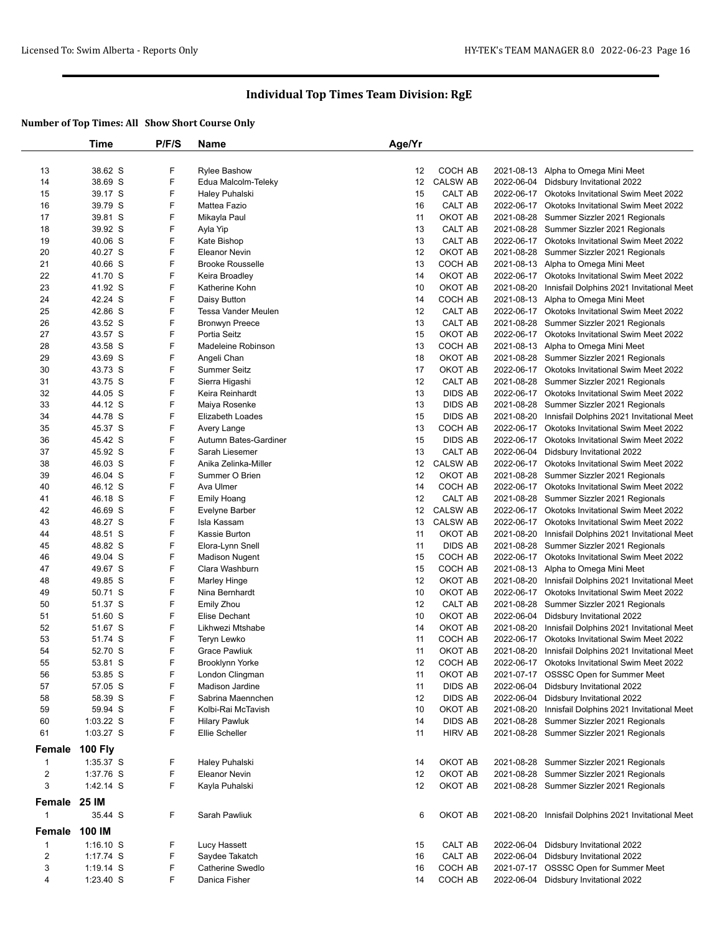|                | Time           | P/F/S | <b>Name</b>             | Age/Yr          |                 |            |                                                      |
|----------------|----------------|-------|-------------------------|-----------------|-----------------|------------|------------------------------------------------------|
|                |                |       |                         |                 |                 |            |                                                      |
| 13             | 38.62 S        | F     | <b>Rylee Bashow</b>     | 12              | COCH AB         | 2021-08-13 | Alpha to Omega Mini Meet                             |
| 14             | 38.69 S        | F     | Edua Malcolm-Teleky     | 12 <sup>2</sup> | <b>CALSW AB</b> |            | 2022-06-04 Didsbury Invitational 2022                |
| 15             | 39.17 S        | F     | Haley Puhalski          | 15              | CALT AB         |            | 2022-06-17 Okotoks Invitational Swim Meet 2022       |
| 16             | 39.79 S        | F     | Mattea Fazio            | 16              | CALT AB         |            | 2022-06-17 Okotoks Invitational Swim Meet 2022       |
| 17             | 39.81 S        | F     | Mikayla Paul            | 11              | OKOT AB         | 2021-08-28 | Summer Sizzler 2021 Regionals                        |
| 18             | 39.92 S        | F     | Ayla Yip                | 13              | CALT AB         | 2021-08-28 | Summer Sizzler 2021 Regionals                        |
| 19             | 40.06 S        | F     | Kate Bishop             | 13              | CALT AB         |            | 2022-06-17 Okotoks Invitational Swim Meet 2022       |
| 20             | 40.27 S        | F     | <b>Eleanor Nevin</b>    | 12              | OKOT AB         |            | 2021-08-28 Summer Sizzler 2021 Regionals             |
| 21             | 40.66 S        | F     | <b>Brooke Rousselle</b> | 13              | COCH AB         |            | 2021-08-13 Alpha to Omega Mini Meet                  |
| 22             | 41.70 S        | F     | Keira Broadley          | 14              | OKOT AB         |            | 2022-06-17 Okotoks Invitational Swim Meet 2022       |
| 23             | 41.92 S        | F     | Katherine Kohn          | 10              | OKOT AB         | 2021-08-20 | Innisfail Dolphins 2021 Invitational Meet            |
| 24             | 42.24 S        | F     | Daisy Button            | 14              | COCH AB         | 2021-08-13 | Alpha to Omega Mini Meet                             |
| 25             | 42.86 S        | F     | Tessa Vander Meulen     | 12              | CALT AB         |            | 2022-06-17 Okotoks Invitational Swim Meet 2022       |
| 26             | 43.52 S        | F     | Bronwyn Preece          | 13              | CALT AB         | 2021-08-28 | Summer Sizzler 2021 Regionals                        |
| 27             | 43.57 S        | F     | Portia Seitz            | 15              | OKOT AB         |            | 2022-06-17 Okotoks Invitational Swim Meet 2022       |
| 28             | 43.58 S        | F     | Madeleine Robinson      | 13              | COCH AB         |            | 2021-08-13 Alpha to Omega Mini Meet                  |
| 29             | 43.69 S        | F     | Angeli Chan             | 18              | OKOT AB         | 2021-08-28 | Summer Sizzler 2021 Regionals                        |
| 30             | 43.73 S        | F     | Summer Seitz            | 17              | OKOT AB         |            | 2022-06-17 Okotoks Invitational Swim Meet 2022       |
| 31             | 43.75 S        | F     | Sierra Higashi          | 12              | CALT AB         | 2021-08-28 | Summer Sizzler 2021 Regionals                        |
| 32             | 44.05 S        | F     | Keira Reinhardt         | 13              | <b>DIDS AB</b>  |            | 2022-06-17 Okotoks Invitational Swim Meet 2022       |
| 33             | 44.12 S        | F     | Maiya Rosenke           | 13              | <b>DIDS AB</b>  |            | 2021-08-28 Summer Sizzler 2021 Regionals             |
| 34             | 44.78 S        | F     | Elizabeth Loades        | 15              | <b>DIDS AB</b>  | 2021-08-20 | Innisfail Dolphins 2021 Invitational Meet            |
| 35             | 45.37 S        | F     | Avery Lange             | 13              | COCH AB         | 2022-06-17 | <b>Okotoks Invitational Swim Meet 2022</b>           |
| 36             | 45.42 S        | F     | Autumn Bates-Gardiner   | 15              | <b>DIDS AB</b>  |            | 2022-06-17 Okotoks Invitational Swim Meet 2022       |
| 37             | 45.92 S        | F     | Sarah Liesemer          | 13              | CALT AB         | 2022-06-04 | Didsbury Invitational 2022                           |
| 38             | 46.03 S        | F     | Anika Zelinka-Miller    | 12              | <b>CALSW AB</b> | 2022-06-17 | Okotoks Invitational Swim Meet 2022                  |
| 39             | 46.04 S        | F     | Summer O Brien          | 12              | OKOT AB         |            | 2021-08-28 Summer Sizzler 2021 Regionals             |
| 40             | 46.12 S        | F     | Ava Ulmer               | 14              | COCH AB         |            | 2022-06-17 Okotoks Invitational Swim Meet 2022       |
| 41             | 46.18 S        | F     | Emily Hoang             | 12              | CALT AB         | 2021-08-28 | Summer Sizzler 2021 Regionals                        |
| 42             | 46.69 S        | F     | Evelyne Barber          | 12 <sup>2</sup> | <b>CALSW AB</b> |            | 2022-06-17 Okotoks Invitational Swim Meet 2022       |
| 43             | 48.27 S        | F     | Isla Kassam             | 13              | <b>CALSW AB</b> | 2022-06-17 | <b>Okotoks Invitational Swim Meet 2022</b>           |
| 44             | 48.51 S        | F     | Kassie Burton           | 11              | OKOT AB         | 2021-08-20 | Innisfail Dolphins 2021 Invitational Meet            |
| 45             | 48.82 S        | F     | Elora-Lynn Snell        | 11              | <b>DIDS AB</b>  | 2021-08-28 | Summer Sizzler 2021 Regionals                        |
| 46             | 49.04 S        | F     | <b>Madison Nugent</b>   | 15              | COCH AB         | 2022-06-17 | Okotoks Invitational Swim Meet 2022                  |
| 47             | 49.67 S        | F     | Clara Washburn          | 15              | COCH AB         | 2021-08-13 | Alpha to Omega Mini Meet                             |
| 48             | 49.85 S        | F     | Marley Hinge            | 12              | OKOT AB         | 2021-08-20 | Innisfail Dolphins 2021 Invitational Meet            |
| 49             | 50.71 S        | F     | Nina Bernhardt          | 10              | OKOT AB         | 2022-06-17 | Okotoks Invitational Swim Meet 2022                  |
| 50             | 51.37 S        | F     | Emily Zhou              | 12              | CALT AB         | 2021-08-28 | Summer Sizzler 2021 Regionals                        |
| 51             | 51.60 S        | F     | Elise Dechant           | 10              | OKOT AB         | 2022-06-04 | Didsbury Invitational 2022                           |
| 52             | 51.67 S        | F     | Likhwezi Mtshabe        | 14              | OKOT AB         | 2021-08-20 | Innisfail Dolphins 2021 Invitational Meet            |
| 53             | 51.74 S        | F     | Teryn Lewko             | 11              | COCH AB         | 2022-06-17 | Okotoks Invitational Swim Meet 2022                  |
| 54             | 52.70 S        | F     | <b>Grace Pawliuk</b>    | 11              | OKOT AB         | 2021-08-20 | Innisfail Dolphins 2021 Invitational Meet            |
| 55             | 53.81 S        | F     | Brooklynn Yorke         | 12              | COCH AB         |            | 2022-06-17 Okotoks Invitational Swim Meet 2022       |
| 56             | 53.85 S        | F     | London Clingman         | 11              | OKOT AB         |            | 2021-07-17 OSSSC Open for Summer Meet                |
| 57             | 57.05 S        | F     | Madison Jardine         | 11              | <b>DIDS AB</b>  | 2022-06-04 | Didsbury Invitational 2022                           |
| 58             | 58.39 S        | F     | Sabrina Maennchen       | 12              | <b>DIDS AB</b>  | 2022-06-04 | Didsbury Invitational 2022                           |
| 59             | 59.94 S        | F     | Kolbi-Rai McTavish      | 10              | OKOT AB         | 2021-08-20 | Innisfail Dolphins 2021 Invitational Meet            |
| 60             | $1:03.22$ S    | F     | <b>Hilary Pawluk</b>    | 14              | DIDS AB         | 2021-08-28 | Summer Sizzler 2021 Regionals                        |
| 61             | 1:03.27 S      | F     | Ellie Scheller          | 11              | <b>HIRV AB</b>  |            | 2021-08-28 Summer Sizzler 2021 Regionals             |
|                |                |       |                         |                 |                 |            |                                                      |
| Female         | <b>100 Fly</b> |       |                         |                 |                 |            |                                                      |
| $\mathbf{1}$   | 1:35.37 S      | F     | Haley Puhalski          | 14              | OKOT AB         |            | 2021-08-28 Summer Sizzler 2021 Regionals             |
| $\overline{2}$ | 1:37.76 S      | F     | <b>Eleanor Nevin</b>    | 12              | OKOT AB         |            | 2021-08-28 Summer Sizzler 2021 Regionals             |
| 3              | 1:42.14 S      | F     | Kayla Puhalski          | 12              | OKOT AB         |            | 2021-08-28 Summer Sizzler 2021 Regionals             |
| Female         | 25 IM          |       |                         |                 |                 |            |                                                      |
| -1             | 35.44 S        | F     | Sarah Pawliuk           | 6               | OKOT AB         |            | 2021-08-20 Innisfail Dolphins 2021 Invitational Meet |
| Female         | 100 IM         |       |                         |                 |                 |            |                                                      |
| $\mathbf{1}$   | $1:16.10$ S    | F     | Lucy Hassett            | 15              | CALT AB         | 2022-06-04 | Didsbury Invitational 2022                           |
| $\overline{2}$ | 1:17.74 S      | F     | Saydee Takatch          | 16              | CALT AB         |            | 2022-06-04 Didsbury Invitational 2022                |
| 3              | $1:19.14$ S    | F     | Catherine Swedlo        | 16              | COCH AB         |            | 2021-07-17 OSSSC Open for Summer Meet                |
| 4              | 1:23.40 S      | F     | Danica Fisher           | 14              | COCH AB         |            | 2022-06-04 Didsbury Invitational 2022                |
|                |                |       |                         |                 |                 |            |                                                      |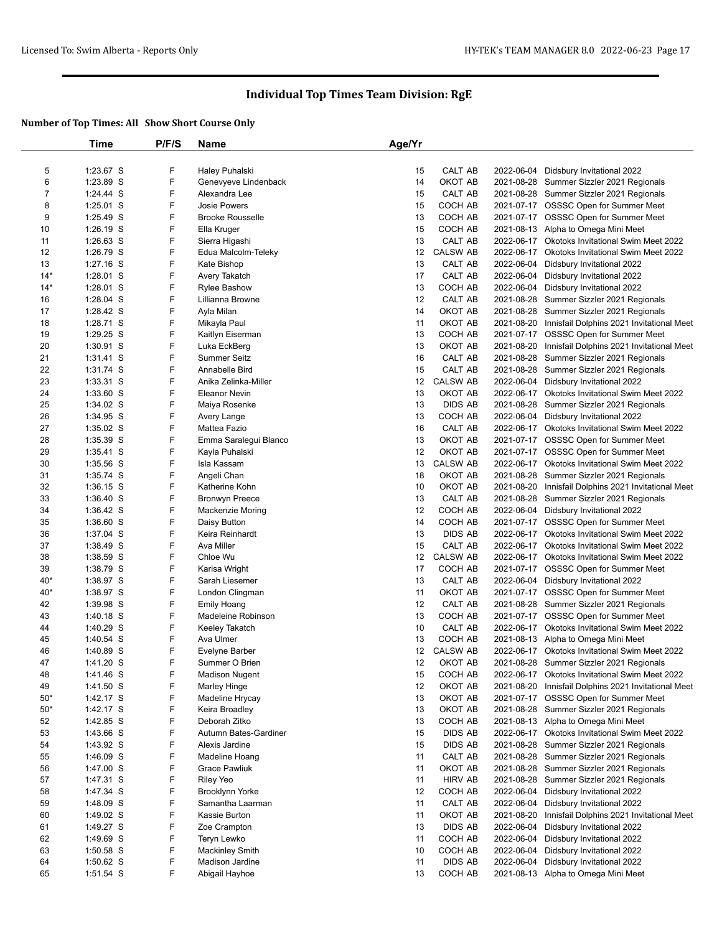|       | Time        | P/F/S | <b>Name</b>             | Age/Yr          |                 |            |                                                |
|-------|-------------|-------|-------------------------|-----------------|-----------------|------------|------------------------------------------------|
|       |             |       |                         |                 |                 |            |                                                |
| 5     | 1:23.67 S   | F     | Haley Puhalski          | 15              | CALT AB         |            | 2022-06-04 Didsbury Invitational 2022          |
| 6     | 1:23.89 S   | F     | Genevyeve Lindenback    | 14              | OKOT AB         |            | 2021-08-28 Summer Sizzler 2021 Regionals       |
| 7     | 1:24.44 S   | F     | Alexandra Lee           | 15              | CALT AB         |            | 2021-08-28 Summer Sizzler 2021 Regionals       |
| 8     | $1:25.01$ S | F     | <b>Josie Powers</b>     | 15              | COCH AB         |            | 2021-07-17 OSSSC Open for Summer Meet          |
| 9     | 1:25.49 S   | F     | <b>Brooke Rousselle</b> | 13              | COCH AB         |            | 2021-07-17 OSSSC Open for Summer Meet          |
| 10    | $1:26.19$ S | F     | Ella Kruger             | 15              | COCH AB         |            | 2021-08-13 Alpha to Omega Mini Meet            |
| 11    | $1:26.63$ S | F     | Sierra Higashi          | 13              | CALT AB         |            | 2022-06-17 Okotoks Invitational Swim Meet 2022 |
| 12    | 1:26.79 S   | F     | Edua Malcolm-Teleky     | 12 <sup>°</sup> | <b>CALSW AB</b> | 2022-06-17 | Okotoks Invitational Swim Meet 2022            |
| 13    | $1:27.16$ S | F     | Kate Bishop             | 13              | CALT AB         |            | 2022-06-04 Didsbury Invitational 2022          |
| $14*$ | 1:28.01 S   | F     | Avery Takatch           | 17              | CALT AB         | 2022-06-04 | Didsbury Invitational 2022                     |
| $14*$ | 1:28.01 S   | F     | <b>Rylee Bashow</b>     | 13              | COCH AB         | 2022-06-04 | Didsbury Invitational 2022                     |
| 16    | $1:28.04$ S | F     | Lillianna Browne        | 12              | CALT AB         | 2021-08-28 | Summer Sizzler 2021 Regionals                  |
| 17    | 1:28.42 S   | F     | Ayla Milan              | 14              | OKOT AB         | 2021-08-28 | Summer Sizzler 2021 Regionals                  |
| 18    | 1:28.71 S   | F     | Mikayla Paul            | 11              | OKOT AB         | 2021-08-20 | Innisfail Dolphins 2021 Invitational Meet      |
| 19    | $1:29.25$ S | F     | Kaitlyn Eiserman        | 13              | COCH AB         |            | 2021-07-17 OSSSC Open for Summer Meet          |
| 20    | $1:30.91$ S | F     | Luka EckBerg            | 13              | OKOT AB         | 2021-08-20 | Innisfail Dolphins 2021 Invitational Meet      |
| 21    | $1:31.41$ S | F     | Summer Seitz            | 16              | CALT AB         | 2021-08-28 | Summer Sizzler 2021 Regionals                  |
| 22    | 1:31.74 S   | F     | Annabelle Bird          | 15              | CALT AB         |            | 2021-08-28 Summer Sizzler 2021 Regionals       |
| 23    | $1:33.31$ S | F     | Anika Zelinka-Miller    | 12              | <b>CALSW AB</b> | 2022-06-04 | Didsbury Invitational 2022                     |
| 24    | 1:33.60 S   | F     | <b>Eleanor Nevin</b>    | 13              | OKOT AB         | 2022-06-17 | <b>Okotoks Invitational Swim Meet 2022</b>     |
| 25    | 1:34.02 S   | F     | Maiya Rosenke           | 13              | <b>DIDS AB</b>  |            | 2021-08-28 Summer Sizzler 2021 Regionals       |
| 26    | 1:34.95 S   | F     | Avery Lange             | 13              | COCH AB         |            | 2022-06-04 Didsbury Invitational 2022          |
| 27    | $1:35.02$ S | F     | Mattea Fazio            | 16              | CALT AB         |            | 2022-06-17 Okotoks Invitational Swim Meet 2022 |
| 28    | 1:35.39 S   | F     | Emma Saralegui Blanco   | 13              | OKOT AB         |            | 2021-07-17 OSSSC Open for Summer Meet          |
| 29    | 1:35.41 S   | F     | Kayla Puhalski          | 12              | OKOT AB         |            | 2021-07-17 OSSSC Open for Summer Meet          |
| 30    | 1:35.56 S   | F     | Isla Kassam             | 13              | <b>CALSW AB</b> | 2022-06-17 | Okotoks Invitational Swim Meet 2022            |
|       |             | F     | Angeli Chan             | 18              | OKOT AB         |            |                                                |
| 31    | 1:35.74 S   | F     |                         |                 |                 | 2021-08-28 | Summer Sizzler 2021 Regionals                  |
| 32    | $1:36.15$ S |       | Katherine Kohn          | 10              | OKOT AB         | 2021-08-20 | Innisfail Dolphins 2021 Invitational Meet      |
| 33    | $1:36.40$ S | F     | <b>Bronwyn Preece</b>   | 13              | CALT AB         | 2021-08-28 | Summer Sizzler 2021 Regionals                  |
| 34    | 1:36.42 S   | F     | <b>Mackenzie Moring</b> | 12              | COCH AB         |            | 2022-06-04 Didsbury Invitational 2022          |
| 35    | 1:36.60 S   | F     | Daisy Button            | 14              | COCH AB         |            | 2021-07-17 OSSSC Open for Summer Meet          |
| 36    | 1:37.04 S   | F     | Keira Reinhardt         | 13              | <b>DIDS AB</b>  | 2022-06-17 | <b>Okotoks Invitational Swim Meet 2022</b>     |
| 37    | 1:38.49 S   | F     | Ava Miller              | 15              | CALT AB         |            | 2022-06-17 Okotoks Invitational Swim Meet 2022 |
| 38    | 1:38.59 S   | F     | Chloe Wu                | 12              | <b>CALSW AB</b> |            | 2022-06-17 Okotoks Invitational Swim Meet 2022 |
| 39    | 1:38.79 S   | F     | Karisa Wright           | 17              | COCH AB         |            | 2021-07-17 OSSSC Open for Summer Meet          |
| $40*$ | 1:38.97 S   | F     | Sarah Liesemer          | 13              | CALT AB         |            | 2022-06-04 Didsbury Invitational 2022          |
| $40*$ | 1:38.97 S   | F     | London Clingman         | 11              | OKOT AB         |            | 2021-07-17 OSSSC Open for Summer Meet          |
| 42    | 1:39.98 S   | F     | <b>Emily Hoang</b>      | 12              | CALT AB         |            | 2021-08-28 Summer Sizzler 2021 Regionals       |
| 43    | $1:40.18$ S | F     | Madeleine Robinson      | 13              | COCH AB         |            | 2021-07-17 OSSSC Open for Summer Meet          |
| 44    | 1:40.29 S   | F     | Keeley Takatch          | 10              | CALT AB         |            | 2022-06-17 Okotoks Invitational Swim Meet 2022 |
| 45    | 1:40.54 S   | F     | Ava Ulmer               | 13              | COCH AB         |            | 2021-08-13 Alpha to Omega Mini Meet            |
| 46    | 1:40.89 S   | F     | Evelyne Barber          | 12              | <b>CALSW AB</b> |            | 2022-06-17 Okotoks Invitational Swim Meet 2022 |
| 47    | 1:41.20 S   | F     | Summer O Brien          | 12              | OKOT AB         |            | 2021-08-28 Summer Sizzler 2021 Regionals       |
| 48    | 1:41.46 S   | F     | <b>Madison Nugent</b>   | 15              | COCH AB         | 2022-06-17 | Okotoks Invitational Swim Meet 2022            |
| 49    | 1:41.50 S   | F     | <b>Marley Hinge</b>     | 12              | OKOT AB         | 2021-08-20 | Innisfail Dolphins 2021 Invitational Meet      |
| $50*$ | 1:42.17 S   | F     | Madeline Hrycay         | 13              | OKOT AB         | 2021-07-17 | <b>OSSSC Open for Summer Meet</b>              |
| $50*$ | 1:42.17 S   | F     | Keira Broadley          | 13              | OKOT AB         |            | 2021-08-28 Summer Sizzler 2021 Regionals       |
| 52    | 1:42.85 S   | F     | Deborah Zitko           | 13              | COCH AB         |            | 2021-08-13 Alpha to Omega Mini Meet            |
| 53    | 1:43.66 S   | F     | Autumn Bates-Gardiner   | 15              | <b>DIDS AB</b>  | 2022-06-17 | Okotoks Invitational Swim Meet 2022            |
| 54    | 1:43.92 S   | F     | Alexis Jardine          | 15              | <b>DIDS AB</b>  | 2021-08-28 | Summer Sizzler 2021 Regionals                  |
| 55    | 1:46.09 S   | F     | Madeline Hoang          | 11              | CALT AB         | 2021-08-28 | Summer Sizzler 2021 Regionals                  |
| 56    | 1:47.00 S   | F     | <b>Grace Pawliuk</b>    | 11              | OKOT AB         | 2021-08-28 | Summer Sizzler 2021 Regionals                  |
| 57    | 1:47.31 S   | F     | <b>Riley Yeo</b>        | 11              | <b>HIRV AB</b>  | 2021-08-28 | Summer Sizzler 2021 Regionals                  |
| 58    | 1:47.34 S   | F     | <b>Brooklynn Yorke</b>  | 12              | COCH AB         | 2022-06-04 | Didsbury Invitational 2022                     |
| 59    | 1:48.09 S   | F     | Samantha Laarman        | 11              | CALT AB         | 2022-06-04 | Didsbury Invitational 2022                     |
| 60    | 1:49.02 S   | F     | Kassie Burton           | 11              | OKOT AB         | 2021-08-20 | Innisfail Dolphins 2021 Invitational Meet      |
| 61    | 1:49.27 S   | F     | Zoe Crampton            | 13              | <b>DIDS AB</b>  | 2022-06-04 | Didsbury Invitational 2022                     |
| 62    | 1:49.69 S   | F     | Teryn Lewko             | 11              | COCH AB         | 2022-06-04 | Didsbury Invitational 2022                     |
| 63    | $1:50.58$ S | F     | <b>Mackinley Smith</b>  | 10              | COCH AB         | 2022-06-04 | Didsbury Invitational 2022                     |
| 64    | 1:50.62 S   | F     | Madison Jardine         | 11              | <b>DIDS AB</b>  | 2022-06-04 | Didsbury Invitational 2022                     |
| 65    | 1:51.54 S   | F     | Abigail Hayhoe          | 13              | COCH AB         |            | 2021-08-13 Alpha to Omega Mini Meet            |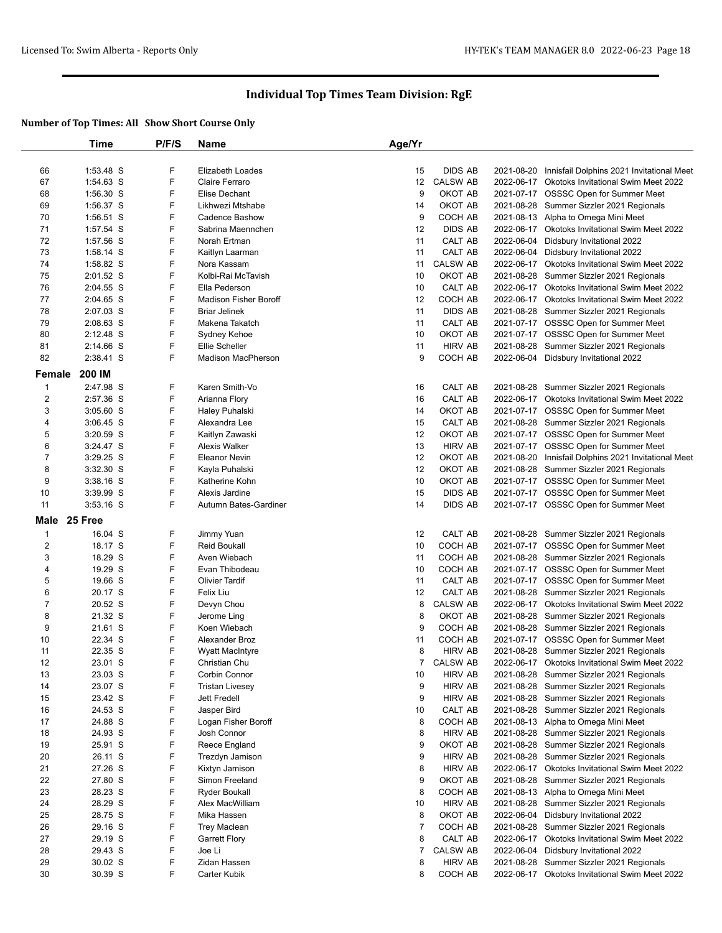|                | Time                   | P/F/S  | <b>Name</b>                  | Age/Yr         |                            |            |                                                                                             |
|----------------|------------------------|--------|------------------------------|----------------|----------------------------|------------|---------------------------------------------------------------------------------------------|
|                | 1:53.48 S              |        | Elizabeth Loades             |                |                            |            |                                                                                             |
| 66<br>67       | 1:54.63 S              | F<br>F | Claire Ferraro               | 15<br>12       | DIDS AB<br><b>CALSW AB</b> | 2021-08-20 | Innisfail Dolphins 2021 Invitational Meet<br>2022-06-17 Okotoks Invitational Swim Meet 2022 |
|                | 1:56.30 S              | F      | <b>Elise Dechant</b>         | 9              | OKOT AB                    |            |                                                                                             |
| 68             |                        | F      | Likhwezi Mtshabe             |                |                            |            | 2021-07-17 OSSSC Open for Summer Meet                                                       |
| 69<br>70       | 1:56.37 S<br>1:56.51 S | F      | Cadence Bashow               | 14<br>9        | OKOT AB<br>COCH AB         |            | 2021-08-28 Summer Sizzler 2021 Regionals                                                    |
|                |                        | F      |                              |                | <b>DIDS AB</b>             |            | 2021-08-13 Alpha to Omega Mini Meet                                                         |
| 71             | 1:57.54 S              | F      | Sabrina Maennchen            | 12             |                            |            | 2022-06-17 Okotoks Invitational Swim Meet 2022                                              |
| 72<br>73       | 1:57.56 S              | F      | Norah Ertman                 | 11             | CALT AB                    |            | 2022-06-04 Didsbury Invitational 2022                                                       |
|                | 1:58.14 S<br>1:58.82 S | F      | Kaitlyn Laarman              | 11             | CALT AB                    |            | 2022-06-04 Didsbury Invitational 2022<br>2022-06-17 Okotoks Invitational Swim Meet 2022     |
| 74             |                        |        | Nora Kassam                  | 11             | <b>CALSW AB</b>            |            |                                                                                             |
| 75             | $2:01.52$ S            | F<br>F | Kolbi-Rai McTavish           | 10             | OKOT AB                    |            | 2021-08-28 Summer Sizzler 2021 Regionals                                                    |
| 76             | 2:04.55 S              |        | Ella Pederson                | 10             | CALT AB                    |            | 2022-06-17 Okotoks Invitational Swim Meet 2022                                              |
| 77             | 2:04.65 S              | F      | <b>Madison Fisher Boroff</b> | 12             | COCH AB                    |            | 2022-06-17 Okotoks Invitational Swim Meet 2022                                              |
| 78             | 2:07.03 S              | F      | <b>Briar Jelinek</b>         | 11             | <b>DIDS AB</b>             |            | 2021-08-28 Summer Sizzler 2021 Regionals                                                    |
| 79             | 2:08.63 S              | F      | Makena Takatch               | 11             | CALT AB                    |            | 2021-07-17 OSSSC Open for Summer Meet                                                       |
| 80             | $2:12.48$ S            | F      | Sydney Kehoe                 | 10             | OKOT AB                    |            | 2021-07-17 OSSSC Open for Summer Meet                                                       |
| 81             | 2:14.66 S              | F      | <b>Ellie Scheller</b>        | 11             | <b>HIRV AB</b>             |            | 2021-08-28 Summer Sizzler 2021 Regionals                                                    |
| 82             | 2:38.41 S              | F      | <b>Madison MacPherson</b>    | 9              | COCH AB                    |            | 2022-06-04 Didsbury Invitational 2022                                                       |
| Female         | 200 IM                 |        |                              |                |                            |            |                                                                                             |
| $\mathbf{1}$   | 2:47.98 S              | F      | Karen Smith-Vo               | 16             | CALT AB                    |            | 2021-08-28 Summer Sizzler 2021 Regionals                                                    |
| $\overline{2}$ | 2:57.36 S              | F      | Arianna Flory                | 16             | CALT AB                    |            | 2022-06-17 Okotoks Invitational Swim Meet 2022                                              |
| 3              | $3:05.60$ S            | F      | Haley Puhalski               | 14             | OKOT AB                    |            | 2021-07-17 OSSSC Open for Summer Meet                                                       |
| 4              | $3:06.45$ S            | F      | Alexandra Lee                | 15             | CALT AB                    |            | 2021-08-28 Summer Sizzler 2021 Regionals                                                    |
| 5              | 3:20.59 S              | F      | Kaitlyn Zawaski              | 12             | OKOT AB                    |            | 2021-07-17 OSSSC Open for Summer Meet                                                       |
| 6              | $3:24.47$ S            | F      | Alexis Walker                | 13             | <b>HIRV AB</b>             |            | 2021-07-17 OSSSC Open for Summer Meet                                                       |
| $\overline{7}$ | 3:29.25 S              | F      | Eleanor Nevin                | 12             | OKOT AB                    |            | 2021-08-20 Innisfail Dolphins 2021 Invitational Meet                                        |
| 8              | $3:32.30$ S            | F      | Kayla Puhalski               | 12             | OKOT AB                    |            | 2021-08-28 Summer Sizzler 2021 Regionals                                                    |
| 9              | $3:38.16$ S            | F      | Katherine Kohn               | 10             | OKOT AB                    |            | 2021-07-17 OSSSC Open for Summer Meet                                                       |
| 10             | 3:39.99 S              | F      | Alexis Jardine               | 15             | <b>DIDS AB</b>             |            | 2021-07-17 OSSSC Open for Summer Meet                                                       |
| 11             | 3:53.16 S              | F      | Autumn Bates-Gardiner        | 14             | <b>DIDS AB</b>             |            | 2021-07-17 OSSSC Open for Summer Meet                                                       |
| Male           | 25 Free                |        |                              |                |                            |            |                                                                                             |
| $\mathbf{1}$   | 16.04 S                | F      | Jimmy Yuan                   | 12             | CALT AB                    |            | 2021-08-28 Summer Sizzler 2021 Regionals                                                    |
| $\overline{2}$ | 18.17 S                | F      | <b>Reid Boukall</b>          | 10             | COCH AB                    |            | 2021-07-17 OSSSC Open for Summer Meet                                                       |
| 3              | 18.29 S                | F      | Aven Wiebach                 | 11             | COCH AB                    |            | 2021-08-28 Summer Sizzler 2021 Regionals                                                    |
| 4              | 19.29 S                | F      | Evan Thibodeau               | 10             | COCH AB                    |            | 2021-07-17 OSSSC Open for Summer Meet                                                       |
| 5              | 19.66 S                | F      | <b>Olivier Tardif</b>        | 11             | CALT AB                    |            | 2021-07-17 OSSSC Open for Summer Meet                                                       |
| 6              | 20.17 S                | F      | Felix Liu                    | 12             | CALT AB                    |            | 2021-08-28 Summer Sizzler 2021 Regionals                                                    |
| $\overline{7}$ | 20.52 S                | F      | Devyn Chou                   | 8              | <b>CALSW AB</b>            |            | 2022-06-17 Okotoks Invitational Swim Meet 2022                                              |
| 8              | 21.32 S                | F      | Jerome Ling                  | 8              | OKOT AB                    |            | 2021-08-28 Summer Sizzler 2021 Regionals                                                    |
| 9              | 21.61 S                | F      | Koen Wiebach                 | 9              | COCH AB                    |            | 2021-08-28 Summer Sizzler 2021 Regionals                                                    |
| 10             | 22.34 S                | F      | Alexander Broz               | 11             | COCH AB                    |            | 2021-07-17 OSSSC Open for Summer Meet                                                       |
| 11             | 22.35 S                | F      | <b>Wyatt MacIntyre</b>       | 8              | <b>HIRV AB</b>             |            | 2021-08-28 Summer Sizzler 2021 Regionals                                                    |
| 12             | 23.01 S                | F      | Christian Chu                | 7              | <b>CALSW AB</b>            |            | 2022-06-17 Okotoks Invitational Swim Meet 2022                                              |
| 13             | 23.03 S                | F      | Corbin Connor                | 10             | <b>HIRV AB</b>             |            | 2021-08-28 Summer Sizzler 2021 Regionals                                                    |
| 14             | 23.07 S                | F      | <b>Tristan Livesey</b>       | 9              | <b>HIRV AB</b>             |            | 2021-08-28 Summer Sizzler 2021 Regionals                                                    |
| 15             | 23.42 S                | F      | Jett Fredell                 | 9              | <b>HIRV AB</b>             |            | 2021-08-28 Summer Sizzler 2021 Regionals                                                    |
| 16             | 24.53 S                | F      | Jasper Bird                  | 10             | CALT AB                    |            | 2021-08-28 Summer Sizzler 2021 Regionals                                                    |
| 17             | 24.88 S                | F      | Logan Fisher Boroff          | 8              | COCH AB                    |            | 2021-08-13 Alpha to Omega Mini Meet                                                         |
| 18             | 24.93 S                | F      | Josh Connor                  | 8              | <b>HIRV AB</b>             |            | 2021-08-28 Summer Sizzler 2021 Regionals                                                    |
| 19             | 25.91 S                | F      | Reece England                | 9              | OKOT AB                    |            | 2021-08-28 Summer Sizzler 2021 Regionals                                                    |
| 20             | 26.11 S                | F      | Trezdyn Jamison              | 9              | <b>HIRV AB</b>             |            | 2021-08-28 Summer Sizzler 2021 Regionals                                                    |
| 21             | 27.26 S                | F      | Kixtyn Jamison               | 8              | <b>HIRV AB</b>             |            | 2022-06-17 Okotoks Invitational Swim Meet 2022                                              |
| 22             | 27.80 S                | F      | Simon Freeland               | 9              | OKOT AB                    |            | 2021-08-28 Summer Sizzler 2021 Regionals                                                    |
|                |                        |        |                              |                |                            |            |                                                                                             |
| 23             | 28.23 S<br>28.29 S     | F<br>F | Ryder Boukall                | 8              | COCH AB<br><b>HIRV AB</b>  |            | 2021-08-13 Alpha to Omega Mini Meet                                                         |
| 24             |                        | F      | Alex MacWilliam              | 10             |                            |            | 2021-08-28 Summer Sizzler 2021 Regionals                                                    |
| 25             | 28.75 S                |        | Mika Hassen                  | 8              | OKOT AB                    |            | 2022-06-04 Didsbury Invitational 2022                                                       |
| 26             | 29.16 S                | F      | <b>Trey Maclean</b>          | $\overline{7}$ | COCH AB                    |            | 2021-08-28 Summer Sizzler 2021 Regionals                                                    |
| 27             | 29.19 S                | F      | <b>Garrett Flory</b>         | 8              | CALT AB                    |            | 2022-06-17 Okotoks Invitational Swim Meet 2022                                              |
| 28             | 29.43 S                | F      | Joe Li                       | 7              | CALSW AB                   |            | 2022-06-04 Didsbury Invitational 2022                                                       |
| 29             | 30.02 S                | F      | Zidan Hassen                 | 8              | <b>HIRV AB</b>             |            | 2021-08-28 Summer Sizzler 2021 Regionals                                                    |
| 30             | 30.39 S                | F      | Carter Kubik                 | 8              | COCH AB                    |            | 2022-06-17 Okotoks Invitational Swim Meet 2022                                              |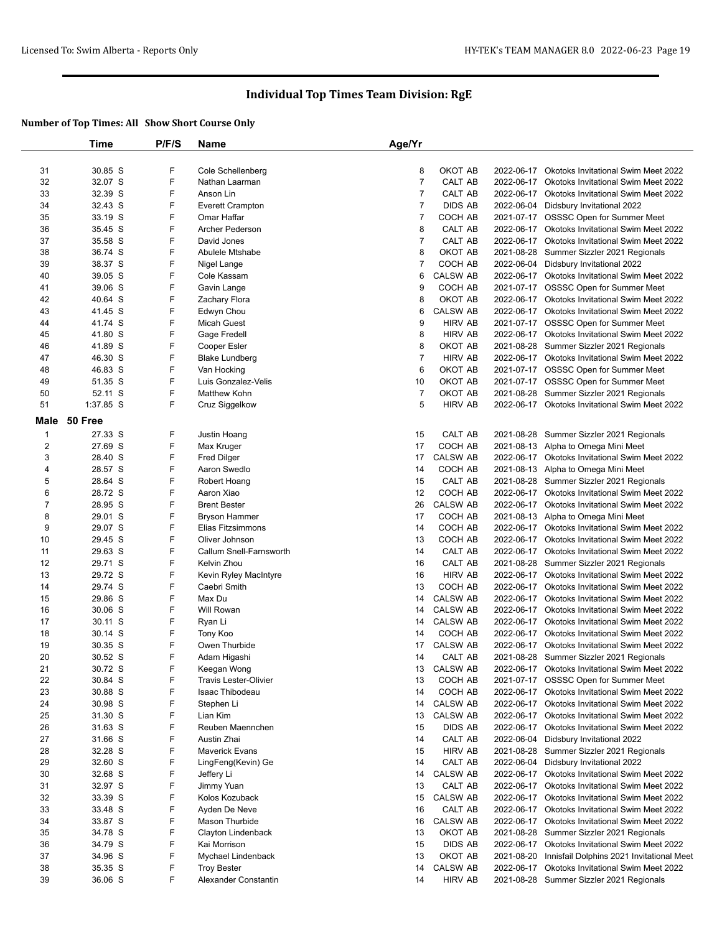|                | Time               | P/F/S  | Name                         | Age/Yr         |                 |            |                                                                                       |
|----------------|--------------------|--------|------------------------------|----------------|-----------------|------------|---------------------------------------------------------------------------------------|
|                |                    |        |                              |                |                 |            |                                                                                       |
| 31             | 30.85 S            | F      | Cole Schellenberg            | 8              | OKOT AB         |            | 2022-06-17 Okotoks Invitational Swim Meet 2022                                        |
| 32             | 32.07 S            | F      | Nathan Laarman               | $\overline{7}$ | <b>CALT AB</b>  |            | 2022-06-17 Okotoks Invitational Swim Meet 2022                                        |
| 33             | 32.39 S            | F      | Anson Lin                    | 7              | CALT AB         |            | 2022-06-17 Okotoks Invitational Swim Meet 2022                                        |
| 34             | 32.43 S            | F      | <b>Everett Crampton</b>      | 7              | <b>DIDS AB</b>  |            | 2022-06-04 Didsbury Invitational 2022                                                 |
| 35             | 33.19 S            | F      | Omar Haffar                  | $\overline{7}$ | COCH AB         |            | 2021-07-17 OSSSC Open for Summer Meet                                                 |
| 36             | 35.45 S            | F      | <b>Archer Pederson</b>       | 8              | CALT AB         |            | 2022-06-17 Okotoks Invitational Swim Meet 2022                                        |
| 37             | 35.58 S            | F      | David Jones                  | 7              | CALT AB         |            | 2022-06-17 Okotoks Invitational Swim Meet 2022                                        |
| 38             | 36.74 S            | F      | Abulele Mtshabe              | 8              | OKOT AB         |            | 2021-08-28 Summer Sizzler 2021 Regionals                                              |
| 39             | 38.37 S            | F      | Nigel Lange                  | 7              | COCH AB         |            | 2022-06-04 Didsbury Invitational 2022                                                 |
| 40             | 39.05 S            | F      | Cole Kassam                  | 6              | <b>CALSW AB</b> |            | 2022-06-17 Okotoks Invitational Swim Meet 2022                                        |
| 41             | 39.06 S            | F      | Gavin Lange                  | 9              | COCH AB         |            | 2021-07-17 OSSSC Open for Summer Meet                                                 |
| 42             | 40.64 S            | F      | Zachary Flora                | 8              | OKOT AB         |            | 2022-06-17 Okotoks Invitational Swim Meet 2022                                        |
| 43             | 41.45 S            | F      | Edwyn Chou                   | 6              | <b>CALSW AB</b> |            | 2022-06-17 Okotoks Invitational Swim Meet 2022                                        |
| 44             | 41.74 S            | F      | <b>Micah Guest</b>           | 9              | <b>HIRV AB</b>  |            | 2021-07-17 OSSSC Open for Summer Meet                                                 |
| 45             | 41.80 S            | F      | Gage Fredell                 | 8              | <b>HIRV AB</b>  |            | 2022-06-17 Okotoks Invitational Swim Meet 2022                                        |
| 46             | 41.89 S            | F      | Cooper Esler                 | 8              | OKOT AB         |            | 2021-08-28 Summer Sizzler 2021 Regionals                                              |
| 47             | 46.30 S            | F      | <b>Blake Lundberg</b>        | $\overline{7}$ | <b>HIRV AB</b>  |            | 2022-06-17 Okotoks Invitational Swim Meet 2022                                        |
| 48             | 46.83 S            | F      | Van Hocking                  | 6              | OKOT AB         |            | 2021-07-17 OSSSC Open for Summer Meet                                                 |
| 49             | 51.35 S            | F      | Luis Gonzalez-Velis          | 10             | OKOT AB         |            | 2021-07-17 OSSSC Open for Summer Meet                                                 |
| 50             | 52.11 S            | F      | Matthew Kohn                 | $\overline{7}$ | OKOT AB         |            | 2021-08-28 Summer Sizzler 2021 Regionals                                              |
| 51             | 1:37.85 S          | F      | Cruz Siggelkow               | 5              | <b>HIRV AB</b>  |            | 2022-06-17 Okotoks Invitational Swim Meet 2022                                        |
| Male           | 50 Free            |        |                              |                |                 |            |                                                                                       |
|                | 27.33 S            |        |                              |                | <b>CALT AB</b>  |            |                                                                                       |
| $\mathbf{1}$   |                    | F<br>F | Justin Hoang                 | 15             |                 |            | 2021-08-28 Summer Sizzler 2021 Regionals                                              |
| $\overline{2}$ | 27.69 S            | F      | Max Kruger                   | 17             | COCH AB         |            | 2021-08-13 Alpha to Omega Mini Meet<br>2022-06-17 Okotoks Invitational Swim Meet 2022 |
| 3              | 28.40 S<br>28.57 S |        | <b>Fred Dilger</b>           | 17             | <b>CALSW AB</b> |            |                                                                                       |
| 4              |                    | F<br>F | Aaron Swedlo                 | 14             | COCH AB         |            | 2021-08-13 Alpha to Omega Mini Meet                                                   |
| 5              | 28.64 S            |        | Robert Hoang                 | 15             | CALT AB         |            | 2021-08-28 Summer Sizzler 2021 Regionals                                              |
| 6              | 28.72 S            | F<br>F | Aaron Xiao                   | 12             | COCH AB         |            | 2022-06-17 Okotoks Invitational Swim Meet 2022                                        |
| 7              | 28.95 S            |        | <b>Brent Bester</b>          | 26             | <b>CALSW AB</b> |            | 2022-06-17 Okotoks Invitational Swim Meet 2022                                        |
| 8              | 29.01 S            | F<br>F | <b>Bryson Hammer</b>         | 17             | COCH AB         |            | 2021-08-13 Alpha to Omega Mini Meet                                                   |
| 9              | 29.07 S            |        | Elias Fitzsimmons            | 14             | COCH AB         |            | 2022-06-17 Okotoks Invitational Swim Meet 2022                                        |
| 10             | 29.45 S            | F<br>F | Oliver Johnson               | 13             | COCH AB         |            | 2022-06-17 Okotoks Invitational Swim Meet 2022                                        |
| 11             | 29.63 S            |        | Callum Snell-Farnsworth      | 14             | CALT AB         |            | 2022-06-17 Okotoks Invitational Swim Meet 2022                                        |
| 12             | 29.71 S            | F      | Kelvin Zhou                  | 16             | CALT AB         |            | 2021-08-28 Summer Sizzler 2021 Regionals                                              |
| 13             | 29.72 S            | F      | Kevin Ryley MacIntyre        | 16             | <b>HIRV AB</b>  |            | 2022-06-17 Okotoks Invitational Swim Meet 2022                                        |
| 14             | 29.74 S            | F      | Caebri Smith                 | 13             | COCH AB         |            | 2022-06-17 Okotoks Invitational Swim Meet 2022                                        |
| 15             | 29.86 S            | F      | Max Du                       | 14             | <b>CALSW AB</b> |            | 2022-06-17 Okotoks Invitational Swim Meet 2022                                        |
| 16             | 30.06 S            | F      | Will Rowan                   | 14             | <b>CALSW AB</b> |            | 2022-06-17 Okotoks Invitational Swim Meet 2022                                        |
| 17             | 30.11 S            | F      | Ryan Li                      | 14             | <b>CALSW AB</b> |            | 2022-06-17 Okotoks Invitational Swim Meet 2022                                        |
| 18             | 30.14 S            | F      | Tony Koo                     | 14             | COCH AB         |            | 2022-06-17 Okotoks Invitational Swim Meet 2022                                        |
| 19             | 30.35 S            | F      | Owen Thurbide                | 17             | <b>CALSW AB</b> |            | 2022-06-17 Okotoks Invitational Swim Meet 2022                                        |
| 20             | 30.52 S            | F      | Adam Higashi                 | 14             | CALT AB         |            | 2021-08-28 Summer Sizzler 2021 Regionals                                              |
| 21             | 30.72 S            | F      | Keegan Wong                  |                | 13 CALSW AB     |            | 2022-06-17 Okotoks Invitational Swim Meet 2022                                        |
| 22             | 30.84 S            | F      | <b>Travis Lester-Olivier</b> | 13             | COCH AB         |            | 2021-07-17 OSSSC Open for Summer Meet                                                 |
| 23             | 30.88 S            | F      | Isaac Thibodeau              | 14             | COCH AB         |            | 2022-06-17 Okotoks Invitational Swim Meet 2022                                        |
| 24             | 30.98 S            | F      | Stephen Li                   | 14             | <b>CALSW AB</b> |            | 2022-06-17 Okotoks Invitational Swim Meet 2022                                        |
| 25             | 31.30 S            | F      | Lian Kim                     | 13             | <b>CALSW AB</b> |            | 2022-06-17 Okotoks Invitational Swim Meet 2022                                        |
| 26             | 31.63 S            | F      | Reuben Maennchen             | 15             | DIDS AB         |            | 2022-06-17 Okotoks Invitational Swim Meet 2022                                        |
| 27             | 31.66 S            | F      | Austin Zhai                  | 14             | CALT AB         | 2022-06-04 | Didsbury Invitational 2022                                                            |
| 28             | 32.28 S            | F      | <b>Maverick Evans</b>        | 15             | <b>HIRV AB</b>  |            | 2021-08-28 Summer Sizzler 2021 Regionals                                              |
| 29             | 32.60 S            | F      | LingFeng(Kevin) Ge           | 14             | CALT AB         | 2022-06-04 | Didsbury Invitational 2022                                                            |
| 30             | 32.68 S            | F      | Jeffery Li                   | 14             | <b>CALSW AB</b> |            | 2022-06-17 Okotoks Invitational Swim Meet 2022                                        |
| 31             | 32.97 S            | F      | Jimmy Yuan                   | 13             | CALT AB         |            | 2022-06-17 Okotoks Invitational Swim Meet 2022                                        |
| 32             | 33.39 S            | F      | Kolos Kozuback               | 15             | <b>CALSW AB</b> |            | 2022-06-17 Okotoks Invitational Swim Meet 2022                                        |
| 33             | 33.48 S            | F      | Ayden De Neve                | 16             | CALT AB         |            | 2022-06-17 Okotoks Invitational Swim Meet 2022                                        |
| 34             | 33.87 S            | F      | Mason Thurbide               | 16             | <b>CALSW AB</b> |            | 2022-06-17 Okotoks Invitational Swim Meet 2022                                        |
| 35             | 34.78 S            | F      | Clayton Lindenback           | 13             | OKOT AB         |            | 2021-08-28 Summer Sizzler 2021 Regionals                                              |
| 36             | 34.79 S            | F      | Kai Morrison                 | 15             | <b>DIDS AB</b>  |            | 2022-06-17 Okotoks Invitational Swim Meet 2022                                        |
| 37             | 34.96 S            | F      | Mychael Lindenback           | 13             | OKOT AB         |            | 2021-08-20 Innisfail Dolphins 2021 Invitational Meet                                  |
| 38             | 35.35 S            | F      | <b>Troy Bester</b>           | 14             | <b>CALSW AB</b> |            | 2022-06-17 Okotoks Invitational Swim Meet 2022                                        |
| 39             | 36.06 S            | F      | Alexander Constantin         | 14             | <b>HIRV AB</b>  |            | 2021-08-28 Summer Sizzler 2021 Regionals                                              |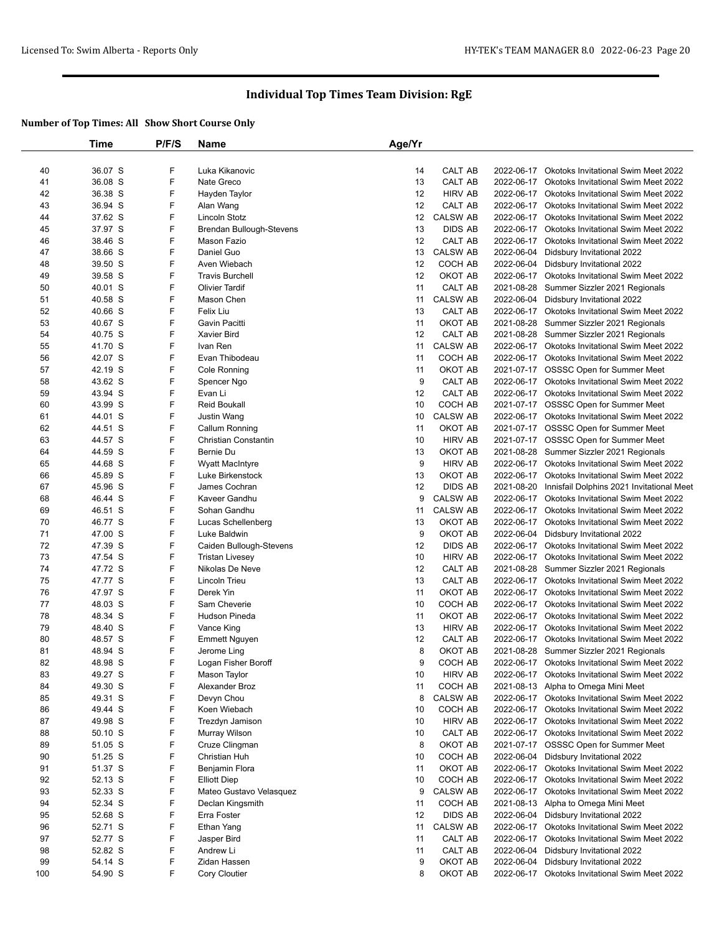|     | Time               | P/F/S  | Name                                           | Age/Yr |                 |            |                                                                                       |
|-----|--------------------|--------|------------------------------------------------|--------|-----------------|------------|---------------------------------------------------------------------------------------|
|     |                    |        |                                                |        |                 |            |                                                                                       |
| 40  | 36.07 S            | F      | Luka Kikanovic                                 | 14     | CALT AB         |            | 2022-06-17 Okotoks Invitational Swim Meet 2022                                        |
| 41  | 36.08 S            | F      | Nate Greco                                     | 13     | CALT AB         | 2022-06-17 | <b>Okotoks Invitational Swim Meet 2022</b>                                            |
| 42  | 36.38 S            | F      | Hayden Taylor                                  | 12     | <b>HIRV AB</b>  |            | 2022-06-17 Okotoks Invitational Swim Meet 2022                                        |
| 43  | 36.94 S            | F      | Alan Wang                                      | 12     | <b>CALT AB</b>  |            | 2022-06-17 Okotoks Invitational Swim Meet 2022                                        |
| 44  | 37.62 S            | F      | Lincoln Stotz                                  | 12     | <b>CALSW AB</b> | 2022-06-17 | <b>Okotoks Invitational Swim Meet 2022</b>                                            |
| 45  | 37.97 S            | F      | Brendan Bullough-Stevens                       | 13     | <b>DIDS AB</b>  |            | 2022-06-17 Okotoks Invitational Swim Meet 2022                                        |
| 46  | 38.46 S            | F      | Mason Fazio                                    | 12     | CALT AB         |            | 2022-06-17 Okotoks Invitational Swim Meet 2022                                        |
| 47  | 38.66 S            | F      | Daniel Guo                                     | 13     | <b>CALSW AB</b> | 2022-06-04 | Didsbury Invitational 2022                                                            |
| 48  | 39.50 S            | F      | Aven Wiebach                                   | 12     | COCH AB         |            | 2022-06-04 Didsbury Invitational 2022                                                 |
| 49  | 39.58 S            | F      | <b>Travis Burchell</b>                         | 12     | OKOT AB         |            | 2022-06-17 Okotoks Invitational Swim Meet 2022                                        |
| 50  | 40.01 S            | F      | <b>Olivier Tardif</b>                          | 11     | CALT AB         | 2021-08-28 | Summer Sizzler 2021 Regionals                                                         |
| 51  | 40.58 S            | F      | Mason Chen                                     | 11     | <b>CALSW AB</b> |            | 2022-06-04 Didsbury Invitational 2022                                                 |
| 52  | 40.66 S            | F      | Felix Liu                                      | 13     | CALT AB         |            | 2022-06-17 Okotoks Invitational Swim Meet 2022                                        |
| 53  | 40.67 S            | F      | <b>Gavin Pacitti</b>                           | 11     | OKOT AB         |            | 2021-08-28 Summer Sizzler 2021 Regionals                                              |
| 54  | 40.75 S            | F      | <b>Xavier Bird</b>                             | 12     | CALT AB         |            | 2021-08-28 Summer Sizzler 2021 Regionals                                              |
| 55  | 41.70 S            | F      | Ivan Ren                                       | 11     | <b>CALSW AB</b> |            | 2022-06-17 Okotoks Invitational Swim Meet 2022                                        |
| 56  | 42.07 S            | F      | Evan Thibodeau                                 | 11     | COCH AB         |            | 2022-06-17 Okotoks Invitational Swim Meet 2022                                        |
| 57  | 42.19 S            | F      | Cole Ronning                                   | 11     | OKOT AB         |            | 2021-07-17 OSSSC Open for Summer Meet                                                 |
| 58  | 43.62 S            | F      | Spencer Ngo                                    | 9      | CALT AB         |            | 2022-06-17 Okotoks Invitational Swim Meet 2022                                        |
| 59  | 43.94 S            | F      | Evan Li                                        | 12     | CALT AB         |            | 2022-06-17 Okotoks Invitational Swim Meet 2022                                        |
| 60  | 43.99 S            | F      | <b>Reid Boukall</b>                            | 10     | COCH AB         |            | 2021-07-17 OSSSC Open for Summer Meet                                                 |
| 61  | 44.01 S            | F      | Justin Wang                                    | 10     | <b>CALSW AB</b> |            | 2022-06-17 Okotoks Invitational Swim Meet 2022                                        |
| 62  | 44.51 S            | F      | Callum Ronning                                 | 11     | OKOT AB         |            | 2021-07-17 OSSSC Open for Summer Meet                                                 |
| 63  | 44.57 S            | F      | Christian Constantin                           | 10     | <b>HIRV AB</b>  |            | 2021-07-17 OSSSC Open for Summer Meet                                                 |
| 64  | 44.59 S            | F      | Bernie Du                                      | 13     | OKOT AB         |            | 2021-08-28 Summer Sizzler 2021 Regionals                                              |
| 65  | 44.68 S            | F      | Wyatt MacIntyre                                | 9      | <b>HIRV AB</b>  |            | 2022-06-17 Okotoks Invitational Swim Meet 2022                                        |
| 66  | 45.89 S            | F      | Luke Birkenstock                               | 13     | OKOT AB         |            | 2022-06-17 Okotoks Invitational Swim Meet 2022                                        |
| 67  | 45.96 S            | F      | James Cochran                                  | 12     | <b>DIDS AB</b>  | 2021-08-20 | Innisfail Dolphins 2021 Invitational Meet                                             |
| 68  | 46.44 S            | F      | Kaveer Gandhu                                  | 9      | <b>CALSW AB</b> |            | 2022-06-17 Okotoks Invitational Swim Meet 2022                                        |
| 69  | 46.51 S            | F      | Sohan Gandhu                                   | 11     | <b>CALSW AB</b> |            | 2022-06-17 Okotoks Invitational Swim Meet 2022                                        |
| 70  | 46.77 S            | F      | Lucas Schellenberg                             | 13     | OKOT AB         | 2022-06-17 | <b>Okotoks Invitational Swim Meet 2022</b>                                            |
| 71  | 47.00 S            | F      | Luke Baldwin                                   | 9      | OKOT AB         | 2022-06-04 | Didsbury Invitational 2022                                                            |
| 72  | 47.39 S            | F      | Caiden Bullough-Stevens                        | 12     | <b>DIDS AB</b>  |            | 2022-06-17 Okotoks Invitational Swim Meet 2022                                        |
| 73  | 47.54 S            | F      | <b>Tristan Livesey</b>                         | 10     | <b>HIRV AB</b>  | 2022-06-17 | Okotoks Invitational Swim Meet 2022                                                   |
| 74  | 47.72 S            | F      | Nikolas De Neve                                | 12     | CALT AB         | 2021-08-28 | Summer Sizzler 2021 Regionals                                                         |
| 75  | 47.77 S            | F      | Lincoln Trieu                                  | 13     | CALT AB         |            | 2022-06-17 Okotoks Invitational Swim Meet 2022                                        |
| 76  | 47.97 S            | F      | Derek Yin                                      | 11     | OKOT AB         |            | 2022-06-17 Okotoks Invitational Swim Meet 2022                                        |
| 77  | 48.03 S            | F      | Sam Cheverie                                   | 10     | COCH AB         |            | 2022-06-17 Okotoks Invitational Swim Meet 2022                                        |
| 78  | 48.34 S            | F      | Hudson Pineda                                  | 11     | OKOT AB         |            | 2022-06-17 Okotoks Invitational Swim Meet 2022                                        |
| 79  | 48.40 S            | F      | Vance King                                     | 13     | <b>HIRV AB</b>  |            | 2022-06-17 Okotoks Invitational Swim Meet 2022                                        |
| 80  | 48.57 S            | F      | <b>Emmett Nguyen</b>                           | 12     | CALT AB         |            | 2022-06-17 Okotoks Invitational Swim Meet 2022                                        |
| 81  | 48.94 S            | F      | Jerome Ling                                    | 8      | OKOT AB         |            | 2021-08-28 Summer Sizzler 2021 Regionals                                              |
| 82  | 48.98 S            | F      | Logan Fisher Boroff                            | 9      | COCH AB         |            | 2022-06-17 Okotoks Invitational Swim Meet 2022                                        |
| 83  | 49.27 S            | F      | Mason Taylor                                   | 10     | <b>HIRV AB</b>  | 2022-06-17 | Okotoks Invitational Swim Meet 2022                                                   |
| 84  | 49.30 S            | F      | Alexander Broz                                 | 11     | COCH AB         |            | 2021-08-13 Alpha to Omega Mini Meet                                                   |
| 85  | 49.31 S            | F      | Devyn Chou                                     | 8      | <b>CALSW AB</b> |            | 2022-06-17 Okotoks Invitational Swim Meet 2022                                        |
| 86  | 49.44 S            | F      | Koen Wiebach                                   | 10     | COCH AB         |            | 2022-06-17 Okotoks Invitational Swim Meet 2022                                        |
| 87  | 49.98 S            | F      | Trezdyn Jamison                                | 10     | <b>HIRV AB</b>  |            | 2022-06-17 Okotoks Invitational Swim Meet 2022                                        |
| 88  | 50.10 S            | F      | Murray Wilson                                  | 10     | CALT AB         | 2022-06-17 | <b>Okotoks Invitational Swim Meet 2022</b>                                            |
| 89  | 51.05 S            | F      | Cruze Clingman                                 | 8      | OKOT AB         |            | 2021-07-17 OSSSC Open for Summer Meet                                                 |
| 90  | 51.25 S            | F      | Christian Huh                                  | 10     | COCH AB         |            | 2022-06-04 Didsbury Invitational 2022                                                 |
| 91  | 51.37 S            | F      | Benjamin Flora                                 | 11     | OKOT AB         | 2022-06-17 | Okotoks Invitational Swim Meet 2022                                                   |
| 92  |                    | F      |                                                | 10     | COCH AB         |            |                                                                                       |
| 93  | 52.13 S<br>52.33 S | F      | <b>Elliott Diep</b><br>Mateo Gustavo Velasquez | 9      | <b>CALSW AB</b> | 2022-06-17 | 2022-06-17 Okotoks Invitational Swim Meet 2022<br>Okotoks Invitational Swim Meet 2022 |
|     |                    | F      |                                                | 11     | COCH AB         |            |                                                                                       |
| 94  | 52.34 S            | F      | Declan Kingsmith                               | 12     | <b>DIDS AB</b>  |            | 2021-08-13 Alpha to Omega Mini Meet                                                   |
| 95  | 52.68 S            |        | Erra Foster                                    |        |                 |            | 2022-06-04 Didsbury Invitational 2022                                                 |
| 96  | 52.71 S            | F<br>F | Ethan Yang                                     | 11     | <b>CALSW AB</b> |            | 2022-06-17 Okotoks Invitational Swim Meet 2022                                        |
| 97  | 52.77 S            |        | Jasper Bird                                    | 11     | CALT AB         | 2022-06-17 | <b>Okotoks Invitational Swim Meet 2022</b>                                            |
| 98  | 52.82 S            | F      | Andrew Li                                      | 11     | CALT AB         | 2022-06-04 | Didsbury Invitational 2022                                                            |
| 99  | 54.14 S            | F      | Zidan Hassen                                   | 9      | OKOT AB         | 2022-06-04 | Didsbury Invitational 2022                                                            |
| 100 | 54.90 S            | F      | Cory Cloutier                                  | 8      | OKOT AB         |            | 2022-06-17 Okotoks Invitational Swim Meet 2022                                        |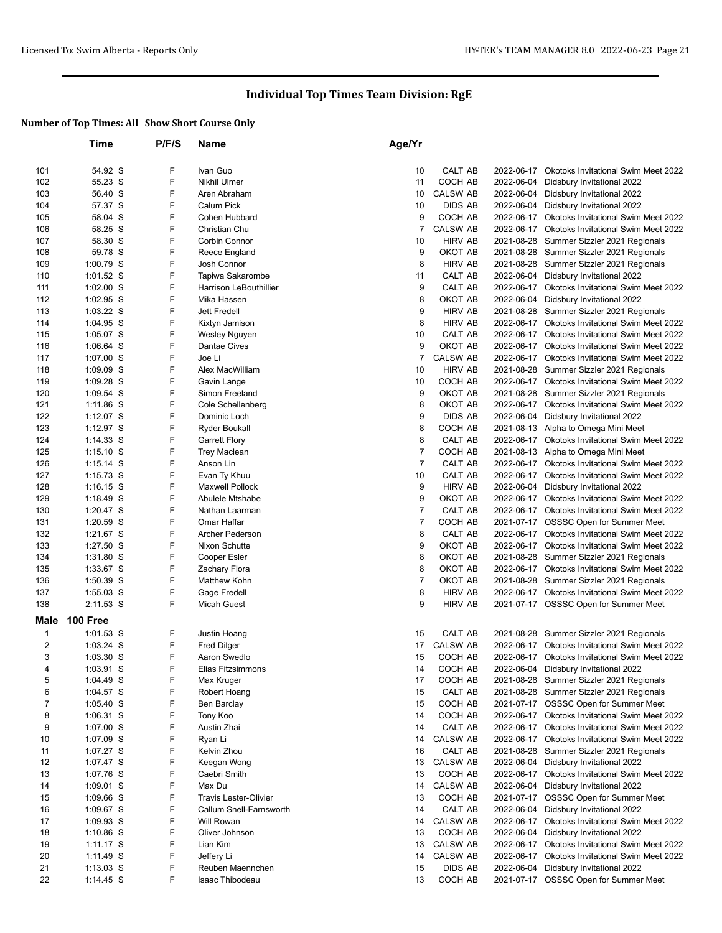|                  | Time            | P/F/S  | Name                          | Age/Yr         |                 |            |                                                |
|------------------|-----------------|--------|-------------------------------|----------------|-----------------|------------|------------------------------------------------|
|                  |                 |        |                               |                |                 |            |                                                |
| 101              | 54.92 S         | F      | Ivan Guo                      | 10             | CALT AB         | 2022-06-17 | <b>Okotoks Invitational Swim Meet 2022</b>     |
| 102              | 55.23 S         | F      | Nikhil Ulmer                  | 11             | COCH AB         | 2022-06-04 | Didsbury Invitational 2022                     |
| 103              | 56.40 S         | F      | Aren Abraham                  | 10             | <b>CALSW AB</b> | 2022-06-04 | Didsbury Invitational 2022                     |
| 104              | 57.37 S         | F      | <b>Calum Pick</b>             | 10             | <b>DIDS AB</b>  | 2022-06-04 | Didsbury Invitational 2022                     |
| 105              | 58.04 S         | F      | Cohen Hubbard                 | 9              | COCH AB         | 2022-06-17 | Okotoks Invitational Swim Meet 2022            |
| 106              | 58.25 S         | F      | Christian Chu                 | $\overline{7}$ | <b>CALSW AB</b> | 2022-06-17 | <b>Okotoks Invitational Swim Meet 2022</b>     |
| 107              | 58.30 S         | F      | <b>Corbin Connor</b>          | 10             | <b>HIRV AB</b>  | 2021-08-28 | Summer Sizzler 2021 Regionals                  |
| 108              | 59.78 S         | F      | Reece England                 | 9              | OKOT AB         |            | 2021-08-28 Summer Sizzler 2021 Regionals       |
| 109              | 1:00.79 S       | F      | Josh Connor                   | 8              | <b>HIRV AB</b>  | 2021-08-28 | Summer Sizzler 2021 Regionals                  |
| 110              | $1:01.52$ S     | F      | Tapiwa Sakarombe              | 11             | CALT AB         | 2022-06-04 | Didsbury Invitational 2022                     |
| 111              | 1:02.00 S       | F      | Harrison LeBouthillier        | 9              | CALT AB         | 2022-06-17 | Okotoks Invitational Swim Meet 2022            |
| 112              | 1:02.95 S       | F      | Mika Hassen                   | 8              | OKOT AB         | 2022-06-04 | Didsbury Invitational 2022                     |
| 113              | $1:03.22$ S     | F      | Jett Fredell                  | 9              | <b>HIRV AB</b>  | 2021-08-28 | Summer Sizzler 2021 Regionals                  |
| 114              | 1:04.95 S       | F      | Kixtyn Jamison                | 8              | <b>HIRV AB</b>  | 2022-06-17 | <b>Okotoks Invitational Swim Meet 2022</b>     |
| 115              | $1:05.07$ S     | F      | Wesley Nguyen                 | 10             | CALT AB         |            | 2022-06-17 Okotoks Invitational Swim Meet 2022 |
| 116              | $1:06.64$ S     | F      | <b>Dantae Cives</b>           | 9              | OKOT AB         |            | 2022-06-17 Okotoks Invitational Swim Meet 2022 |
| 117              | 1:07.00 S       | F      | Joe Li                        | $\overline{7}$ | <b>CALSW AB</b> | 2022-06-17 | Okotoks Invitational Swim Meet 2022            |
| 118              | $1:09.09$ S     | F      | Alex MacWilliam               | 10             | <b>HIRV AB</b>  |            | 2021-08-28 Summer Sizzler 2021 Regionals       |
|                  |                 | F      |                               | 10             | COCH AB         |            | 2022-06-17 Okotoks Invitational Swim Meet 2022 |
| 119<br>120       | $1:09.28$ S     | F      | Gavin Lange<br>Simon Freeland | 9              | OKOT AB         |            | 2021-08-28 Summer Sizzler 2021 Regionals       |
|                  | $1:09.54$ S     |        |                               |                |                 |            |                                                |
| 121              | 1:11.86 S       | F      | Cole Schellenberg             | 8              | OKOT AB         |            | 2022-06-17 Okotoks Invitational Swim Meet 2022 |
| 122              | $1:12.07$ S     | F      | Dominic Loch                  | 9              | <b>DIDS AB</b>  | 2022-06-04 | Didsbury Invitational 2022                     |
| 123              | $1:12.97$ S     | F      | <b>Ryder Boukall</b>          | 8              | COCH AB         |            | 2021-08-13 Alpha to Omega Mini Meet            |
| 124              | $1:14.33$ S     | F      | <b>Garrett Flory</b>          | 8              | CALT AB         |            | 2022-06-17 Okotoks Invitational Swim Meet 2022 |
| 125              | $1:15.10$ S     | F      | <b>Trey Maclean</b>           | 7              | COCH AB         |            | 2021-08-13 Alpha to Omega Mini Meet            |
| 126              | $1:15.14$ S     | F      | Anson Lin                     | $\overline{7}$ | CALT AB         |            | 2022-06-17 Okotoks Invitational Swim Meet 2022 |
| 127              | $1:15.73$ S     | F      | Evan Ty Khuu                  | 10             | CALT AB         | 2022-06-17 | Okotoks Invitational Swim Meet 2022            |
| 128              | $1:16.15$ S     | F      | <b>Maxwell Pollock</b>        | 9              | <b>HIRV AB</b>  | 2022-06-04 | Didsbury Invitational 2022                     |
| 129              | $1:18.49$ S     | F      | Abulele Mtshabe               | 9              | OKOT AB         |            | 2022-06-17 Okotoks Invitational Swim Meet 2022 |
| 130              | 1:20.47 S       | F      | Nathan Laarman                | 7              | CALT AB         |            | 2022-06-17 Okotoks Invitational Swim Meet 2022 |
| 131              | $1:20.59$ S     | F      | Omar Haffar                   | $\overline{7}$ | COCH AB         |            | 2021-07-17 OSSSC Open for Summer Meet          |
| 132              | 1:21.67 S       | F      | Archer Pederson               | 8              | CALT AB         |            | 2022-06-17 Okotoks Invitational Swim Meet 2022 |
| 133              | 1:27.50 S       | F      | Nixon Schutte                 | 9              | OKOT AB         |            | 2022-06-17 Okotoks Invitational Swim Meet 2022 |
| 134              | 1:31.80 S       | F      | Cooper Esler                  | 8              | OKOT AB         |            | 2021-08-28 Summer Sizzler 2021 Regionals       |
| 135              | 1:33.67 S       | F      | Zachary Flora                 | 8              | OKOT AB         |            | 2022-06-17 Okotoks Invitational Swim Meet 2022 |
| 136              | 1:50.39 S       | F      | Matthew Kohn                  | 7              | OKOT AB         |            | 2021-08-28 Summer Sizzler 2021 Regionals       |
| 137              | $1:55.03$ S     | F      | Gage Fredell                  | 8              | <b>HIRV AB</b>  |            | 2022-06-17 Okotoks Invitational Swim Meet 2022 |
| 138              | 2:11.53 S       | F      | <b>Micah Guest</b>            | 9              | <b>HIRV AB</b>  |            | 2021-07-17 OSSSC Open for Summer Meet          |
| Male             | <b>100 Free</b> |        |                               |                |                 |            |                                                |
| $\mathbf{1}$     | $1:01.53$ S     | F      | Justin Hoang                  | 15             | CALT AB         |            | 2021-08-28 Summer Sizzler 2021 Regionals       |
| $\boldsymbol{2}$ | $1:03.24$ S     | F      | <b>Fred Dilger</b>            | 17             | <b>CALSW AB</b> |            | 2022-06-17 Okotoks Invitational Swim Meet 2022 |
| 3                | $1:03.30$ S     | F      | Aaron Swedlo                  | 15             | COCH AB         |            | 2022-06-17 Okotoks Invitational Swim Meet 2022 |
| 4                | 1:03.91 S       | F      | Elias Fitzsimmons             | 14             | COCH AB         |            | 2022-06-04 Didsbury Invitational 2022          |
| 5                | $1:04.49$ S     | F      | Max Kruger                    | 17             | COCH AB         |            | 2021-08-28 Summer Sizzler 2021 Regionals       |
| 6                | 1:04.57 S       | F      | Robert Hoang                  | 15             | CALT AB         |            | 2021-08-28 Summer Sizzler 2021 Regionals       |
| $\overline{7}$   | $1:05.40$ S     | F      | Ben Barclay                   | 15             | COCH AB         |            | 2021-07-17 OSSSC Open for Summer Meet          |
| 8                | $1:06.31$ S     | F      | Tony Koo                      | 14             | COCH AB         |            | 2022-06-17 Okotoks Invitational Swim Meet 2022 |
| 9                | 1:07.00 S       | F      | Austin Zhai                   | 14             | CALT AB         |            | 2022-06-17 Okotoks Invitational Swim Meet 2022 |
| 10               | 1:07.09 S       | F      | Ryan Li                       | 14             | <b>CALSW AB</b> |            | 2022-06-17 Okotoks Invitational Swim Meet 2022 |
| 11               | 1:07.27 S       | F      | Kelvin Zhou                   | 16             | CALT AB         |            | 2021-08-28 Summer Sizzler 2021 Regionals       |
| 12               | 1:07.47 S       | F      | Keegan Wong                   | 13             | CALSW AB        |            | 2022-06-04 Didsbury Invitational 2022          |
| 13               | 1:07.76 S       | F      | Caebri Smith                  | 13             | COCH AB         |            | 2022-06-17 Okotoks Invitational Swim Meet 2022 |
| 14               | $1:09.01$ S     | F      | Max Du                        | 14             | <b>CALSW AB</b> | 2022-06-04 | Didsbury Invitational 2022                     |
|                  | 1:09.66 S       | F      | <b>Travis Lester-Olivier</b>  |                | COCH AB         |            | 2021-07-17 OSSSC Open for Summer Meet          |
| 15<br>16         |                 | F      | Callum Snell-Farnsworth       | 13             | CALT AB         | 2022-06-04 |                                                |
|                  | 1:09.67 S       |        |                               | 14             |                 |            | Didsbury Invitational 2022                     |
| 17               | $1:09.93$ S     | F<br>F | Will Rowan                    | 14             | <b>CALSW AB</b> |            | 2022-06-17 Okotoks Invitational Swim Meet 2022 |
| 18               | $1:10.86$ S     |        | Oliver Johnson                | 13             | COCH AB         | 2022-06-04 | Didsbury Invitational 2022                     |
| 19               | $1:11.17$ S     | F<br>F | Lian Kim                      | 13             | <b>CALSW AB</b> |            | 2022-06-17 Okotoks Invitational Swim Meet 2022 |
| 20               | $1:11.49$ S     |        | Jeffery Li                    | 14             | <b>CALSW AB</b> |            | 2022-06-17 Okotoks Invitational Swim Meet 2022 |
| 21               | $1:13.03$ S     | F      | Reuben Maennchen              | 15             | <b>DIDS AB</b>  |            | 2022-06-04 Didsbury Invitational 2022          |
| 22               | $1:14.45$ S     | F      | Isaac Thibodeau               | 13             | COCH AB         |            | 2021-07-17 OSSSC Open for Summer Meet          |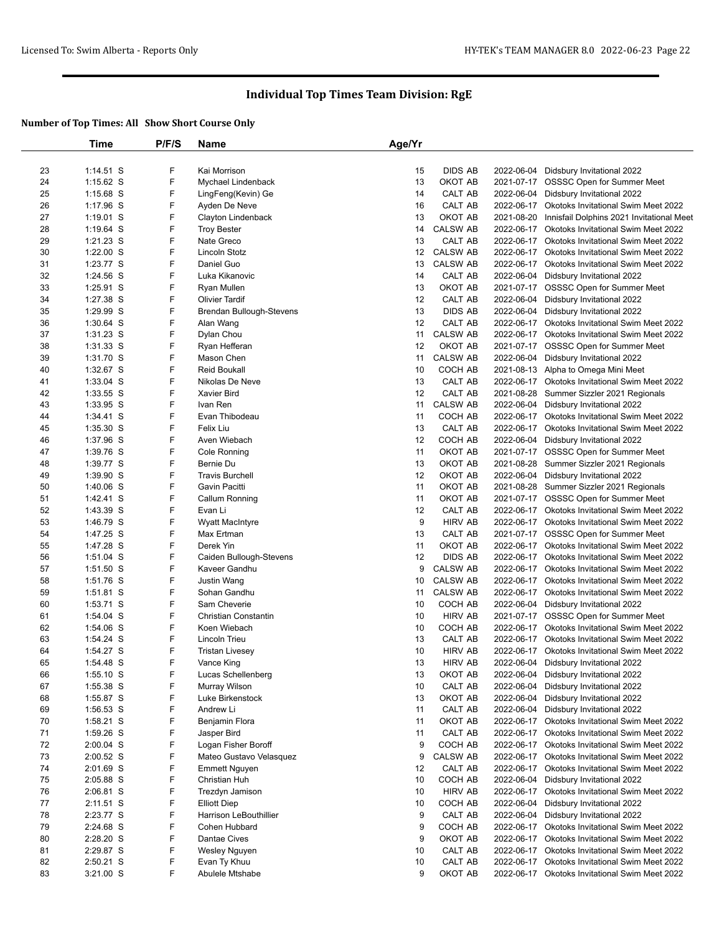|    | Time                   | P/F/S  | Name                      | Age/Yr |                 |            |                                                |
|----|------------------------|--------|---------------------------|--------|-----------------|------------|------------------------------------------------|
|    |                        |        |                           |        |                 |            |                                                |
| 23 | 1:14.51 S              | F      | Kai Morrison              | 15     | DIDS AB         |            | 2022-06-04 Didsbury Invitational 2022          |
| 24 | 1:15.62 S              | F      | Mychael Lindenback        | 13     | OKOT AB         |            | 2021-07-17 OSSSC Open for Summer Meet          |
| 25 | 1:15.68 S              | F      | LingFeng(Kevin) Ge        | 14     | CALT AB         |            | 2022-06-04 Didsbury Invitational 2022          |
| 26 | $1:17.96$ S            | F      | Ayden De Neve             | 16     | CALT AB         |            | 2022-06-17 Okotoks Invitational Swim Meet 2022 |
| 27 | $1:19.01$ S            | F      | Clayton Lindenback        | 13     | OKOT AB         | 2021-08-20 | Innisfail Dolphins 2021 Invitational Meet      |
| 28 | $1:19.64$ S            | F      | <b>Troy Bester</b>        | 14     | <b>CALSW AB</b> |            | 2022-06-17 Okotoks Invitational Swim Meet 2022 |
| 29 | $1:21.23$ S            | F      | Nate Greco                | 13     | CALT AB         |            | 2022-06-17 Okotoks Invitational Swim Meet 2022 |
| 30 | $1:22.00$ S            | F      | Lincoln Stotz             | 12     | <b>CALSW AB</b> |            | 2022-06-17 Okotoks Invitational Swim Meet 2022 |
| 31 | 1:23.77 S              | F      | Daniel Guo                | 13     | <b>CALSW AB</b> |            | 2022-06-17 Okotoks Invitational Swim Meet 2022 |
| 32 | 1:24.56 S              | F      | Luka Kikanovic            | 14     | CALT AB         |            | 2022-06-04 Didsbury Invitational 2022          |
| 33 | 1:25.91 S              | F      | Ryan Mullen               | 13     | OKOT AB         |            | 2021-07-17 OSSSC Open for Summer Meet          |
| 34 | 1:27.38 S              | F      | <b>Olivier Tardif</b>     | 12     | CALT AB         |            | 2022-06-04 Didsbury Invitational 2022          |
| 35 | 1:29.99 S              | F      | Brendan Bullough-Stevens  | 13     | <b>DIDS AB</b>  | 2022-06-04 | Didsbury Invitational 2022                     |
| 36 | $1:30.64$ S            | F      | Alan Wang                 | 12     | CALT AB         | 2022-06-17 | <b>Okotoks Invitational Swim Meet 2022</b>     |
| 37 | $1:31.23$ S            | F      | Dylan Chou                | 11     | <b>CALSW AB</b> |            | 2022-06-17 Okotoks Invitational Swim Meet 2022 |
| 38 | $1:31.33$ S            | F      | Ryan Hefferan             | 12     | OKOT AB         |            | 2021-07-17 OSSSC Open for Summer Meet          |
| 39 | 1:31.70 S              | F      | Mason Chen                | 11     | <b>CALSW AB</b> |            | 2022-06-04 Didsbury Invitational 2022          |
| 40 | 1:32.67 S              | F      | <b>Reid Boukall</b>       | 10     | COCH AB         |            | 2021-08-13 Alpha to Omega Mini Meet            |
| 41 | 1:33.04 S              | F      | Nikolas De Neve           | 13     | CALT AB         |            | 2022-06-17 Okotoks Invitational Swim Meet 2022 |
| 42 | 1:33.55 S              | F      | Xavier Bird               | 12     | CALT AB         | 2021-08-28 | Summer Sizzler 2021 Regionals                  |
| 43 | 1:33.95 S              | F      | Ivan Ren                  | 11     | <b>CALSW AB</b> |            | 2022-06-04 Didsbury Invitational 2022          |
| 44 | $1:34.41$ S            | F      | Evan Thibodeau            | 11     | COCH AB         |            | 2022-06-17 Okotoks Invitational Swim Meet 2022 |
| 45 | $1:35.30$ S            | F      | <b>Felix Liu</b>          | 13     | CALT AB         |            | 2022-06-17 Okotoks Invitational Swim Meet 2022 |
| 46 | 1:37.96 S              | F      | Aven Wiebach              | 12     | COCH AB         |            | 2022-06-04 Didsbury Invitational 2022          |
| 47 |                        | F      |                           | 11     | OKOT AB         |            | 2021-07-17 OSSSC Open for Summer Meet          |
|    | 1:39.76 S<br>1:39.77 S | F      | Cole Ronning<br>Bernie Du | 13     | OKOT AB         |            | Summer Sizzler 2021 Regionals                  |
| 48 |                        | F      | <b>Travis Burchell</b>    | 12     | OKOT AB         | 2021-08-28 |                                                |
| 49 | 1:39.90 S              | F      |                           |        |                 |            | 2022-06-04 Didsbury Invitational 2022          |
| 50 | $1:40.06$ S            |        | Gavin Pacitti             | 11     | OKOT AB         |            | 2021-08-28 Summer Sizzler 2021 Regionals       |
| 51 | 1:42.41 S              | F<br>F | Callum Ronning            | 11     | OKOT AB         |            | 2021-07-17 OSSSC Open for Summer Meet          |
| 52 | 1:43.39 S              | F      | Evan Li                   | 12     | CALT AB         |            | 2022-06-17 Okotoks Invitational Swim Meet 2022 |
| 53 | 1:46.79 S              |        | <b>Wyatt MacIntyre</b>    | 9      | <b>HIRV AB</b>  |            | 2022-06-17 Okotoks Invitational Swim Meet 2022 |
| 54 | 1:47.25 S              | F      | Max Ertman                | 13     | CALT AB         |            | 2021-07-17 OSSSC Open for Summer Meet          |
| 55 | 1:47.28 S              | F      | Derek Yin                 | 11     | ОКОТ АВ         |            | 2022-06-17 Okotoks Invitational Swim Meet 2022 |
| 56 | 1:51.04 S              | F      | Caiden Bullough-Stevens   | 12     | <b>DIDS AB</b>  |            | 2022-06-17 Okotoks Invitational Swim Meet 2022 |
| 57 | $1:51.50$ S            | F      | Kaveer Gandhu             | 9      | <b>CALSW AB</b> | 2022-06-17 | Okotoks Invitational Swim Meet 2022            |
| 58 | 1:51.76 S              | F      | Justin Wang               | 10     | <b>CALSW AB</b> |            | 2022-06-17 Okotoks Invitational Swim Meet 2022 |
| 59 | 1:51.81 S              | F      | Sohan Gandhu              | 11     | <b>CALSW AB</b> |            | 2022-06-17 Okotoks Invitational Swim Meet 2022 |
| 60 | 1:53.71 S              | F      | Sam Cheverie              | 10     | COCH AB         |            | 2022-06-04 Didsbury Invitational 2022          |
| 61 | 1:54.04 S              | F      | Christian Constantin      | 10     | <b>HIRV AB</b>  |            | 2021-07-17 OSSSC Open for Summer Meet          |
| 62 | 1:54.06 S              | F      | Koen Wiebach              | 10     | COCH AB         |            | 2022-06-17 Okotoks Invitational Swim Meet 2022 |
| 63 | 1:54.24 S              | F      | Lincoln Trieu             | 13     | CALT AB         |            | 2022-06-17 Okotoks Invitational Swim Meet 2022 |
| 64 | 1:54.27 S              | F      | <b>Tristan Livesey</b>    | 10     | <b>HIRV AB</b>  |            | 2022-06-17 Okotoks Invitational Swim Meet 2022 |
| 65 | 1:54.48 S              | F      | Vance King                | 13     | <b>HIRV AB</b>  |            | 2022-06-04 Didsbury Invitational 2022          |
| 66 | $1:55.10$ S            | F      | Lucas Schellenberg        | 13     | OKOT AB         |            | 2022-06-04 Didsbury Invitational 2022          |
| 67 | 1:55.38 S              | F      | Murray Wilson             | 10     | CALT AB         | 2022-06-04 | Didsbury Invitational 2022                     |
| 68 | 1:55.87 S              | F      | Luke Birkenstock          | 13     | OKOT AB         | 2022-06-04 | Didsbury Invitational 2022                     |
| 69 | $1:56.53$ S            | F      | Andrew Li                 | 11     | CALT AB         |            | 2022-06-04 Didsbury Invitational 2022          |
| 70 | $1:58.21$ S            | F      | Benjamin Flora            | 11     | OKOT AB         |            | 2022-06-17 Okotoks Invitational Swim Meet 2022 |
| 71 | 1:59.26 S              | F      | Jasper Bird               | 11     | CALT AB         | 2022-06-17 | <b>Okotoks Invitational Swim Meet 2022</b>     |
| 72 | 2:00.04 S              | F      | Logan Fisher Boroff       | 9      | COCH AB         |            | 2022-06-17 Okotoks Invitational Swim Meet 2022 |
| 73 | $2:00.52$ S            | F      | Mateo Gustavo Velasquez   | 9      | <b>CALSW AB</b> |            | 2022-06-17 Okotoks Invitational Swim Meet 2022 |
| 74 | 2:01.69 S              | F      | <b>Emmett Nguyen</b>      | 12     | CALT AB         | 2022-06-17 | Okotoks Invitational Swim Meet 2022            |
| 75 | 2:05.88 S              | F      | Christian Huh             | 10     | COCH AB         |            | 2022-06-04 Didsbury Invitational 2022          |
| 76 | 2:06.81 S              | F      | Trezdyn Jamison           | 10     | <b>HIRV AB</b>  | 2022-06-17 | <b>Okotoks Invitational Swim Meet 2022</b>     |
| 77 | $2:11.51$ S            | F      | <b>Elliott Diep</b>       | 10     | COCH AB         | 2022-06-04 | Didsbury Invitational 2022                     |
| 78 | 2:23.77 S              | F      | Harrison LeBouthillier    | 9      | CALT AB         |            | 2022-06-04 Didsbury Invitational 2022          |
| 79 | 2:24.68 S              | F      | Cohen Hubbard             | 9      | COCH AB         | 2022-06-17 | Okotoks Invitational Swim Meet 2022            |
| 80 | 2:28.20 S              | F      | Dantae Cives              | 9      | OKOT AB         |            | 2022-06-17 Okotoks Invitational Swim Meet 2022 |
| 81 | 2:29.87 S              | F      | Wesley Nguyen             | 10     | CALT AB         |            | 2022-06-17 Okotoks Invitational Swim Meet 2022 |
| 82 | $2:50.21$ S            | F      | Evan Ty Khuu              | 10     | CALT AB         | 2022-06-17 | Okotoks Invitational Swim Meet 2022            |
| 83 | 3:21.00 S              | F      | Abulele Mtshabe           | 9      | OKOT AB         |            | 2022-06-17 Okotoks Invitational Swim Meet 2022 |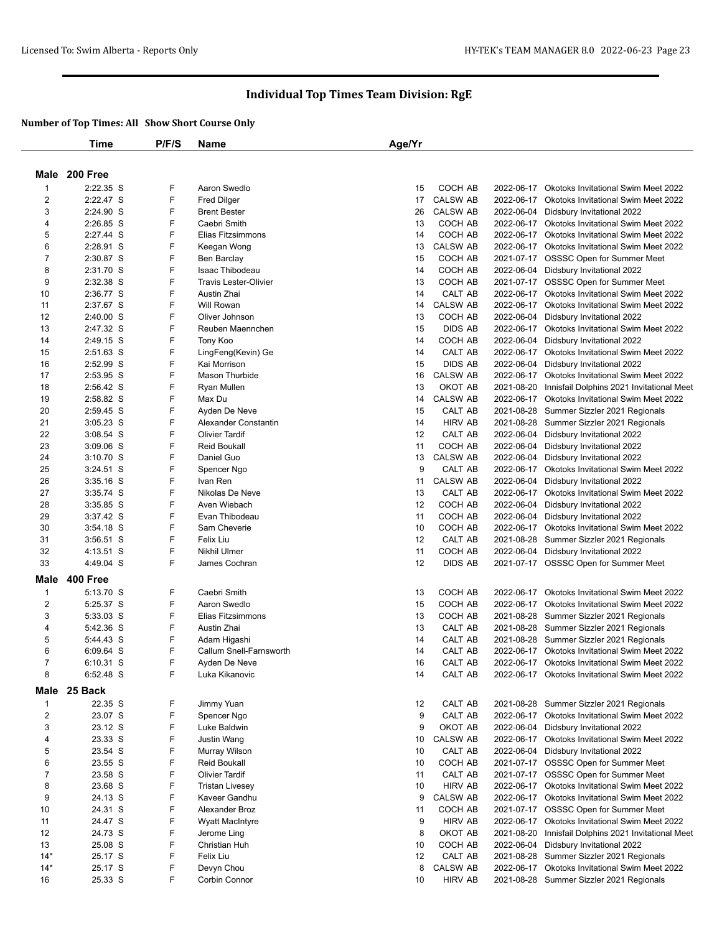|                         | <b>Time</b>              | P/F/S  | Name                                  | Age/Yr   |                            |            |                                                                                          |
|-------------------------|--------------------------|--------|---------------------------------------|----------|----------------------------|------------|------------------------------------------------------------------------------------------|
|                         |                          |        |                                       |          |                            |            |                                                                                          |
|                         | Male 200 Free            |        |                                       |          |                            |            |                                                                                          |
| 1                       | 2:22.35 S                | F      | Aaron Swedlo                          | 15       | COCH AB                    | 2022-06-17 | <b>Okotoks Invitational Swim Meet 2022</b>                                               |
| 2                       | 2:22.47 S                | F      | <b>Fred Dilger</b>                    | 17       | <b>CALSW AB</b>            |            | 2022-06-17 Okotoks Invitational Swim Meet 2022                                           |
| 3                       | 2:24.90 S                | F      | <b>Brent Bester</b>                   | 26       | <b>CALSW AB</b>            |            | 2022-06-04 Didsbury Invitational 2022                                                    |
| 4                       | 2:26.85 S                | F      | Caebri Smith                          | 13       | <b>COCH AB</b>             |            | 2022-06-17 Okotoks Invitational Swim Meet 2022                                           |
| 5                       | 2:27.44 S                | F      | Elias Fitzsimmons                     | 14       | COCH AB                    |            | 2022-06-17 Okotoks Invitational Swim Meet 2022                                           |
| 6                       | 2:28.91 S                | F      | Keegan Wong                           | 13       | <b>CALSW AB</b>            |            | 2022-06-17 Okotoks Invitational Swim Meet 2022                                           |
| 7                       | 2:30.87 S                | F      | Ben Barclay                           | 15       | COCH AB                    |            | 2021-07-17 OSSSC Open for Summer Meet                                                    |
| 8                       | 2:31.70 S                | F      | Isaac Thibodeau                       | 14       | COCH AB                    |            | 2022-06-04 Didsbury Invitational 2022                                                    |
| 9                       | 2:32.38 S                | F      | <b>Travis Lester-Olivier</b>          | 13       | COCH AB                    |            | 2021-07-17 OSSSC Open for Summer Meet                                                    |
| 10                      | 2:36.77 S                | F      | Austin Zhai                           | 14       | CALT AB                    | 2022-06-17 | <b>Okotoks Invitational Swim Meet 2022</b>                                               |
| 11                      | 2:37.67 S                | F      | Will Rowan                            | 14       | <b>CALSW AB</b>            |            | 2022-06-17 Okotoks Invitational Swim Meet 2022                                           |
| 12                      | $2:40.00$ S              | F      | Oliver Johnson                        | 13       | COCH AB                    | 2022-06-04 | Didsbury Invitational 2022                                                               |
| 13                      | 2:47.32 S                | F      | Reuben Maennchen                      | 15       | <b>DIDS AB</b>             | 2022-06-17 | <b>Okotoks Invitational Swim Meet 2022</b>                                               |
| 14                      | 2:49.15 S                | F      | Tony Koo                              | 14       | COCH AB                    | 2022-06-04 | Didsbury Invitational 2022                                                               |
| 15                      | 2:51.63 S                | F      | LingFeng(Kevin) Ge                    | 14       | CALT AB                    |            | 2022-06-17 Okotoks Invitational Swim Meet 2022                                           |
| 16                      | 2:52.99 S                | F      | Kai Morrison                          | 15       | <b>DIDS AB</b>             | 2022-06-04 | Didsbury Invitational 2022                                                               |
| 17                      | 2:53.95 S                | F      | <b>Mason Thurbide</b>                 | 16       | <b>CALSW AB</b>            | 2022-06-17 | Okotoks Invitational Swim Meet 2022                                                      |
| 18                      | 2:56.42 S                | F      | Ryan Mullen                           | 13       | OKOT AB                    | 2021-08-20 | Innisfail Dolphins 2021 Invitational Meet                                                |
| 19                      | 2:58.82 S                | F<br>F | Max Du                                | 14       | <b>CALSW AB</b>            | 2022-06-17 | Okotoks Invitational Swim Meet 2022                                                      |
| 20<br>21                | 2:59.45 S                | F      | Ayden De Neve<br>Alexander Constantin | 15<br>14 | CALT AB<br><b>HIRV AB</b>  |            | 2021-08-28 Summer Sizzler 2021 Regionals                                                 |
| 22                      | 3:05.23 S<br>$3:08.54$ S | F      | <b>Olivier Tardif</b>                 | 12       | CALT AB                    | 2022-06-04 | 2021-08-28 Summer Sizzler 2021 Regionals<br>Didsbury Invitational 2022                   |
| 23                      | $3:09.06$ S              | F      | <b>Reid Boukall</b>                   | 11       | COCH AB                    | 2022-06-04 | Didsbury Invitational 2022                                                               |
| 24                      | $3:10.70$ S              | F      | Daniel Guo                            | 13       | <b>CALSW AB</b>            | 2022-06-04 | Didsbury Invitational 2022                                                               |
| 25                      | $3:24.51$ S              | F      | Spencer Ngo                           | 9        | CALT AB                    | 2022-06-17 | Okotoks Invitational Swim Meet 2022                                                      |
| 26                      | $3:35.16$ S              | F      | Ivan Ren                              | 11       | <b>CALSW AB</b>            | 2022-06-04 | Didsbury Invitational 2022                                                               |
| 27                      | $3:35.74$ S              | F      | Nikolas De Neve                       | 13       | CALT AB                    |            | 2022-06-17 Okotoks Invitational Swim Meet 2022                                           |
| 28                      | $3:35.85$ S              | F      | Aven Wiebach                          | 12       | COCH AB                    | 2022-06-04 | Didsbury Invitational 2022                                                               |
| 29                      | 3:37.42 S                | F      | Evan Thibodeau                        | 11       | COCH AB                    | 2022-06-04 | Didsbury Invitational 2022                                                               |
| 30                      | $3:54.18$ S              | F      | Sam Cheverie                          | 10       | COCH AB                    |            | 2022-06-17 Okotoks Invitational Swim Meet 2022                                           |
| 31                      | $3:56.51$ S              | F      | Felix Liu                             | 12       | CALT AB                    |            | 2021-08-28 Summer Sizzler 2021 Regionals                                                 |
| 32                      | 4:13.51 S                | F      | <b>Nikhil Ulmer</b>                   | 11       | COCH AB                    |            | 2022-06-04 Didsbury Invitational 2022                                                    |
| 33                      | 4:49.04 S                | F      | James Cochran                         | 12       | <b>DIDS AB</b>             |            | 2021-07-17 OSSSC Open for Summer Meet                                                    |
| Male                    | 400 Free                 |        |                                       |          |                            |            |                                                                                          |
|                         | 5:13.70 S                | F      | Caebri Smith                          |          | COCH AB                    | 2022-06-17 |                                                                                          |
| $\mathbf{1}$<br>2       | 5:25.37 S                | F      | Aaron Swedlo                          | 13<br>15 | COCH AB                    | 2022-06-17 | <b>Okotoks Invitational Swim Meet 2022</b><br><b>Okotoks Invitational Swim Meet 2022</b> |
| 3                       | 5:33.03 S                | F      | Elias Fitzsimmons                     | 13       | COCH AB                    |            | 2021-08-28 Summer Sizzler 2021 Regionals                                                 |
| 4                       | 5:42.36 S                | F      | Austin Zhai                           | 13       | CALT AB                    |            | 2021-08-28 Summer Sizzler 2021 Regionals                                                 |
| 5                       | 5:44.43 S                | F      | Adam Higashi                          | 14       | CALT AB                    |            | 2021-08-28 Summer Sizzler 2021 Regionals                                                 |
| 6                       | 6:09.64 S                | F      | Callum Snell-Farnsworth               | 14       | CALT AB                    |            | 2022-06-17 Okotoks Invitational Swim Meet 2022                                           |
| 7                       | 6:10.31 S                | F      | Ayden De Neve                         | 16       | CALT AB                    |            | 2022-06-17 Okotoks Invitational Swim Meet 2022                                           |
| 8                       | 6:52.48 S                | F      | Luka Kikanovic                        | 14       | CALT AB                    |            | 2022-06-17 Okotoks Invitational Swim Meet 2022                                           |
|                         | 25 Back                  |        |                                       |          |                            |            |                                                                                          |
| Male                    |                          |        |                                       |          |                            |            |                                                                                          |
| $\mathbf{1}$            | 22.35 S                  | F      | Jimmy Yuan                            | 12       | CALT AB                    |            | 2021-08-28 Summer Sizzler 2021 Regionals                                                 |
| $\overline{\mathbf{c}}$ | 23.07 S                  | F      | Spencer Ngo                           | 9        | CALT AB                    |            | 2022-06-17 Okotoks Invitational Swim Meet 2022                                           |
| 3                       | 23.12 S                  | F<br>F | Luke Baldwin                          | 9        | OKOT AB                    | 2022-06-04 | Didsbury Invitational 2022                                                               |
| 4                       | 23.33 S<br>23.54 S       | F      | <b>Justin Wang</b>                    | 10<br>10 | <b>CALSW AB</b><br>CALT AB | 2022-06-04 | 2022-06-17 Okotoks Invitational Swim Meet 2022                                           |
| 5<br>6                  | 23.55 S                  | F      | Murray Wilson<br>Reid Boukall         | 10       | COCH AB                    |            | Didsbury Invitational 2022<br>2021-07-17 OSSSC Open for Summer Meet                      |
| 7                       | 23.58 S                  | F      | <b>Olivier Tardif</b>                 | 11       | CALT AB                    |            | 2021-07-17 OSSSC Open for Summer Meet                                                    |
| 8                       | 23.68 S                  | F      | <b>Tristan Livesey</b>                | 10       | <b>HIRV AB</b>             |            | 2022-06-17 Okotoks Invitational Swim Meet 2022                                           |
| 9                       | 24.13 S                  | F      | Kaveer Gandhu                         | 9        | <b>CALSW AB</b>            |            | 2022-06-17 Okotoks Invitational Swim Meet 2022                                           |
| 10                      | 24.31 S                  | F      | Alexander Broz                        | 11       | COCH AB                    |            | 2021-07-17 OSSSC Open for Summer Meet                                                    |
| 11                      | 24.47 S                  | F      | <b>Wyatt MacIntyre</b>                | 9        | <b>HIRV AB</b>             |            | 2022-06-17 Okotoks Invitational Swim Meet 2022                                           |
| 12                      | 24.73 S                  | F      | Jerome Ling                           | 8        | OKOT AB                    | 2021-08-20 | Innisfail Dolphins 2021 Invitational Meet                                                |
| 13                      | 25.08 S                  | F      | Christian Huh                         | 10       | COCH AB                    | 2022-06-04 | Didsbury Invitational 2022                                                               |
| $14*$                   | 25.17 S                  | F      | Felix Liu                             | 12       | CALT AB                    |            | 2021-08-28 Summer Sizzler 2021 Regionals                                                 |
| $14*$                   | 25.17 S                  | F      | Devyn Chou                            | 8        | <b>CALSW AB</b>            |            | 2022-06-17 Okotoks Invitational Swim Meet 2022                                           |
| 16                      | 25.33 S                  | F      | Corbin Connor                         | 10       | <b>HIRV AB</b>             |            | 2021-08-28 Summer Sizzler 2021 Regionals                                                 |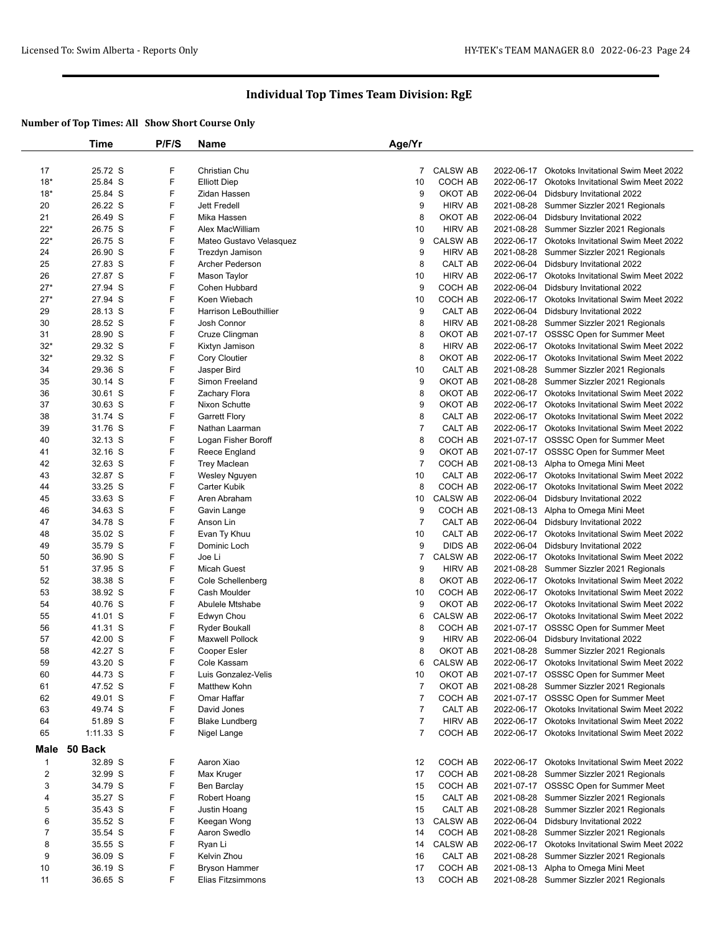|                | Time      | P/F/S | <b>Name</b>                   | Age/Yr         |                 |            |                                                |
|----------------|-----------|-------|-------------------------------|----------------|-----------------|------------|------------------------------------------------|
|                |           |       |                               |                |                 |            |                                                |
| 17             | 25.72 S   | F     | Christian Chu                 | 7              | <b>CALSW AB</b> | 2022-06-17 | <b>Okotoks Invitational Swim Meet 2022</b>     |
| $18*$          | 25.84 S   | F     | <b>Elliott Diep</b>           | 10             | COCH AB         | 2022-06-17 | Okotoks Invitational Swim Meet 2022            |
| $18*$          | 25.84 S   | F     | Zidan Hassen                  | 9              | OKOT AB         | 2022-06-04 | Didsbury Invitational 2022                     |
|                | 26.22 S   | F     | <b>Jett Fredell</b>           | 9              | <b>HIRV AB</b>  |            |                                                |
| 20             |           |       |                               |                |                 | 2021-08-28 | Summer Sizzler 2021 Regionals                  |
| 21             | 26.49 S   | F     | Mika Hassen                   | 8              | OKOT AB         | 2022-06-04 | Didsbury Invitational 2022                     |
| $22*$          | 26.75 S   | F     | Alex MacWilliam               | 10             | <b>HIRV AB</b>  | 2021-08-28 | Summer Sizzler 2021 Regionals                  |
| $22*$          | 26.75 S   | F     | Mateo Gustavo Velasquez       | 9              | CALSW AB        | 2022-06-17 | Okotoks Invitational Swim Meet 2022            |
| 24             | 26.90 S   | F     | Trezdyn Jamison               | 9              | <b>HIRV AB</b>  | 2021-08-28 | Summer Sizzler 2021 Regionals                  |
| 25             | 27.83 S   | F     | Archer Pederson               | 8              | CALT AB         | 2022-06-04 | Didsbury Invitational 2022                     |
| 26             | 27.87 S   | F     | Mason Taylor                  | 10             | <b>HIRV AB</b>  | 2022-06-17 | Okotoks Invitational Swim Meet 2022            |
| $27*$          | 27.94 S   | F     | Cohen Hubbard                 | 9              | COCH AB         | 2022-06-04 | Didsbury Invitational 2022                     |
| $27*$          | 27.94 S   | F     | Koen Wiebach                  | 10             | COCH AB         | 2022-06-17 | Okotoks Invitational Swim Meet 2022            |
| 29             | 28.13 S   | F     | <b>Harrison LeBouthillier</b> | 9              | CALT AB         | 2022-06-04 | Didsbury Invitational 2022                     |
| 30             | 28.52 S   | F     | Josh Connor                   | 8              | <b>HIRV AB</b>  | 2021-08-28 | Summer Sizzler 2021 Regionals                  |
| 31             | 28.90 S   | F     | Cruze Clingman                | 8              | OKOT AB         |            | 2021-07-17 OSSSC Open for Summer Meet          |
| $32*$          | 29.32 S   | F     | Kixtyn Jamison                | 8              | <b>HIRV AB</b>  | 2022-06-17 | Okotoks Invitational Swim Meet 2022            |
| $32*$          | 29.32 S   | F     | Cory Cloutier                 | 8              | OKOT AB         | 2022-06-17 | <b>Okotoks Invitational Swim Meet 2022</b>     |
| 34             | 29.36 S   | F     | Jasper Bird                   | 10             | CALT AB         |            | 2021-08-28 Summer Sizzler 2021 Regionals       |
|                |           |       |                               |                |                 |            |                                                |
| 35             | 30.14 S   | F     | Simon Freeland                | 9              | OKOT AB         | 2021-08-28 | Summer Sizzler 2021 Regionals                  |
| 36             | 30.61 S   | F     | Zachary Flora                 | 8              | OKOT AB         | 2022-06-17 | <b>Okotoks Invitational Swim Meet 2022</b>     |
| 37             | 30.63 S   | F     | Nixon Schutte                 | 9              | OKOT AB         |            | 2022-06-17 Okotoks Invitational Swim Meet 2022 |
| 38             | 31.74 S   | F     | <b>Garrett Flory</b>          | 8              | CALT AB         | 2022-06-17 | <b>Okotoks Invitational Swim Meet 2022</b>     |
| 39             | 31.76 S   | F     | Nathan Laarman                | $\overline{7}$ | CALT AB         | 2022-06-17 | <b>Okotoks Invitational Swim Meet 2022</b>     |
| 40             | 32.13 S   | F     | Logan Fisher Boroff           | 8              | COCH AB         |            | 2021-07-17 OSSSC Open for Summer Meet          |
| 41             | 32.16 S   | F     | Reece England                 | 9              | OKOT AB         |            | 2021-07-17 OSSSC Open for Summer Meet          |
| 42             | 32.63 S   | F     | <b>Trey Maclean</b>           | $\overline{7}$ | COCH AB         | 2021-08-13 | Alpha to Omega Mini Meet                       |
| 43             | 32.87 S   | F     | Wesley Nguyen                 | 10             | CALT AB         | 2022-06-17 | <b>Okotoks Invitational Swim Meet 2022</b>     |
| 44             | 33.25 S   | F     | Carter Kubik                  | 8              | COCH AB         | 2022-06-17 | Okotoks Invitational Swim Meet 2022            |
| 45             | 33.63 S   | F     | Aren Abraham                  | 10             | <b>CALSW AB</b> | 2022-06-04 | Didsbury Invitational 2022                     |
| 46             | 34.63 S   | F     | Gavin Lange                   | 9              | COCH AB         | 2021-08-13 | Alpha to Omega Mini Meet                       |
| 47             | 34.78 S   | F     | Anson Lin                     | $\overline{7}$ | CALT AB         | 2022-06-04 | Didsbury Invitational 2022                     |
| 48             | 35.02 S   | F     |                               | 10             | CALT AB         | 2022-06-17 | Okotoks Invitational Swim Meet 2022            |
|                |           |       | Evan Ty Khuu                  |                |                 |            |                                                |
| 49             | 35.79 S   | F     | Dominic Loch                  | 9              | <b>DIDS AB</b>  | 2022-06-04 | Didsbury Invitational 2022                     |
| 50             | 36.90 S   | F     | Joe Li                        | 7              | <b>CALSW AB</b> | 2022-06-17 | Okotoks Invitational Swim Meet 2022            |
| 51             | 37.95 S   | F     | <b>Micah Guest</b>            | 9              | <b>HIRV AB</b>  | 2021-08-28 | Summer Sizzler 2021 Regionals                  |
| 52             | 38.38 S   | F     | Cole Schellenberg             | 8              | OKOT AB         | 2022-06-17 | Okotoks Invitational Swim Meet 2022            |
| 53             | 38.92 S   | F     | Cash Moulder                  | 10             | COCH AB         | 2022-06-17 | Okotoks Invitational Swim Meet 2022            |
| 54             | 40.76 S   | F     | Abulele Mtshabe               | 9              | OKOT AB         | 2022-06-17 | Okotoks Invitational Swim Meet 2022            |
| 55             | 41.01 S   | F     | Edwyn Chou                    | 6              | <b>CALSW AB</b> |            | 2022-06-17 Okotoks Invitational Swim Meet 2022 |
| 56             | 41.31 S   | F     | <b>Ryder Boukall</b>          | 8              | COCH AB         |            | 2021-07-17 OSSSC Open for Summer Meet          |
| 57             | 42.00 S   | F     | <b>Maxwell Pollock</b>        | 9              | <b>HIRV AB</b>  | 2022-06-04 | Didsbury Invitational 2022                     |
| 58             | 42.27 S   | F     | Cooper Esler                  | 8              | OKOT AB         | 2021-08-28 | Summer Sizzler 2021 Regionals                  |
| 59             | 43.20 S   | F     | Cole Kassam                   | 6              | <b>CALSW AB</b> |            | 2022-06-17 Okotoks Invitational Swim Meet 2022 |
| 60             | 44.73 S   | F     | Luis Gonzalez-Velis           | 10             | OKOT AB         |            | 2021-07-17 OSSSC Open for Summer Meet          |
| 61             | 47.52 S   | F     | Matthew Kohn                  | $\overline{7}$ | OKOT AB         |            | 2021-08-28 Summer Sizzler 2021 Regionals       |
| 62             | 49.01 S   | F     | Omar Haffar                   | $\overline{7}$ | COCH AB         |            | 2021-07-17 OSSSC Open for Summer Meet          |
|                | 49.74 S   | F     | David Jones                   | $\overline{7}$ | CALT AB         |            |                                                |
| 63             |           |       |                               |                |                 |            | 2022-06-17 Okotoks Invitational Swim Meet 2022 |
| 64             | 51.89 S   | F     | <b>Blake Lundberg</b>         | $\overline{7}$ | <b>HIRV AB</b>  |            | 2022-06-17 Okotoks Invitational Swim Meet 2022 |
| 65             | 1:11.33 S | F     | Nigel Lange                   | $\overline{7}$ | COCH AB         |            | 2022-06-17 Okotoks Invitational Swim Meet 2022 |
| Male           | 50 Back   |       |                               |                |                 |            |                                                |
| $\mathbf{1}$   | 32.89 S   | F     | Aaron Xiao                    | 12             | COCH AB         |            | 2022-06-17 Okotoks Invitational Swim Meet 2022 |
| $\overline{2}$ | 32.99 S   | F     | Max Kruger                    | 17             | COCH AB         | 2021-08-28 | Summer Sizzler 2021 Regionals                  |
| 3              | 34.79 S   | F     | Ben Barclay                   | 15             | COCH AB         |            | 2021-07-17 OSSSC Open for Summer Meet          |
|                |           |       |                               |                |                 |            |                                                |
| 4              | 35.27 S   | F     | Robert Hoang                  | 15             | CALT AB         |            | 2021-08-28 Summer Sizzler 2021 Regionals       |
| 5              | 35.43 S   | F     | Justin Hoang                  | 15             | CALT AB         | 2021-08-28 | Summer Sizzler 2021 Regionals                  |
| 6              | 35.52 S   | F     | Keegan Wong                   | 13             | <b>CALSW AB</b> |            | 2022-06-04 Didsbury Invitational 2022          |
| $\overline{7}$ | 35.54 S   | F     | Aaron Swedlo                  | 14             | COCH AB         |            | 2021-08-28 Summer Sizzler 2021 Regionals       |
| 8              | 35.55 S   | F     | Ryan Li                       | 14             | <b>CALSW AB</b> | 2022-06-17 | Okotoks Invitational Swim Meet 2022            |
| 9              | 36.09 S   | F     | Kelvin Zhou                   | 16             | CALT AB         | 2021-08-28 | Summer Sizzler 2021 Regionals                  |
| 10             | 36.19 S   | F     | <b>Bryson Hammer</b>          | 17             | COCH AB         |            | 2021-08-13 Alpha to Omega Mini Meet            |
| 11             | 36.65 S   | F     | Elias Fitzsimmons             | 13             | COCH AB         |            | 2021-08-28 Summer Sizzler 2021 Regionals       |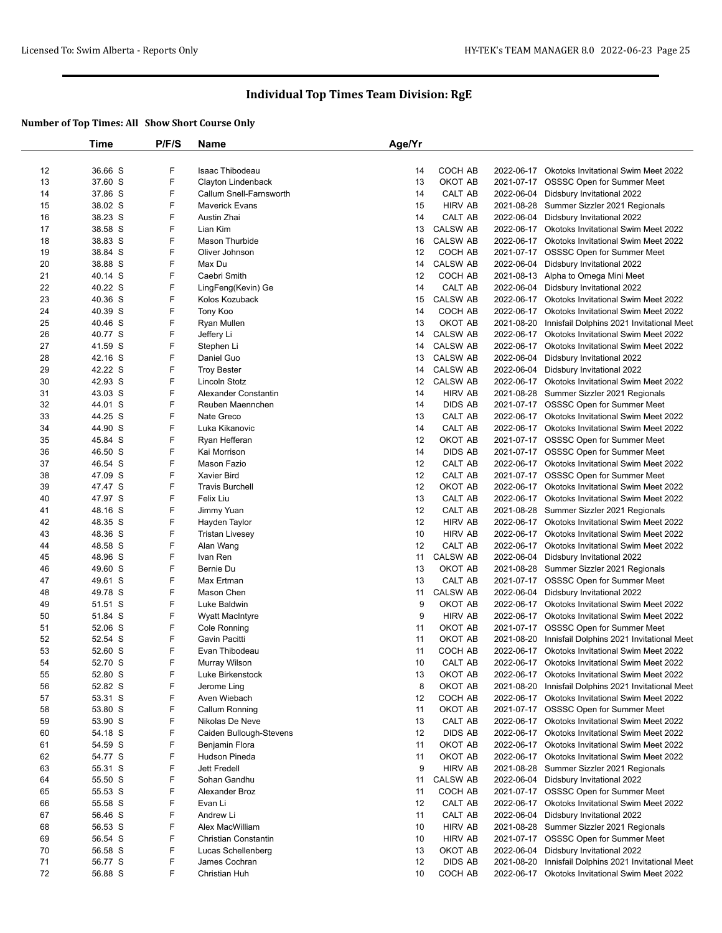|    | Time               | P/F/S | Name                    | Age/Yr |                 |            |                                                                              |
|----|--------------------|-------|-------------------------|--------|-----------------|------------|------------------------------------------------------------------------------|
|    |                    |       |                         |        |                 |            |                                                                              |
| 12 | 36.66 S            | F     | Isaac Thibodeau         | 14     | COCH AB         |            | 2022-06-17 Okotoks Invitational Swim Meet 2022                               |
| 13 | 37.60 S            | F     | Clayton Lindenback      | 13     | OKOT AB         |            | 2021-07-17 OSSSC Open for Summer Meet                                        |
| 14 | 37.86 S            | F     | Callum Snell-Farnsworth | 14     | CALT AB         |            | 2022-06-04 Didsbury Invitational 2022                                        |
| 15 | 38.02 S            | F     | <b>Maverick Evans</b>   | 15     | <b>HIRV AB</b>  | 2021-08-28 | Summer Sizzler 2021 Regionals                                                |
| 16 | 38.23 S            | F     | Austin Zhai             | 14     | CALT AB         | 2022-06-04 | Didsbury Invitational 2022                                                   |
| 17 | 38.58 S            | F     | Lian Kim                | 13     | <b>CALSW AB</b> |            | 2022-06-17 Okotoks Invitational Swim Meet 2022                               |
| 18 | 38.83 S            | F     | Mason Thurbide          | 16     | <b>CALSW AB</b> |            | 2022-06-17 Okotoks Invitational Swim Meet 2022                               |
| 19 | 38.84 S            | F     | Oliver Johnson          | 12     | COCH AB         |            | 2021-07-17 OSSSC Open for Summer Meet                                        |
| 20 | 38.88 S            | F     | Max Du                  | 14     | <b>CALSW AB</b> |            | 2022-06-04 Didsbury Invitational 2022                                        |
| 21 | 40.14 S            | F     | Caebri Smith            | 12     | COCH AB         |            | 2021-08-13 Alpha to Omega Mini Meet                                          |
| 22 | 40.22 S            | F     | LingFeng(Kevin) Ge      | 14     | CALT AB         | 2022-06-04 | Didsbury Invitational 2022                                                   |
| 23 | 40.36 S            | F     | Kolos Kozuback          | 15     | <b>CALSW AB</b> |            | 2022-06-17 Okotoks Invitational Swim Meet 2022                               |
| 24 | 40.39 S            | F     | Tony Koo                | 14     | COCH AB         |            | 2022-06-17 Okotoks Invitational Swim Meet 2022                               |
| 25 | 40.46 S            | F     | Ryan Mullen             | 13     | OKOT AB         | 2021-08-20 | Innisfail Dolphins 2021 Invitational Meet                                    |
| 26 | 40.77 S            | F     | Jeffery Li              | 14     | <b>CALSW AB</b> |            | 2022-06-17 Okotoks Invitational Swim Meet 2022                               |
| 27 | 41.59 S            | F     | Stephen Li              | 14     | <b>CALSW AB</b> | 2022-06-17 | Okotoks Invitational Swim Meet 2022                                          |
| 28 | 42.16 S            | F     | Daniel Guo              | 13     | <b>CALSW AB</b> | 2022-06-04 | Didsbury Invitational 2022                                                   |
| 29 | 42.22 S            | F     | <b>Troy Bester</b>      | 14     | <b>CALSW AB</b> |            | 2022-06-04 Didsbury Invitational 2022                                        |
| 30 | 42.93 S            | F     | Lincoln Stotz           | 12     | <b>CALSW AB</b> | 2022-06-17 | <b>Okotoks Invitational Swim Meet 2022</b>                                   |
| 31 | 43.03 S            | F     | Alexander Constantin    | 14     | <b>HIRV AB</b>  |            | 2021-08-28 Summer Sizzler 2021 Regionals                                     |
| 32 | 44.01 S            | F     | Reuben Maennchen        | 14     | <b>DIDS AB</b>  |            | 2021-07-17 OSSSC Open for Summer Meet                                        |
| 33 | 44.25 S            | F     | Nate Greco              | 13     | CALT AB         |            | 2022-06-17 Okotoks Invitational Swim Meet 2022                               |
| 34 | 44.90 S            | F     | Luka Kikanovic          | 14     | CALT AB         |            | 2022-06-17 Okotoks Invitational Swim Meet 2022                               |
| 35 | 45.84 S            | F     | Ryan Hefferan           | 12     | OKOT AB         |            | 2021-07-17 OSSSC Open for Summer Meet                                        |
| 36 | 46.50 S            | F     | Kai Morrison            | 14     | <b>DIDS AB</b>  |            | 2021-07-17 OSSSC Open for Summer Meet                                        |
| 37 | 46.54 S            | F     | Mason Fazio             | 12     | CALT AB         |            | 2022-06-17 Okotoks Invitational Swim Meet 2022                               |
| 38 | 47.09 S            | F     | <b>Xavier Bird</b>      | 12     | CALT AB         |            | 2021-07-17 OSSSC Open for Summer Meet                                        |
| 39 | 47.47 S            | F     | <b>Travis Burchell</b>  | 12     | OKOT AB         |            | 2022-06-17 Okotoks Invitational Swim Meet 2022                               |
| 40 | 47.97 S            | F     | Felix Liu               | 13     | CALT AB         |            | 2022-06-17 Okotoks Invitational Swim Meet 2022                               |
| 41 | 48.16 S            | F     | Jimmy Yuan              | 12     | CALT AB         |            | 2021-08-28 Summer Sizzler 2021 Regionals                                     |
| 42 | 48.35 S            | F     | Hayden Taylor           | 12     | <b>HIRV AB</b>  |            | 2022-06-17 Okotoks Invitational Swim Meet 2022                               |
| 43 | 48.36 S            | F     | <b>Tristan Livesey</b>  | 10     | <b>HIRV AB</b>  |            | 2022-06-17 Okotoks Invitational Swim Meet 2022                               |
| 44 | 48.58 S            | F     | Alan Wang               | 12     | CALT AB         |            | 2022-06-17 Okotoks Invitational Swim Meet 2022                               |
| 45 | 48.96 S            | F     | Ivan Ren                | 11     | <b>CALSW AB</b> | 2022-06-04 | Didsbury Invitational 2022                                                   |
| 46 | 49.60 S            | F     | Bernie Du               | 13     | OKOT AB         | 2021-08-28 | Summer Sizzler 2021 Regionals                                                |
| 47 | 49.61 S            | F     | Max Ertman              | 13     | CALT AB         |            | 2021-07-17 OSSSC Open for Summer Meet                                        |
| 48 | 49.78 S            | F     | Mason Chen              | 11     | <b>CALSW AB</b> |            | 2022-06-04 Didsbury Invitational 2022                                        |
| 49 | 51.51 S            | F     | Luke Baldwin            | 9      | OKOT AB         |            | 2022-06-17 Okotoks Invitational Swim Meet 2022                               |
| 50 | 51.84 S            | F     | <b>Wyatt MacIntyre</b>  | 9      | <b>HIRV AB</b>  |            | 2022-06-17 Okotoks Invitational Swim Meet 2022                               |
| 51 | 52.06 S            | F     | Cole Ronning            | 11     | OKOT AB         |            | 2021-07-17 OSSSC Open for Summer Meet                                        |
| 52 | 52.54 S            | F     | Gavin Pacitti           | 11     | OKOT AB         | 2021-08-20 | Innisfail Dolphins 2021 Invitational Meet                                    |
| 53 | 52.60 S            | F     | Evan Thibodeau          | 11     | COCH AB         |            | 2022-06-17 Okotoks Invitational Swim Meet 2022                               |
| 54 | 52.70 S            | F     | Murray Wilson           | 10     | CALT AB         |            | 2022-06-17 Okotoks Invitational Swim Meet 2022                               |
| 55 | 52.80 S            | F     | Luke Birkenstock        | 13     | OKOT AB         |            | 2022-06-17 Okotoks Invitational Swim Meet 2022                               |
| 56 | 52.82 S            | F     | Jerome Ling             | 8      | OKOT AB         | 2021-08-20 | Innisfail Dolphins 2021 Invitational Meet                                    |
| 57 | 53.31 S            | F     | Aven Wiebach            | 12     | COCH AB         |            | 2022-06-17 Okotoks Invitational Swim Meet 2022                               |
| 58 | 53.80 S            | F     | Callum Ronning          | 11     | OKOT AB         |            | 2021-07-17 OSSSC Open for Summer Meet                                        |
| 59 | 53.90 S            | F     | Nikolas De Neve         | 13     | CALT AB         |            | 2022-06-17 Okotoks Invitational Swim Meet 2022                               |
| 60 | 54.18 S            | F     | Caiden Bullough-Stevens | 12     | <b>DIDS AB</b>  |            | 2022-06-17 Okotoks Invitational Swim Meet 2022                               |
| 61 | 54.59 S            | F     | Benjamin Flora          | 11     | OKOT AB         |            | 2022-06-17 Okotoks Invitational Swim Meet 2022                               |
| 62 | 54.77 S            | F     | <b>Hudson Pineda</b>    | 11     | OKOT AB         |            | 2022-06-17 Okotoks Invitational Swim Meet 2022                               |
| 63 | 55.31 S            | F     | Jett Fredell            | 9      | <b>HIRV AB</b>  | 2021-08-28 | Summer Sizzler 2021 Regionals                                                |
| 64 | 55.50 S            | F     | Sohan Gandhu            | 11     | <b>CALSW AB</b> |            | 2022-06-04 Didsbury Invitational 2022                                        |
| 65 |                    | F     | Alexander Broz          | 11     | COCH AB         |            |                                                                              |
| 66 | 55.53 S<br>55.58 S | F     | Evan Li                 | 12     | CALT AB         | 2022-06-17 | 2021-07-17 OSSSC Open for Summer Meet<br>Okotoks Invitational Swim Meet 2022 |
| 67 | 56.46 S            | F     | Andrew Li               | 11     | CALT AB         |            | 2022-06-04 Didsbury Invitational 2022                                        |
|    |                    | F     |                         |        |                 |            |                                                                              |
| 68 | 56.53 S            | F     | Alex MacWilliam         | 10     | <b>HIRV AB</b>  | 2021-08-28 | Summer Sizzler 2021 Regionals                                                |
| 69 | 56.54 S            |       | Christian Constantin    | 10     | <b>HIRV AB</b>  | 2021-07-17 | OSSSC Open for Summer Meet                                                   |
| 70 | 56.58 S            | F     | Lucas Schellenberg      | 13     | OKOT AB         | 2022-06-04 | Didsbury Invitational 2022                                                   |
| 71 | 56.77 S            | F     | James Cochran           | 12     | <b>DIDS AB</b>  | 2021-08-20 | Innisfail Dolphins 2021 Invitational Meet                                    |
| 72 | 56.88 S            | F     | Christian Huh           | 10     | COCH AB         | 2022-06-17 | Okotoks Invitational Swim Meet 2022                                          |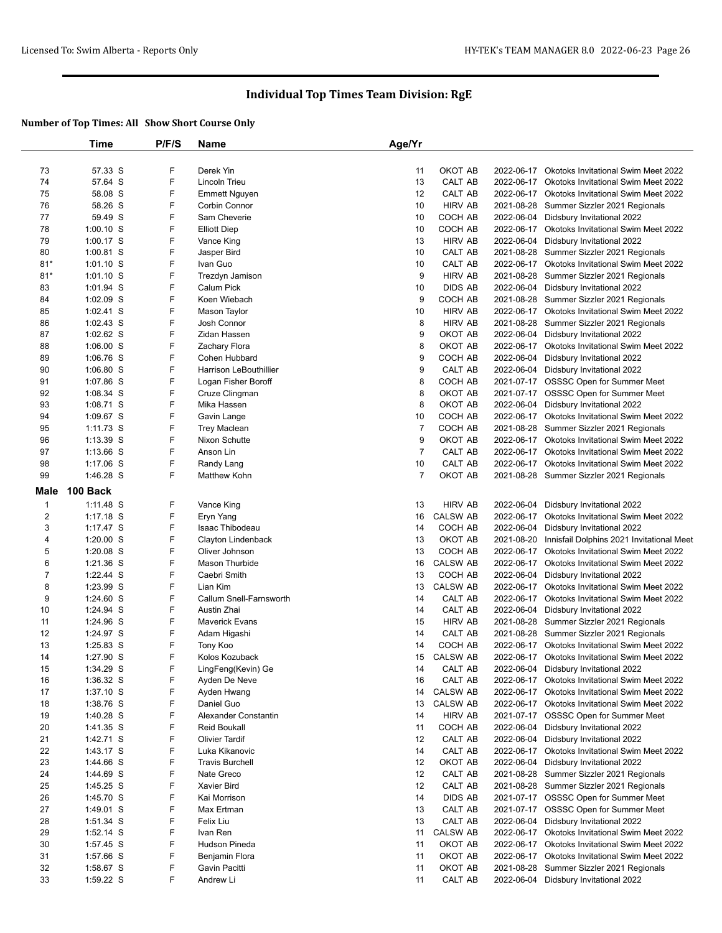|                | Time        | P/F/S | Name                          | Age/Yr         |                 |            |                                                |
|----------------|-------------|-------|-------------------------------|----------------|-----------------|------------|------------------------------------------------|
|                |             |       |                               |                |                 |            |                                                |
| 73             | 57.33 S     | F     | Derek Yin                     | 11             | OKOT AB         |            | 2022-06-17 Okotoks Invitational Swim Meet 2022 |
| 74             | 57.64 S     | F     | Lincoln Trieu                 | 13             | CALT AB         | 2022-06-17 | <b>Okotoks Invitational Swim Meet 2022</b>     |
| 75             | 58.08 S     | F     | <b>Emmett Nguyen</b>          | 12             | CALT AB         |            | 2022-06-17 Okotoks Invitational Swim Meet 2022 |
| 76             | 58.26 S     | F     | Corbin Connor                 | 10             | <b>HIRV AB</b>  |            | 2021-08-28 Summer Sizzler 2021 Regionals       |
| 77             | 59.49 S     | F     | Sam Cheverie                  | 10             | COCH AB         | 2022-06-04 | Didsbury Invitational 2022                     |
| 78             | $1:00.10$ S | F     | <b>Elliott Diep</b>           | 10             | COCH AB         |            | 2022-06-17 Okotoks Invitational Swim Meet 2022 |
| 79             | $1:00.17$ S | F     | Vance King                    | 13             | <b>HIRV AB</b>  | 2022-06-04 | Didsbury Invitational 2022                     |
| 80             | $1:00.81$ S | F     | Jasper Bird                   | 10             | CALT AB         | 2021-08-28 | Summer Sizzler 2021 Regionals                  |
| $81*$          | $1:01.10$ S | F     | Ivan Guo                      | 10             | CALT AB         |            | 2022-06-17 Okotoks Invitational Swim Meet 2022 |
| $81*$          | $1:01.10$ S | F     | Trezdyn Jamison               | 9              | <b>HIRV AB</b>  | 2021-08-28 | Summer Sizzler 2021 Regionals                  |
| 83             | $1:01.94$ S | F     | Calum Pick                    | 10             | <b>DIDS AB</b>  | 2022-06-04 | Didsbury Invitational 2022                     |
| 84             | 1:02.09 S   | F     | Koen Wiebach                  | 9              | COCH AB         |            | 2021-08-28 Summer Sizzler 2021 Regionals       |
| 85             | $1:02.41$ S | F     | Mason Taylor                  | 10             | <b>HIRV AB</b>  |            | 2022-06-17 Okotoks Invitational Swim Meet 2022 |
| 86             | $1:02.43$ S | F     | Josh Connor                   | 8              | <b>HIRV AB</b>  |            | 2021-08-28 Summer Sizzler 2021 Regionals       |
| 87             | $1:02.62$ S | F     | Zidan Hassen                  | 9              | OKOT AB         | 2022-06-04 | Didsbury Invitational 2022                     |
| 88             | $1:06.00$ S | F     | Zachary Flora                 | 8              | OKOT AB         |            | 2022-06-17 Okotoks Invitational Swim Meet 2022 |
| 89             | $1:06.76$ S | F     | Cohen Hubbard                 | 9              | COCH AB         | 2022-06-04 | Didsbury Invitational 2022                     |
| 90             | $1:06.80$ S | F     | <b>Harrison LeBouthillier</b> | 9              | CALT AB         | 2022-06-04 | Didsbury Invitational 2022                     |
| 91             | 1:07.86 S   | F     | Logan Fisher Boroff           | 8              | COCH AB         |            | 2021-07-17 OSSSC Open for Summer Meet          |
| 92             | $1:08.34$ S | F     | Cruze Clingman                | 8              | OKOT AB         |            | 2021-07-17 OSSSC Open for Summer Meet          |
| 93             | 1:08.71 S   | F     | Mika Hassen                   | 8              | OKOT AB         | 2022-06-04 | Didsbury Invitational 2022                     |
| 94             | 1:09.67 S   | F     | Gavin Lange                   | 10             | <b>COCH AB</b>  | 2022-06-17 | Okotoks Invitational Swim Meet 2022            |
| 95             | $1:11.73$ S | F     | <b>Trey Maclean</b>           | $\overline{7}$ | COCH AB         |            | 2021-08-28 Summer Sizzler 2021 Regionals       |
| 96             | 1:13.39 S   | F     | Nixon Schutte                 | 9              | OKOT AB         |            | 2022-06-17 Okotoks Invitational Swim Meet 2022 |
| 97             | $1:13.66$ S | F     | Anson Lin                     | $\overline{7}$ | CALT AB         |            | 2022-06-17 Okotoks Invitational Swim Meet 2022 |
| 98             | 1:17.06 S   | F     | Randy Lang                    | 10             | CALT AB         |            | 2022-06-17 Okotoks Invitational Swim Meet 2022 |
| 99             | 1:46.28 S   | F     | Matthew Kohn                  | $\overline{7}$ | OKOT AB         |            | 2021-08-28 Summer Sizzler 2021 Regionals       |
| Male           | 100 Back    |       |                               |                |                 |            |                                                |
| $\mathbf{1}$   | 1:11.48 S   | F     | Vance King                    | 13             | <b>HIRV AB</b>  | 2022-06-04 | Didsbury Invitational 2022                     |
| $\overline{c}$ | $1:17.18$ S | F     | Eryn Yang                     | 16             | <b>CALSW AB</b> | 2022-06-17 | Okotoks Invitational Swim Meet 2022            |
| 3              | 1:17.47 S   | F     | Isaac Thibodeau               | 14             | COCH AB         | 2022-06-04 | Didsbury Invitational 2022                     |
| 4              | $1:20.00$ S | F     | Clayton Lindenback            | 13             | OKOT AB         | 2021-08-20 | Innisfail Dolphins 2021 Invitational Meet      |
| 5              | $1:20.08$ S | F     | Oliver Johnson                | 13             | COCH AB         |            | 2022-06-17 Okotoks Invitational Swim Meet 2022 |
| 6              | 1:21.36 S   | F     | Mason Thurbide                | 16             | <b>CALSW AB</b> |            | 2022-06-17 Okotoks Invitational Swim Meet 2022 |
| $\overline{7}$ | $1:22.44$ S | F     | Caebri Smith                  | 13             | COCH AB         | 2022-06-04 | Didsbury Invitational 2022                     |
| 8              | 1:23.99 S   | F     | Lian Kim                      | 13             | <b>CALSW AB</b> |            | 2022-06-17 Okotoks Invitational Swim Meet 2022 |
| 9              | $1:24.60$ S | F     | Callum Snell-Farnsworth       | 14             | CALT AB         | 2022-06-17 | Okotoks Invitational Swim Meet 2022            |
| 10             | 1:24.94 S   | F     | Austin Zhai                   | 14             | CALT AB         | 2022-06-04 | Didsbury Invitational 2022                     |
| 11             | 1:24.96 S   | F     | <b>Maverick Evans</b>         | 15             | <b>HIRV AB</b>  |            | 2021-08-28 Summer Sizzler 2021 Regionals       |
| 12             | 1:24.97 S   | F     | Adam Higashi                  | 14             | CALT AB         |            | 2021-08-28 Summer Sizzler 2021 Regionals       |
| 13             | 1:25.83 S   | F     | Tony Koo                      | 14             | COCH AB         |            | 2022-06-17 Okotoks Invitational Swim Meet 2022 |
| 14             | 1:27.90 S   | F     | Kolos Kozuback                | 15             | <b>CALSW AB</b> |            | 2022-06-17 Okotoks Invitational Swim Meet 2022 |
| 15             | 1:34.29 S   | F     | LingFeng(Kevin) Ge            | 14             | CALT AB         |            | 2022-06-04 Didsbury Invitational 2022          |
| 16             | 1:36.32 S   | F     | Ayden De Neve                 | 16             | CALT AB         |            | 2022-06-17 Okotoks Invitational Swim Meet 2022 |
| 17             | $1:37.10$ S | F     | Ayden Hwang                   | 14             | <b>CALSW AB</b> |            | 2022-06-17 Okotoks Invitational Swim Meet 2022 |
| 18             | 1:38.76 S   | F     | Daniel Guo                    | 13             | CALSW AB        |            | 2022-06-17 Okotoks Invitational Swim Meet 2022 |
| 19             | 1:40.28 S   | F     | Alexander Constantin          | 14             | <b>HIRV AB</b>  |            | 2021-07-17 OSSSC Open for Summer Meet          |
| 20             | 1:41.35 S   | F     | <b>Reid Boukall</b>           | 11             | COCH AB         |            | 2022-06-04 Didsbury Invitational 2022          |
| 21             | 1:42.71 S   | F     | <b>Olivier Tardif</b>         | 12             | CALT AB         |            | 2022-06-04 Didsbury Invitational 2022          |
| 22             | 1:43.17 S   | F     | Luka Kikanovic                | 14             | CALT AB         |            | 2022-06-17 Okotoks Invitational Swim Meet 2022 |
| 23             | 1:44.66 S   | F     | <b>Travis Burchell</b>        | 12             | OKOT AB         | 2022-06-04 | Didsbury Invitational 2022                     |
| 24             | 1:44.69 S   | F     | Nate Greco                    | 12             | CALT AB         |            | 2021-08-28 Summer Sizzler 2021 Regionals       |
| 25             | 1:45.25 S   | F     | Xavier Bird                   | 12             | CALT AB         |            | 2021-08-28 Summer Sizzler 2021 Regionals       |
| 26             | 1:45.70 S   | F     | Kai Morrison                  | 14             | <b>DIDS AB</b>  |            | 2021-07-17 OSSSC Open for Summer Meet          |
| 27             | 1:49.01 S   | F     | Max Ertman                    | 13             | CALT AB         |            | 2021-07-17 OSSSC Open for Summer Meet          |
| 28             | 1:51.34 S   | F     | Felix Liu                     | 13             | CALT AB         |            | 2022-06-04 Didsbury Invitational 2022          |
| 29             | $1:52.14$ S | F     | Ivan Ren                      | 11             | CALSW AB        |            | 2022-06-17 Okotoks Invitational Swim Meet 2022 |
| 30             | 1:57.45 S   | F     | Hudson Pineda                 | 11             | OKOT AB         |            | 2022-06-17 Okotoks Invitational Swim Meet 2022 |
| 31             | 1:57.66 S   | F     | Benjamin Flora                | 11             | OKOT AB         |            | 2022-06-17 Okotoks Invitational Swim Meet 2022 |
| 32             | 1:58.67 S   | F     | Gavin Pacitti                 | 11             | OKOT AB         |            | 2021-08-28 Summer Sizzler 2021 Regionals       |
| 33             | 1:59.22 S   | F     | Andrew Li                     | 11             | CALT AB         |            | 2022-06-04 Didsbury Invitational 2022          |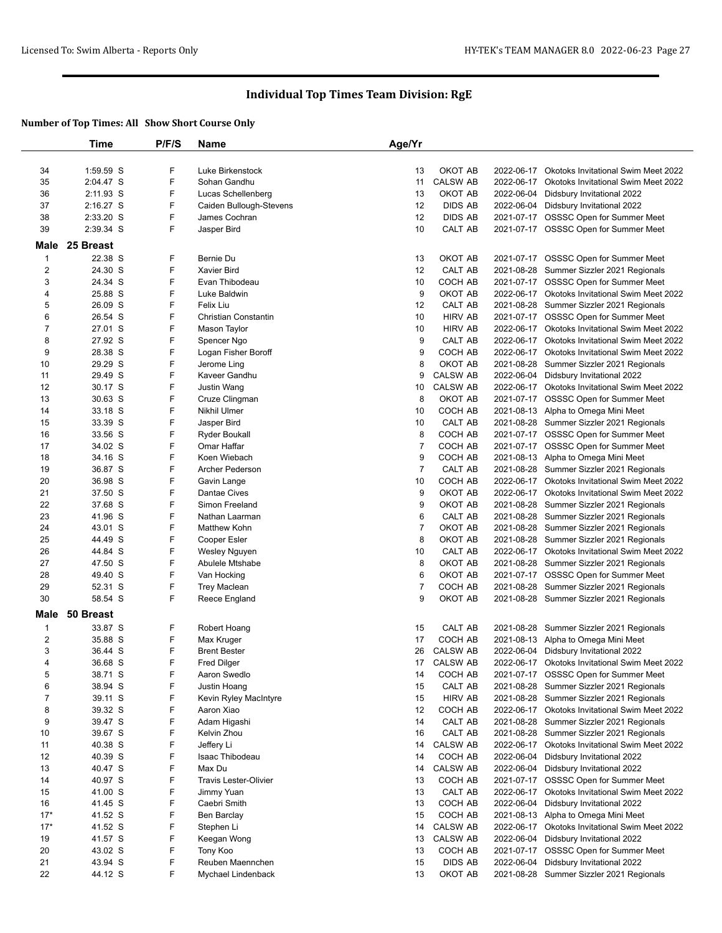|                | Time      | P/F/S | <b>Name</b>                  | Age/Yr         |                 |            |                                                |
|----------------|-----------|-------|------------------------------|----------------|-----------------|------------|------------------------------------------------|
|                |           |       |                              |                |                 |            |                                                |
| 34             | 1:59.59 S | F     | Luke Birkenstock             | 13             | OKOT AB         |            | 2022-06-17 Okotoks Invitational Swim Meet 2022 |
| 35             | 2:04.47 S | F     | Sohan Gandhu                 | 11             | <b>CALSW AB</b> | 2022-06-17 | Okotoks Invitational Swim Meet 2022            |
| 36             | 2:11.93 S | F     | Lucas Schellenberg           | 13             | OKOT AB         | 2022-06-04 | Didsbury Invitational 2022                     |
| 37             | 2:16.27 S | F     | Caiden Bullough-Stevens      | 12             | <b>DIDS AB</b>  |            | 2022-06-04 Didsbury Invitational 2022          |
|                | 2:33.20 S | F     | James Cochran                | 12             | <b>DIDS AB</b>  |            |                                                |
| 38             |           |       |                              |                |                 | 2021-07-17 | OSSSC Open for Summer Meet                     |
| 39             | 2:39.34 S | F     | Jasper Bird                  | 10             | CALT AB         |            | 2021-07-17 OSSSC Open for Summer Meet          |
| Male           | 25 Breast |       |                              |                |                 |            |                                                |
| $\mathbf{1}$   | 22.38 S   | F     | Bernie Du                    | 13             | OKOT AB         | 2021-07-17 | OSSSC Open for Summer Meet                     |
| $\overline{2}$ | 24.30 S   | F     | Xavier Bird                  | 12             | CALT AB         |            | 2021-08-28 Summer Sizzler 2021 Regionals       |
| 3              | 24.34 S   | F     | Evan Thibodeau               | 10             | COCH AB         |            | 2021-07-17 OSSSC Open for Summer Meet          |
| 4              | 25.88 S   | F     | Luke Baldwin                 | 9              | OKOT AB         |            | 2022-06-17 Okotoks Invitational Swim Meet 2022 |
| 5              | 26.09 S   | F     | Felix Liu                    | 12             | CALT AB         |            | 2021-08-28 Summer Sizzler 2021 Regionals       |
| 6              | 26.54 S   | F     | Christian Constantin         | 10             | <b>HIRV AB</b>  |            | 2021-07-17 OSSSC Open for Summer Meet          |
| $\overline{7}$ | 27.01 S   | F     | Mason Taylor                 | 10             | <b>HIRV AB</b>  |            | 2022-06-17 Okotoks Invitational Swim Meet 2022 |
| 8              | 27.92 S   | F     | Spencer Ngo                  | 9              | CALT AB         |            | 2022-06-17 Okotoks Invitational Swim Meet 2022 |
|                |           |       |                              |                |                 |            |                                                |
| 9              | 28.38 S   | F     | Logan Fisher Boroff          | 9              | COCH AB         | 2022-06-17 | Okotoks Invitational Swim Meet 2022            |
| 10             | 29.29 S   | F     | Jerome Ling                  | 8              | OKOT AB         | 2021-08-28 | Summer Sizzler 2021 Regionals                  |
| 11             | 29.49 S   | F     | Kaveer Gandhu                | 9              | <b>CALSW AB</b> |            | 2022-06-04 Didsbury Invitational 2022          |
| 12             | 30.17 S   | F     | <b>Justin Wang</b>           | 10             | <b>CALSW AB</b> | 2022-06-17 | Okotoks Invitational Swim Meet 2022            |
| 13             | 30.63 S   | F     | Cruze Clingman               | 8              | OKOT AB         |            | 2021-07-17 OSSSC Open for Summer Meet          |
| 14             | 33.18 S   | F     | <b>Nikhil Ulmer</b>          | 10             | COCH AB         |            | 2021-08-13 Alpha to Omega Mini Meet            |
| 15             | 33.39 S   | F     | Jasper Bird                  | 10             | CALT AB         |            | 2021-08-28 Summer Sizzler 2021 Regionals       |
| 16             | 33.56 S   | F     | <b>Ryder Boukall</b>         | 8              | COCH AB         |            | 2021-07-17 OSSSC Open for Summer Meet          |
| 17             | 34.02 S   | F     | Omar Haffar                  | $\overline{7}$ | COCH AB         |            | 2021-07-17 OSSSC Open for Summer Meet          |
| 18             | 34.16 S   | F     | Koen Wiebach                 | 9              | COCH AB         |            | 2021-08-13 Alpha to Omega Mini Meet            |
| 19             | 36.87 S   | F     | Archer Pederson              | $\overline{7}$ | CALT AB         | 2021-08-28 | Summer Sizzler 2021 Regionals                  |
| 20             | 36.98 S   | F     | Gavin Lange                  | 10             | COCH AB         |            | 2022-06-17 Okotoks Invitational Swim Meet 2022 |
| 21             | 37.50 S   | F     | <b>Dantae Cives</b>          | 9              | OKOT AB         |            | 2022-06-17 Okotoks Invitational Swim Meet 2022 |
| 22             | 37.68 S   | F     | Simon Freeland               | 9              | OKOT AB         |            | 2021-08-28 Summer Sizzler 2021 Regionals       |
| 23             | 41.96 S   | F     | Nathan Laarman               | 6              | CALT AB         |            | 2021-08-28 Summer Sizzler 2021 Regionals       |
| 24             | 43.01 S   | F     | Matthew Kohn                 | $\overline{7}$ | OKOT AB         |            | 2021-08-28 Summer Sizzler 2021 Regionals       |
| 25             | 44.49 S   | F     | Cooper Esler                 | 8              | OKOT AB         |            | 2021-08-28 Summer Sizzler 2021 Regionals       |
| 26             | 44.84 S   | F     | Wesley Nguyen                | 10             | CALT AB         |            | 2022-06-17 Okotoks Invitational Swim Meet 2022 |
| 27             | 47.50 S   | F     | Abulele Mtshabe              | 8              | OKOT AB         |            | 2021-08-28 Summer Sizzler 2021 Regionals       |
| 28             | 49.40 S   | F     | Van Hocking                  | 6              | OKOT AB         |            | 2021-07-17 OSSSC Open for Summer Meet          |
| 29             | 52.31 S   | F     |                              | $\overline{7}$ | COCH AB         |            |                                                |
|                |           | F     | <b>Trey Maclean</b>          |                |                 | 2021-08-28 | Summer Sizzler 2021 Regionals                  |
| 30             | 58.54 S   |       | Reece England                | 9              | OKOT AB         |            | 2021-08-28 Summer Sizzler 2021 Regionals       |
| Male           | 50 Breast |       |                              |                |                 |            |                                                |
| $\mathbf 1$    | 33.87 S   | F     | Robert Hoang                 | 15             | CALT AB         |            | 2021-08-28 Summer Sizzler 2021 Regionals       |
| $\overline{2}$ | 35.88 S   | F     | Max Kruger                   | 17             | COCH AB         | 2021-08-13 | Alpha to Omega Mini Meet                       |
| 3              | 36.44 S   | F     | <b>Brent Bester</b>          | 26             | <b>CALSW AB</b> |            | 2022-06-04 Didsbury Invitational 2022          |
| 4              | 36.68 S   | F     | <b>Fred Dilger</b>           | 17             | <b>CALSW AB</b> |            | 2022-06-17 Okotoks Invitational Swim Meet 2022 |
| 5              | 38.71 S   | F     | Aaron Swedlo                 | 14             | COCH AB         |            | 2021-07-17 OSSSC Open for Summer Meet          |
| 6              | 38.94 S   | F     | Justin Hoang                 | 15             | CALT AB         |            | 2021-08-28 Summer Sizzler 2021 Regionals       |
| $\overline{7}$ | 39.11 S   | F     | Kevin Ryley MacIntyre        | 15             | <b>HIRV AB</b>  |            | 2021-08-28 Summer Sizzler 2021 Regionals       |
| 8              | 39.32 S   | F     | Aaron Xiao                   | 12             | COCH AB         |            | 2022-06-17 Okotoks Invitational Swim Meet 2022 |
| 9              | 39.47 S   | F     |                              |                | CALT AB         |            | 2021-08-28 Summer Sizzler 2021 Regionals       |
|                |           | F     | Adam Higashi                 | 14             |                 |            |                                                |
| 10             | 39.67 S   |       | Kelvin Zhou                  | 16             | CALT AB         |            | 2021-08-28 Summer Sizzler 2021 Regionals       |
| 11             | 40.38 S   | F     | Jeffery Li                   | 14             | <b>CALSW AB</b> | 2022-06-17 | Okotoks Invitational Swim Meet 2022            |
| 12             | 40.39 S   | F     | Isaac Thibodeau              | 14             | COCH AB         | 2022-06-04 | Didsbury Invitational 2022                     |
| 13             | 40.47 S   | F     | Max Du                       | 14             | <b>CALSW AB</b> |            | 2022-06-04 Didsbury Invitational 2022          |
| 14             | 40.97 S   | F     | <b>Travis Lester-Olivier</b> | 13             | COCH AB         |            | 2021-07-17 OSSSC Open for Summer Meet          |
| 15             | 41.00 S   | F     | Jimmy Yuan                   | 13             | CALT AB         | 2022-06-17 | Okotoks Invitational Swim Meet 2022            |
| 16             | 41.45 S   | F     | Caebri Smith                 | 13             | COCH AB         | 2022-06-04 | Didsbury Invitational 2022                     |
| $17*$          | 41.52 S   | F     | Ben Barclay                  | 15             | COCH AB         | 2021-08-13 | Alpha to Omega Mini Meet                       |
| $17*$          | 41.52 S   | F     | Stephen Li                   | 14             | <b>CALSW AB</b> |            | 2022-06-17 Okotoks Invitational Swim Meet 2022 |
| 19             | 41.57 S   | F     | Keegan Wong                  | 13             | <b>CALSW AB</b> |            | 2022-06-04 Didsbury Invitational 2022          |
| 20             | 43.02 S   | F     | Tony Koo                     | 13             | COCH AB         |            | 2021-07-17 OSSSC Open for Summer Meet          |
| 21             | 43.94 S   | F     | Reuben Maennchen             | 15             | <b>DIDS AB</b>  | 2022-06-04 | Didsbury Invitational 2022                     |
| 22             | 44.12 S   | F     | Mychael Lindenback           | 13             | OKOT AB         |            | 2021-08-28 Summer Sizzler 2021 Regionals       |
|                |           |       |                              |                |                 |            |                                                |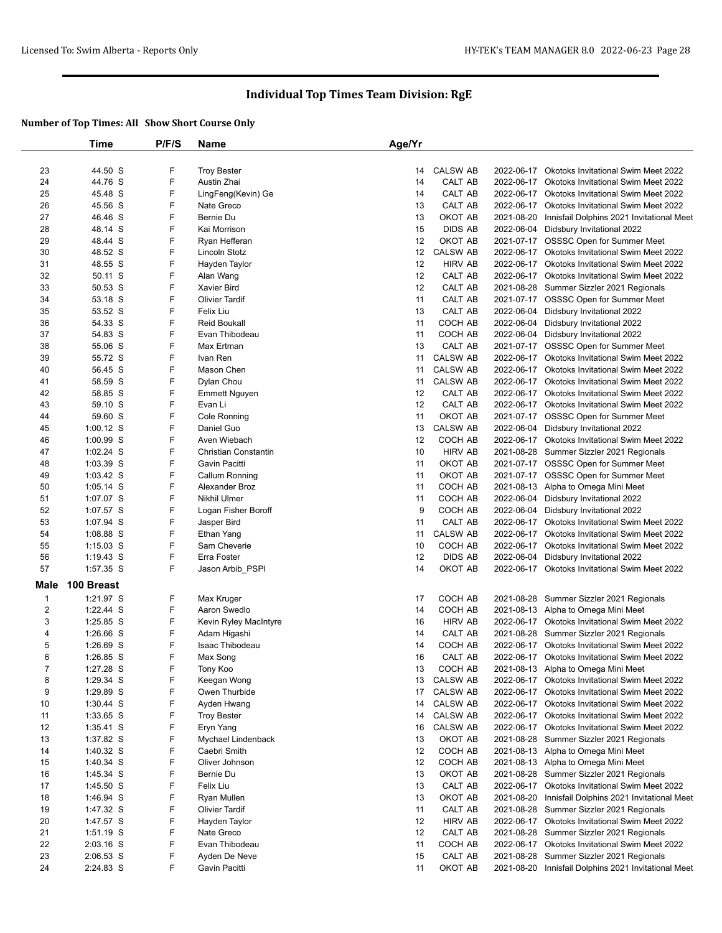|                | Time        | P/F/S | Name                             | Age/Yr |                 |            |                                                      |
|----------------|-------------|-------|----------------------------------|--------|-----------------|------------|------------------------------------------------------|
|                |             |       |                                  |        |                 |            |                                                      |
| 23             | 44.50 S     | F     | <b>Troy Bester</b>               | 14     | <b>CALSW AB</b> |            | 2022-06-17 Okotoks Invitational Swim Meet 2022       |
| 24             | 44.76 S     | F     | Austin Zhai                      | 14     | <b>CALT AB</b>  |            | 2022-06-17 Okotoks Invitational Swim Meet 2022       |
| 25             | 45.48 S     | F     | LingFeng(Kevin) Ge               | 14     | CALT AB         |            | 2022-06-17 Okotoks Invitational Swim Meet 2022       |
| 26             | 45.56 S     | F     | Nate Greco                       | 13     | CALT AB         |            | 2022-06-17 Okotoks Invitational Swim Meet 2022       |
| 27             | 46.46 S     | F     | Bernie Du                        | 13     | OKOT AB         | 2021-08-20 | Innisfail Dolphins 2021 Invitational Meet            |
| 28             | 48.14 S     | F     | Kai Morrison                     | 15     | <b>DIDS AB</b>  |            | 2022-06-04 Didsbury Invitational 2022                |
| 29             | 48.44 S     | F     | Ryan Hefferan                    | 12     | OKOT AB         |            | 2021-07-17 OSSSC Open for Summer Meet                |
| 30             | 48.52 S     | F     | Lincoln Stotz                    | 12     | <b>CALSW AB</b> |            | 2022-06-17 Okotoks Invitational Swim Meet 2022       |
| 31             | 48.55 S     | F     | Hayden Taylor                    | 12     | <b>HIRV AB</b>  |            | 2022-06-17 Okotoks Invitational Swim Meet 2022       |
| 32             | 50.11 S     | F     | Alan Wang                        | 12     | CALT AB         |            | 2022-06-17 Okotoks Invitational Swim Meet 2022       |
| 33             | 50.53 S     | F     | <b>Xavier Bird</b>               | 12     | CALT AB         |            | 2021-08-28 Summer Sizzler 2021 Regionals             |
| 34             | 53.18 S     | F     | <b>Olivier Tardif</b>            | 11     | CALT AB         |            | 2021-07-17 OSSSC Open for Summer Meet                |
| 35             | 53.52 S     | F     | Felix Liu                        | 13     | CALT AB         | 2022-06-04 | Didsbury Invitational 2022                           |
| 36             | 54.33 S     | F     | <b>Reid Boukall</b>              | 11     | COCH AB         | 2022-06-04 | Didsbury Invitational 2022                           |
| 37             | 54.83 S     | F     | Evan Thibodeau                   | 11     | COCH AB         |            | 2022-06-04 Didsbury Invitational 2022                |
| 38             | 55.06 S     | F     | Max Ertman                       | 13     | CALT AB         |            | 2021-07-17 OSSSC Open for Summer Meet                |
| 39             | 55.72 S     | F     | Ivan Ren                         | 11     | <b>CALSW AB</b> |            | 2022-06-17 Okotoks Invitational Swim Meet 2022       |
| 40             | 56.45 S     | F     | Mason Chen                       | 11     | <b>CALSW AB</b> |            | 2022-06-17 Okotoks Invitational Swim Meet 2022       |
| 41             | 58.59 S     | F     | Dylan Chou                       | 11     | <b>CALSW AB</b> |            | 2022-06-17 Okotoks Invitational Swim Meet 2022       |
| 42             | 58.85 S     | F     | <b>Emmett Nguyen</b>             | 12     | CALT AB         |            | 2022-06-17 Okotoks Invitational Swim Meet 2022       |
| 43             | 59.10 S     | F     | Evan Li                          | 12     | <b>CALT AB</b>  |            | 2022-06-17 Okotoks Invitational Swim Meet 2022       |
| 44             | 59.60 S     | F     | Cole Ronning                     | 11     | OKOT AB         |            | 2021-07-17 OSSSC Open for Summer Meet                |
| 45             | $1:00.12$ S | F     | Daniel Guo                       | 13     | <b>CALSW AB</b> |            | 2022-06-04 Didsbury Invitational 2022                |
| 46             | $1:00.99$ S | F     | Aven Wiebach                     | 12     | COCH AB         |            | 2022-06-17 Okotoks Invitational Swim Meet 2022       |
| 47             | 1:02.24 S   | F     | Christian Constantin             | 10     | <b>HIRV AB</b>  |            | 2021-08-28 Summer Sizzler 2021 Regionals             |
| 48             | $1:03.39$ S | F     | Gavin Pacitti                    | 11     | OKOT AB         |            | 2021-07-17 OSSSC Open for Summer Meet                |
| 49             | $1:03.42$ S | F     |                                  | 11     | OKOT AB         |            | 2021-07-17 OSSSC Open for Summer Meet                |
|                |             | F     | Callum Ronning<br>Alexander Broz | 11     | COCH AB         |            |                                                      |
| 50             | $1:05.14$ S | F     |                                  |        |                 |            | 2021-08-13 Alpha to Omega Mini Meet                  |
| 51             | 1:07.07 S   | F     | <b>Nikhil Ulmer</b>              | 11     | COCH AB         | 2022-06-04 | Didsbury Invitational 2022                           |
| 52             | 1:07.57 S   |       | Logan Fisher Boroff              | 9      | COCH AB         |            | 2022-06-04 Didsbury Invitational 2022                |
| 53             | 1:07.94 S   | F     | Jasper Bird                      | 11     | CALT AB         |            | 2022-06-17 Okotoks Invitational Swim Meet 2022       |
| 54             | 1:08.88 S   | F     | Ethan Yang                       | 11     | <b>CALSW AB</b> |            | 2022-06-17 Okotoks Invitational Swim Meet 2022       |
| 55             | $1:15.03$ S | F     | Sam Cheverie                     | 10     | COCH AB         |            | 2022-06-17 Okotoks Invitational Swim Meet 2022       |
| 56             | $1:19.43$ S | F     | Erra Foster                      | 12     | <b>DIDS AB</b>  |            | 2022-06-04 Didsbury Invitational 2022                |
| 57             | 1:57.35 S   | F     | Jason Arbib_PSPI                 | 14     | OKOT AB         |            | 2022-06-17 Okotoks Invitational Swim Meet 2022       |
| Male           | 100 Breast  |       |                                  |        |                 |            |                                                      |
| $\mathbf{1}$   | 1:21.97 S   | F     | Max Kruger                       | 17     | COCH AB         |            | 2021-08-28 Summer Sizzler 2021 Regionals             |
| $\overline{2}$ | $1:22.44$ S | F     | Aaron Swedlo                     | 14     | COCH AB         |            | 2021-08-13 Alpha to Omega Mini Meet                  |
| 3              | $1:25.85$ S | F     | Kevin Ryley MacIntyre            | 16     | <b>HIRV AB</b>  |            | 2022-06-17 Okotoks Invitational Swim Meet 2022       |
| 4              | 1:26.66 S   | F     | Adam Higashi                     | 14     | CALT AB         |            | 2021-08-28 Summer Sizzler 2021 Regionals             |
| 5              | $1:26.69$ S | F     | Isaac Thibodeau                  | 14     | COCH AB         |            | 2022-06-17 Okotoks Invitational Swim Meet 2022       |
| 6              | $1:26.85$ S | F     | Max Song                         | 16     | CALT AB         |            | 2022-06-17 Okotoks Invitational Swim Meet 2022       |
| 7              | 1:27.28 S   | F     | Tony Koo                         | 13     | COCH AB         |            | 2021-08-13 Alpha to Omega Mini Meet                  |
| 8              | 1:29.34 S   | F     | Keegan Wong                      |        | 13 CALSW AB     |            | 2022-06-17 Okotoks Invitational Swim Meet 2022       |
| 9              | 1:29.89 S   | F     | Owen Thurbide                    | 17     | <b>CALSW AB</b> |            | 2022-06-17 Okotoks Invitational Swim Meet 2022       |
| 10             | $1:30.44$ S | F     | Ayden Hwang                      | 14     | <b>CALSW AB</b> |            | 2022-06-17 Okotoks Invitational Swim Meet 2022       |
| 11             | 1:33.65 S   | F     | <b>Troy Bester</b>               | 14     | <b>CALSW AB</b> |            | 2022-06-17 Okotoks Invitational Swim Meet 2022       |
| 12             | 1:35.41 S   | F     | Eryn Yang                        | 16     | <b>CALSW AB</b> |            | 2022-06-17 Okotoks Invitational Swim Meet 2022       |
| 13             | 1:37.82 S   | F     | Mychael Lindenback               | 13     | OKOT AB         |            | 2021-08-28 Summer Sizzler 2021 Regionals             |
| 14             | 1:40.32 S   | F     | Caebri Smith                     | 12     | COCH AB         |            | 2021-08-13 Alpha to Omega Mini Meet                  |
| 15             | 1:40.34 S   | F     | Oliver Johnson                   | 12     | COCH AB         |            | 2021-08-13 Alpha to Omega Mini Meet                  |
| 16             | 1:45.34 S   | F     | Bernie Du                        | 13     | OKOT AB         |            | 2021-08-28 Summer Sizzler 2021 Regionals             |
| 17             | 1:45.50 S   | F     | Felix Liu                        | 13     | CALT AB         |            | 2022-06-17 Okotoks Invitational Swim Meet 2022       |
| 18             | 1:46.94 S   | F     | Ryan Mullen                      | 13     | OKOT AB         | 2021-08-20 | Innisfail Dolphins 2021 Invitational Meet            |
| 19             | 1:47.32 S   | F     | <b>Olivier Tardif</b>            | 11     | CALT AB         |            | 2021-08-28 Summer Sizzler 2021 Regionals             |
| 20             | 1:47.57 S   | F     | Hayden Taylor                    | 12     | <b>HIRV AB</b>  |            | 2022-06-17 Okotoks Invitational Swim Meet 2022       |
| 21             | $1:51.19$ S | F     | Nate Greco                       | 12     | CALT AB         |            | 2021-08-28 Summer Sizzler 2021 Regionals             |
| 22             | $2:03.16$ S | F     | Evan Thibodeau                   | 11     | COCH AB         |            | 2022-06-17 Okotoks Invitational Swim Meet 2022       |
| 23             | $2:06.53$ S | F     | Ayden De Neve                    | 15     | CALT AB         |            | 2021-08-28 Summer Sizzler 2021 Regionals             |
|                |             | F     |                                  |        |                 |            |                                                      |
| 24             | 2:24.83 S   |       | Gavin Pacitti                    | 11     | OKOT AB         |            | 2021-08-20 Innisfail Dolphins 2021 Invitational Meet |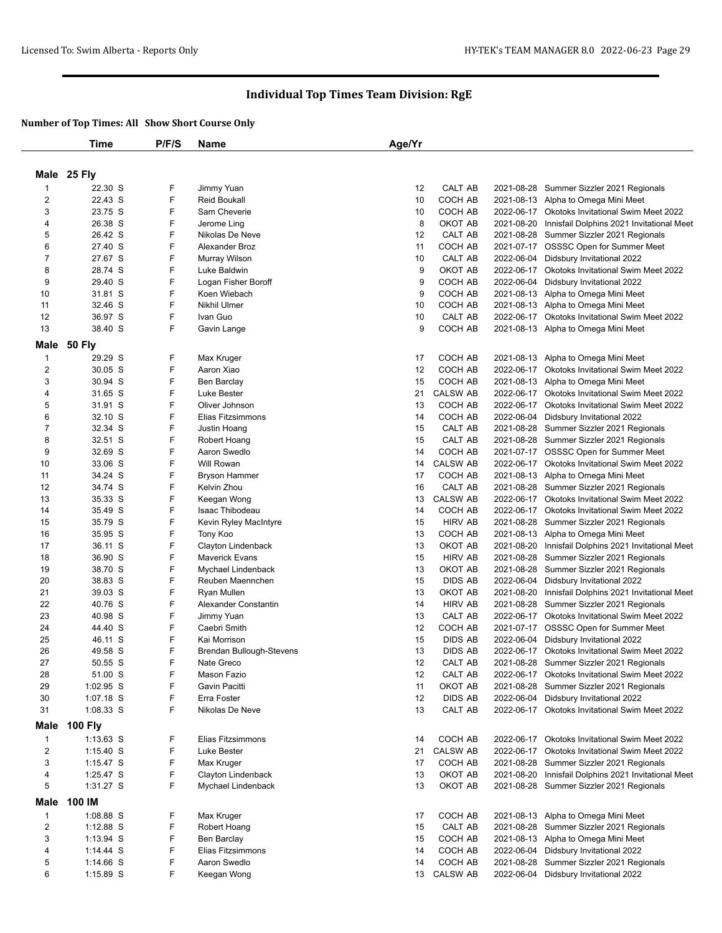|                         | <b>Time</b>    | P/F/S  | Name                     | Age/Yr |                 |            |                                                |
|-------------------------|----------------|--------|--------------------------|--------|-----------------|------------|------------------------------------------------|
|                         |                |        |                          |        |                 |            |                                                |
|                         | Male 25 Fly    |        |                          |        |                 |            |                                                |
| 1                       | 22.30 S        | F      | Jimmy Yuan               | 12     | CALT AB         | 2021-08-28 | Summer Sizzler 2021 Regionals                  |
| 2                       | 22.43 S        | F      | <b>Reid Boukall</b>      | 10     | COCH AB         |            | 2021-08-13 Alpha to Omega Mini Meet            |
| 3                       | 23.75 S        | F      | Sam Cheverie             | 10     | COCH AB         |            | 2022-06-17 Okotoks Invitational Swim Meet 2022 |
| 4                       | 26.38 S        | F      | Jerome Ling              | 8      | OKOT AB         | 2021-08-20 | Innisfail Dolphins 2021 Invitational Meet      |
| 5                       | 26.42 S        | F      | Nikolas De Neve          | 12     | CALT AB         |            | 2021-08-28 Summer Sizzler 2021 Regionals       |
| 6                       | 27.40 S        | F      | Alexander Broz           | 11     | COCH AB         |            | 2021-07-17 OSSSC Open for Summer Meet          |
| 7                       | 27.67 S        | F      | Murray Wilson            | 10     | CALT AB         |            | 2022-06-04 Didsbury Invitational 2022          |
| 8                       | 28.74 S        | F      | Luke Baldwin             | 9      | OKOT AB         | 2022-06-17 | Okotoks Invitational Swim Meet 2022            |
| 9                       | 29.40 S        | F      | Logan Fisher Boroff      | 9      | COCH AB         |            | 2022-06-04 Didsbury Invitational 2022          |
| 10                      | 31.81 S        | F      | Koen Wiebach             | 9      | COCH AB         |            | 2021-08-13 Alpha to Omega Mini Meet            |
| 11                      | 32.46 S        | F      | Nikhil Ulmer             | 10     | COCH AB         | 2021-08-13 | Alpha to Omega Mini Meet                       |
| 12                      | 36.97 S        | F      | Ivan Guo                 | 10     | CALT AB         |            | 2022-06-17 Okotoks Invitational Swim Meet 2022 |
| 13                      | 38.40 S        | F      | Gavin Lange              | 9      | COCH AB         |            | 2021-08-13 Alpha to Omega Mini Meet            |
| Male                    | <b>50 Fly</b>  |        |                          |        |                 |            |                                                |
| 1                       | 29.29 S        | F      | Max Kruger               | 17     | COCH AB         |            | 2021-08-13 Alpha to Omega Mini Meet            |
| $\overline{\mathbf{c}}$ | 30.05 S        | F      | Aaron Xiao               | 12     | COCH AB         |            | 2022-06-17 Okotoks Invitational Swim Meet 2022 |
| 3                       | 30.94 S        | F      | Ben Barclay              | 15     | COCH AB         |            | 2021-08-13 Alpha to Omega Mini Meet            |
| 4                       | 31.65 S        | F      | Luke Bester              | 21     | <b>CALSW AB</b> |            | 2022-06-17 Okotoks Invitational Swim Meet 2022 |
| 5                       | 31.91 S        | F      | Oliver Johnson           | 13     | COCH AB         |            | 2022-06-17 Okotoks Invitational Swim Meet 2022 |
| 6                       | 32.10 S        | F      | Elias Fitzsimmons        | 14     | COCH AB         |            | 2022-06-04 Didsbury Invitational 2022          |
| $\overline{7}$          | 32.34 S        | F      | Justin Hoang             | 15     | CALT AB         | 2021-08-28 | Summer Sizzler 2021 Regionals                  |
| 8                       | 32.51 S        | F      | Robert Hoang             | 15     | <b>CALT AB</b>  |            | 2021-08-28 Summer Sizzler 2021 Regionals       |
| 9                       | 32.69 S        | F      | Aaron Swedlo             | 14     | COCH AB         |            | 2021-07-17 OSSSC Open for Summer Meet          |
| 10                      | 33.06 S        | F      | Will Rowan               | 14     | <b>CALSW AB</b> |            | 2022-06-17 Okotoks Invitational Swim Meet 2022 |
| 11                      | 34.24 S        | F      | <b>Bryson Hammer</b>     | 17     | COCH AB         |            | 2021-08-13 Alpha to Omega Mini Meet            |
| 12                      | 34.74 S        | F      | Kelvin Zhou              | 16     | CALT AB         |            | 2021-08-28 Summer Sizzler 2021 Regionals       |
| 13                      | 35.33 S        | F      | Keegan Wong              | 13     | <b>CALSW AB</b> |            | 2022-06-17 Okotoks Invitational Swim Meet 2022 |
| 14                      | 35.49 S        | F      | Isaac Thibodeau          | 14     | COCH AB         | 2022-06-17 | Okotoks Invitational Swim Meet 2022            |
| 15                      | 35.79 S        | F      | Kevin Ryley MacIntyre    | 15     | <b>HIRV AB</b>  |            | 2021-08-28 Summer Sizzler 2021 Regionals       |
| 16                      | 35.95 S        | F      | Tony Koo                 | 13     | COCH AB         |            | 2021-08-13 Alpha to Omega Mini Meet            |
| 17                      | 36.11 S        | F      | Clayton Lindenback       | 13     | OKOT AB         | 2021-08-20 | Innisfail Dolphins 2021 Invitational Meet      |
| 18                      | 36.90 S        | F      | <b>Maverick Evans</b>    | 15     | <b>HIRV AB</b>  | 2021-08-28 | Summer Sizzler 2021 Regionals                  |
| 19                      | 38.70 S        | F      | Mychael Lindenback       | 13     | OKOT AB         | 2021-08-28 | Summer Sizzler 2021 Regionals                  |
| 20                      | 38.83 S        | F      | Reuben Maennchen         | 15     | <b>DIDS AB</b>  | 2022-06-04 | Didsbury Invitational 2022                     |
| 21                      | 39.03 S        | F      | Ryan Mullen              | 13     | OKOT AB         | 2021-08-20 | Innisfail Dolphins 2021 Invitational Meet      |
| 22                      | 40.76 S        | F      | Alexander Constantin     | 14     | <b>HIRV AB</b>  |            | 2021-08-28 Summer Sizzler 2021 Regionals       |
| 23                      | 40.98 S        | F      | Jimmy Yuan               | 13     | CALT AB         | 2022-06-17 | <b>Okotoks Invitational Swim Meet 2022</b>     |
| 24                      | 44.40 S        | F      | Caebri Smith             | 12     | COCH AB         |            | 2021-07-17 OSSSC Open for Summer Meet          |
| 25                      | 46.11 S        | F      | Kai Morrison             | 15     | <b>DIDS AB</b>  |            | 2022-06-04 Didsbury Invitational 2022          |
| 26                      | 49.58 S        | F      | Brendan Bullough-Stevens | 13     | DIDS AB         |            | 2022-06-17 Okotoks Invitational Swim Meet 2022 |
| 27                      | 50.55 S        | F      | Nate Greco               | 12     | CALT AB         |            | 2021-08-28 Summer Sizzler 2021 Regionals       |
| 28                      | 51.00 S        | F      | Mason Fazio              | 12     | CALT AB         |            | 2022-06-17 Okotoks Invitational Swim Meet 2022 |
| 29                      | 1:02.95 S      | F      | Gavin Pacitti            | 11     | OKOT AB         |            | 2021-08-28 Summer Sizzler 2021 Regionals       |
| 30                      | $1:07.18$ S    | F<br>F | Erra Foster              | 12     | <b>DIDS AB</b>  |            | 2022-06-04 Didsbury Invitational 2022          |
| 31                      | $1:08.33$ S    |        | Nikolas De Neve          | 13     | CALT AB         |            | 2022-06-17 Okotoks Invitational Swim Meet 2022 |
| Male                    | <b>100 Fly</b> |        |                          |        |                 |            |                                                |
| $\mathbf{1}$            | $1:13.63$ S    | F      | Elias Fitzsimmons        | 14     | COCH AB         |            | 2022-06-17 Okotoks Invitational Swim Meet 2022 |
| $\overline{\mathbf{c}}$ | $1:15.40$ S    | F      | Luke Bester              | 21     | <b>CALSW AB</b> | 2022-06-17 | <b>Okotoks Invitational Swim Meet 2022</b>     |
| 3                       | 1:15.47 $S$    | F      | Max Kruger               | 17     | COCH AB         |            | 2021-08-28 Summer Sizzler 2021 Regionals       |
| 4                       | 1:25.47 S      | F      | Clayton Lindenback       | 13     | OKOT AB         | 2021-08-20 | Innisfail Dolphins 2021 Invitational Meet      |
| 5                       | $1:31.27$ S    | F      | Mychael Lindenback       | 13     | OKOT AB         |            | 2021-08-28 Summer Sizzler 2021 Regionals       |
| Male                    | 100 IM         |        |                          |        |                 |            |                                                |
| $\mathbf{1}$            | 1:08.88 S      | F      | Max Kruger               | 17     | COCH AB         |            | 2021-08-13 Alpha to Omega Mini Meet            |
| $\overline{2}$          | 1:12.88 S      | F      | Robert Hoang             | 15     | CALT AB         |            | 2021-08-28 Summer Sizzler 2021 Regionals       |
| 3                       | $1:13.94$ S    | F      | Ben Barclay              | 15     | COCH AB         |            | 2021-08-13 Alpha to Omega Mini Meet            |
| 4                       | 1:14.44 $S$    | F      | Elias Fitzsimmons        | 14     | COCH AB         | 2022-06-04 | Didsbury Invitational 2022                     |
| 5                       | $1:14.66$ S    | F      | Aaron Swedlo             | 14     | COCH AB         | 2021-08-28 | Summer Sizzler 2021 Regionals                  |
| 6                       | $1:15.89$ S    | F      | Keegan Wong              | 13     | CALSW AB        |            | 2022-06-04 Didsbury Invitational 2022          |